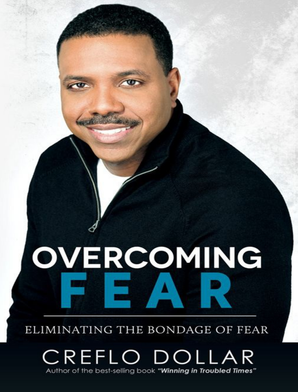# **OVERCOMING**

#### ELIMINATING THE BONDAGE OF FEAR

**CREFLO DOLLAR** Author of the best-selling book "Winning in Troubled Times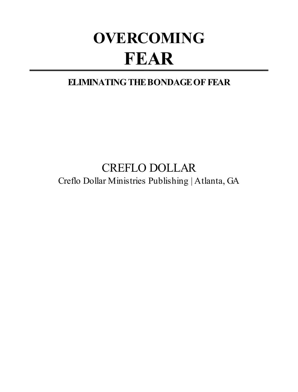# **OVERCOMING FEAR**

#### **ELIMINATINGTHEBONDAGEOF FEAR**

#### CREFLO DOLLAR Creflo Dollar Ministries Publishing | Atlanta, GA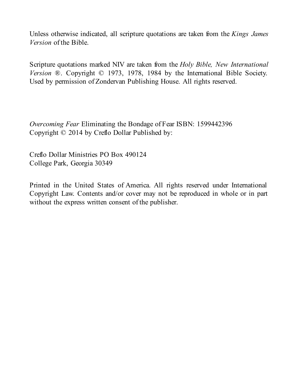Unless otherwise indicated, all scripture quotations are taken from the *Kings James Version* of the Bible.

Scripture quotations marked NIV are taken from the *Holy Bible, New International Version* ®. Copyright © 1973, 1978, 1984 by the International Bible Society. Used by permission of Zondervan Publishing House. All rights reserved.

*Overcoming Fear* Eliminating the Bondage ofFear ISBN: 1599442396 Copyright © 2014 by Creflo Dollar Published by:

Creflo Dollar Ministries PO Box 490124 College Park, Georgia 30349

Printed in the United States of America. All rights reserved under International Copyright Law. Contents and/or cover may not be reproduced in whole or in part without the express written consent of the publisher.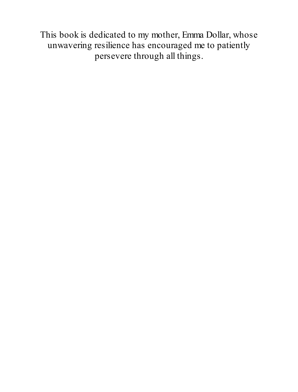This book is dedicated to my mother, Emma Dollar, whose unwavering resilience has encouraged me to patiently persevere through all things.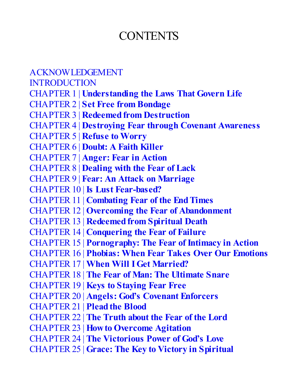## **CONTENTS**

ACKNOWLEDGEMENT **INTRODUCTION** CHAPTER 1 | **Understanding the Laws That Govern Life** CHAPTER 2 | **Set Free from Bondage** CHAPTER 3 | **Redeemedfrom Destruction** CHAPTER 4 | **Destroying Fear through Covenant Awareness** CHAPTER 5 | **Refuse to Worry** CHAPTER 6 | **Doubt: A Faith Killer** CHAPTER 7 | **Anger: Fear in Action** CHAPTER 8 | **Dealing with the Fear of Lack** CHAPTER 9 | **Fear: An Attack on Marriage** CHAPTER 10 |**Is Lust Fear-based?** CHAPTER 11 | **Combating Fear of the EndTimes** CHAPTER 12 | **Overcoming the Fear of Abandonment** CHAPTER 13 | **Redeemedfrom Spiritual Death** CHAPTER 14 | **Conquering the Fear of Failure** CHAPTER 15 | **Pornography: The Fear of Intimacy in Action** CHAPTER 16 | **Phobias: When Fear Takes Over Our Emotions** CHAPTER 17 | **When Will IGet Married?** CHAPTER 18 | **The Fear of Man: The Ultimate Snare** CHAPTER 19 | **Keys to Staying Fear Free** CHAPTER 20 | **Angels: God's Covenant Enforcers** CHAPTER 21 | **Pleadthe Blood** CHAPTER 22 | **The Truth about the Fear of the Lord** CHAPTER 23 | **Howto Overcome Agitation** CHAPTER 24 | **The Victorious Power of God's Love** CHAPTER 25 | **Grace: The Key to Victory in Spiritual**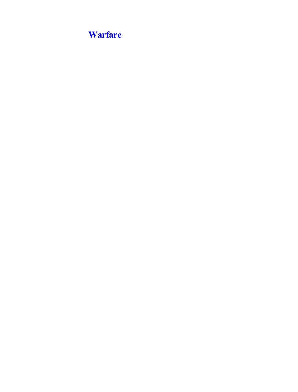**Warfare**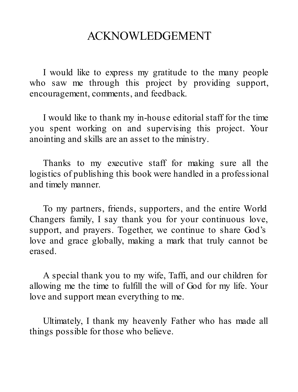#### ACKNOWLEDGEMENT

I would like to express my gratitude to the many people who saw me through this project by providing support, encouragement, comments, and feedback.

I would like to thank my in-house editorial staff for the time you spent working on and supervising this project. Your anointing and skills are an asset to the ministry.

Thanks to my executive staff for making sure all the logistics of publishing this book were handled in a professional and timely manner.

To my partners, friends, supporters, and the entire World Changers family, I say thank you for your continuous love, support, and prayers. Together, we continue to share God's love and grace globally, making a mark that truly cannot be erased.

A special thank you to my wife, Taffi, and our children for allowing me the time to fulfill the will of God for my life. Your love and support mean everything to me.

Ultimately, I thank my heavenly Father who has made all things possible for those who believe.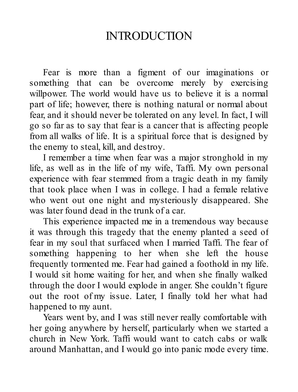## INTRODUCTION

Fear is more than a figment of our imaginations or something that can be overcome merely by exercising willpower. The world would have us to believe it is a normal part of life; however, there is nothing natural or normal about fear, and it should never be tolerated on any level. In fact, I will go so far as to say that fear is a cancer that is affecting people from all walks of life. It is a spiritual force that is designed by the enemy to steal, kill, and destroy.

I remember a time when fear was a major stronghold in my life, as well as in the life of my wife, Taffi. My own personal experience with fear stemmed from a tragic death in my family that took place when I was in college. I had a female relative who went out one night and mysteriously disappeared. She was later found dead in the trunk of a car.

This experience impacted me in a tremendous way because it was through this tragedy that the enemy planted a seed of fear in my soul that surfaced when I married Taffi. The fear of something happening to her when she left the house frequently tormented me. Fear had gained a foothold in my life. I would sit home waiting for her, and when she finally walked through the door I would explode in anger. She couldn't figure out the root of my issue. Later, I finally told her what had happened to my aunt.

Years went by, and I was still never really comfortable with her going anywhere by herself, particularly when we started a church in New York. Taffi would want to catch cabs or walk around Manhattan, and I would go into panic mode every time.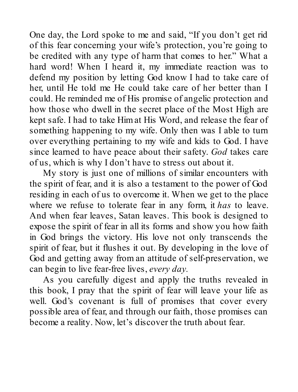One day, the Lord spoke to me and said, "If you don't get rid of this fear concerning your wife's protection, you're going to be credited with any type of harm that comes to her." What a hard word! When I heard it, my immediate reaction was to defend my position by letting God know I had to take care of her, until He told me He could take care of her better than I could. He reminded me of His promise of angelic protection and how those who dwell in the secret place of the Most High are kept safe. I had to take Him at His Word, and release the fear of something happening to my wife. Only then was I able to turn over everything pertaining to my wife and kids to God. I have since learned to have peace about their safety. *God* takes care of us, which is why I don't have to stress out about it.

My story is just one of millions of similar encounters with the spirit of fear, and it is also a testament to the power of God residing in each of us to overcome it. When we get to the place where we refuse to tolerate fear in any form, it *has* to leave. And when fear leaves, Satan leaves. This book is designed to expose the spirit of fear in all its forms and show you how faith in God brings the victory. His love not only transcends the spirit of fear, but it flushes it out. By developing in the love of God and getting away from an attitude of self-preservation, we can begin to live fear-free lives, *every day.*

As you carefully digest and apply the truths revealed in this book, I pray that the spirit of fear will leave your life as well. God's covenant is full of promises that cover every possible area of fear, and through our faith, those promises can become a reality. Now, let's discover the truth about fear.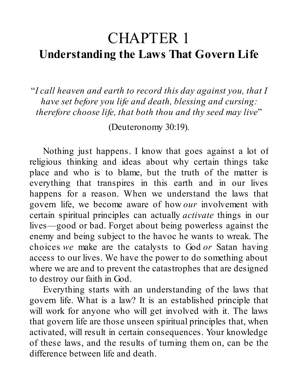# CHAPTER 1 **Understanding the Laws That Govern Life**

"*I call heaven and earth to record this day against you, that I have set before you life and death, blessing and cursing: therefore choose life, that both thou and thy seed may live*"

(Deuteronomy 30:19).

Nothing just happens. I know that goes against a lot of religious thinking and ideas about why certain things take place and who is to blame, but the truth of the matter is everything that transpires in this earth and in our lives happens for a reason. When we understand the laws that govern life, we become aware of how *our* involvement with certain spiritual principles can actually *activate* things in our lives—good or bad. Forget about being powerless against the enemy and being subject to the havoc he wants to wreak. The choices *we* make are the catalysts to God *or* Satan having access to our lives. We have the power to do something about where we are and to prevent the catastrophes that are designed to destroy our faith in God.

Everything starts with an understanding of the laws that govern life. What is a law? It is an established principle that will work for anyone who will get involved with it. The laws that govern life are those unseen spiritual principles that, when activated, will result in certain consequences. Your knowledge of these laws, and the results of turning them on, can be the difference between life and death.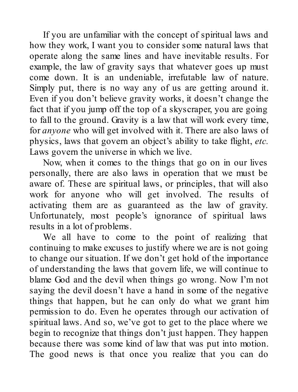If you are unfamiliar with the concept of spiritual laws and how they work, I want you to consider some natural laws that operate along the same lines and have inevitable results. For example, the law of gravity says that whatever goes up must come down. It is an undeniable, irrefutable law of nature. Simply put, there is no way any of us are getting around it. Even if you don't believe gravity works, it doesn't change the fact that if you jump off the top of a skyscraper, you are going to fall to the ground. Gravity is a law that will work every time, for *anyone* who will get involved with it. There are also laws of physics, laws that govern an object's ability to take flight, *etc.* Laws govern the universe in which we live.

Now, when it comes to the things that go on in our lives personally, there are also laws in operation that we must be aware of. These are spiritual laws, or principles, that will also work for anyone who will get involved. The results of activating them are as guaranteed as the law of gravity. Unfortunately, most people's ignorance of spiritual laws results in a lot of problems.

We all have to come to the point of realizing that continuing to make excuses to justify where we are is not going to change our situation. If we don't get hold of the importance of understanding the laws that govern life, we will continue to blame God and the devil when things go wrong. Now I'm not saying the devil doesn't have a hand in some of the negative things that happen, but he can only do what we grant him permission to do. Even he operates through our activation of spiritual laws. And so, we've got to get to the place where we begin to recognize that things don't just happen. They happen because there was some kind of law that was put into motion. The good news is that once you realize that you can do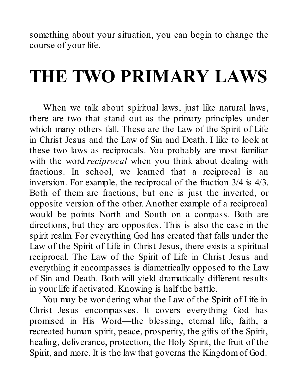something about your situation, you can begin to change the course of your life.

# **THE TWO PRIMARY LAWS**

When we talk about spiritual laws, just like natural laws, there are two that stand out as the primary principles under which many others fall. These are the Law of the Spirit of Life in Christ Jesus and the Law of Sin and Death. I like to look at these two laws as reciprocals. You probably are most familiar with the word *reciprocal* when you think about dealing with fractions. In school, we learned that a reciprocal is an inversion. For example, the reciprocal of the fraction 3/4 is 4/3. Both of them are fractions, but one is just the inverted, or opposite version of the other. Another example of a reciprocal would be points North and South on a compass. Both are directions, but they are opposites. This is also the case in the spirit realm. For everything God has created that falls under the Law of the Spirit of Life in Christ Jesus, there exists a spiritual reciprocal. The Law of the Spirit of Life in Christ Jesus and everything it encompasses is diametrically opposed to the Law of Sin and Death. Both will yield dramatically different results in your life if activated. Knowing is half the battle.

You may be wondering what the Law of the Spirit of Life in Christ Jesus encompasses. It covers everything God has promised in His Word—the blessing, eternal life, faith, a recreated human spirit, peace, prosperity, the gifts of the Spirit, healing, deliverance, protection, the Holy Spirit, the fruit of the Spirit, and more. It is the law that governs the Kingdomof God.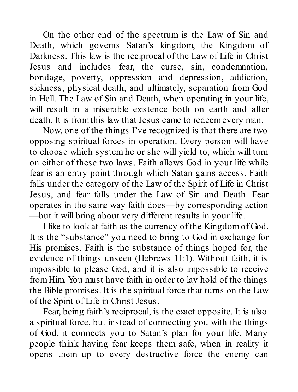On the other end of the spectrum is the Law of Sin and Death, which governs Satan's kingdom, the Kingdom of Darkness. This law is the reciprocal of the Law of Life in Christ Jesus and includes fear, the curse, sin, condemnation, bondage, poverty, oppression and depression, addiction, sickness, physical death, and ultimately, separation from God in Hell. The Law of Sin and Death, when operating in your life, will result in a miserable existence both on earth and after death. It is fromthis law that Jesus came to redeemevery man.

Now, one of the things I've recognized is that there are two opposing spiritual forces in operation. Every person will have to choose which system he or she will yield to, which will turn on either of these two laws. Faith allows God in your life while fear is an entry point through which Satan gains access. Faith falls under the category of the Law of the Spirit of Life in Christ Jesus, and fear falls under the Law of Sin and Death. Fear operates in the same way faith does—by corresponding action —but it will bring about very different results in your life.

I like to look at faith as the currency of the Kingdomof God. It is the "substance" you need to bring to God in exchange for His promises. Faith is the substance of things hoped for, the evidence of things unseen (Hebrews 11:1). Without faith, it is impossible to please God, and it is also impossible to receive fromHim. You must have faith in order to lay hold of the things the Bible promises. It is the spiritual force that turns on the Law of the Spirit of Life in Christ Jesus.

Fear, being faith's reciprocal, is the exact opposite. It is also a spiritual force, but instead of connecting you with the things of God, it connects you to Satan's plan for your life. Many people think having fear keeps them safe, when in reality it opens them up to every destructive force the enemy can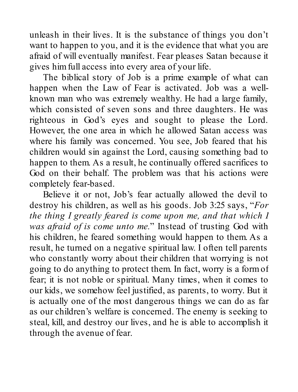unleash in their lives. It is the substance of things you don't want to happen to you, and it is the evidence that what you are afraid of will eventually manifest. Fear pleases Satan because it gives himfull access into every area of your life.

The biblical story of Job is a prime example of what can happen when the Law of Fear is activated. Job was a wellknown man who was extremely wealthy. He had a large family, which consisted of seven sons and three daughters. He was righteous in God's eyes and sought to please the Lord. However, the one area in which he allowed Satan access was where his family was concerned. You see, Job feared that his children would sin against the Lord, causing something bad to happen to them. As a result, he continually offered sacrifices to God on their behalf. The problem was that his actions were completely fear-based.

Believe it or not, Job's fear actually allowed the devil to destroy his children, as well as his goods. Job 3:25 says, "*For the thing I greatly feared is come upon me, and that which I was afraid of is come unto me.*" Instead of trusting God with his children, he feared something would happen to them. As a result, he turned on a negative spiritual law. I often tell parents who constantly worry about their children that worrying is not going to do anything to protect them. In fact, worry is a formof fear; it is not noble or spiritual. Many times, when it comes to our kids, we somehow feel justified, as parents, to worry. But it is actually one of the most dangerous things we can do as far as our children's welfare is concerned. The enemy is seeking to steal, kill, and destroy our lives, and he is able to accomplish it through the avenue of fear.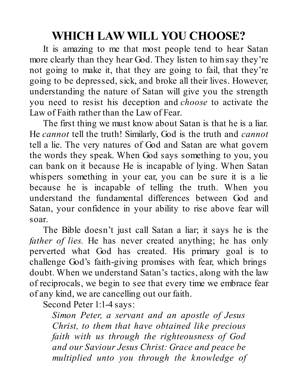## **WHICH LAW WILL YOU CHOOSE?**

It is amazing to me that most people tend to hear Satan more clearly than they hear God. They listen to him say they're not going to make it, that they are going to fail, that they're going to be depressed, sick, and broke all their lives. However, understanding the nature of Satan will give you the strength you need to resist his deception and *choose* to activate the Law of Faith rather than the Law of Fear.

The first thing we must know about Satan is that he is a liar. He *cannot* tell the truth! Similarly, God is the truth and *cannot* tell a lie. The very natures of God and Satan are what govern the words they speak. When God says something to you, you can bank on it because He is incapable of lying. When Satan whispers something in your ear, you can be sure it is a lie because he is incapable of telling the truth. When you understand the fundamental differences between God and Satan, your confidence in your ability to rise above fear will soar.

The Bible doesn't just call Satan a liar; it says he is the *father of lies.* He has never created anything; he has only perverted what God has created. His primary goal is to challenge God's faith-giving promises with fear, which brings doubt. When we understand Satan's tactics, along with the law of reciprocals, we begin to see that every time we embrace fear of any kind, we are cancelling out our faith.

Second Peter 1:1-4 says:

*Simon Peter, a servant and an apostle of Jesus Christ, to them that have obtained like precious faith with us through the righteousness of God and our Saviour Jesus Christ: Grace and peace be multiplied unto you through the knowledge of*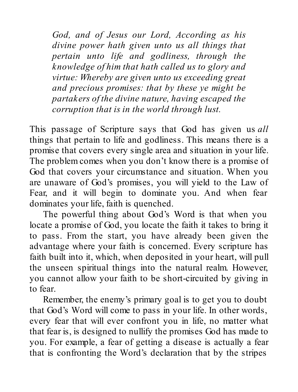*God, and of Jesus our Lord, According as his divine power hath given unto us all things that pertain unto life and godliness, through the knowledge of him that hath called us to glory and virtue: Whereby are given unto us exceeding great and precious promises: that by these ye might be partakers of the divine nature, having escaped the corruption that is in the world through lust.*

This passage of Scripture says that God has given us *all* things that pertain to life and godliness. This means there is a promise that covers every single area and situation in your life. The problem comes when you don't know there is a promise of God that covers your circumstance and situation. When you are unaware of God's promises, you will yield to the Law of Fear, and it will begin to dominate you. And when fear dominates your life, faith is quenched.

The powerful thing about God's Word is that when you locate a promise of God, you locate the faith it takes to bring it to pass. From the start, you have already been given the advantage where your faith is concerned. Every scripture has faith built into it, which, when deposited in your heart, will pull the unseen spiritual things into the natural realm. However, you cannot allow your faith to be short-circuited by giving in to fear.

Remember, the enemy's primary goal is to get you to doubt that God's Word will come to pass in your life. In other words, every fear that will ever confront you in life, no matter what that fear is, is designed to nullify the promises God has made to you. For example, a fear of getting a disease is actually a fear that is confronting the Word's declaration that by the stripes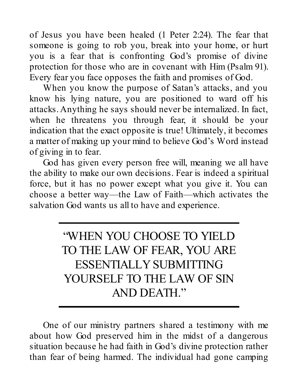of Jesus you have been healed (1 Peter 2:24). The fear that someone is going to rob you, break into your home, or hurt you is a fear that is confronting God's promise of divine protection for those who are in covenant with Him (Psalm 91). Every fear you face opposes the faith and promises of God.

When you know the purpose of Satan's attacks, and you know his lying nature, you are positioned to ward off his attacks.Anything he says should never be internalized. In fact, when he threatens you through fear, it should be your indication that the exact opposite is true! Ultimately, it becomes a matter of making up your mind to believe God's Word instead of giving in to fear.

God has given every person free will, meaning we all have the ability to make our own decisions. Fear is indeed a spiritual force, but it has no power except what you give it. You can choose a better way—the Law of Faith—which activates the salvation God wants us all to have and experience.

> "WHEN YOU CHOOSE TO YIELD TO THE LAW OF FEAR, YOU ARE ESSENTIALLY SUBMITTING YOURSELF TO THE LAW OF SIN AND DEATH."

One of our ministry partners shared a testimony with me about how God preserved him in the midst of a dangerous situation because he had faith in God's divine protection rather than fear of being harmed. The individual had gone camping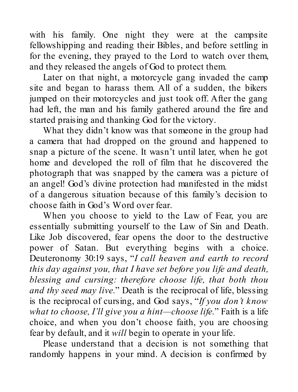with his family. One night they were at the campsite fellowshipping and reading their Bibles, and before settling in for the evening, they prayed to the Lord to watch over them, and they released the angels of God to protect them.

Later on that night, a motorcycle gang invaded the camp site and began to harass them. All of a sudden, the bikers jumped on their motorcycles and just took off. After the gang had left, the man and his family gathered around the fire and started praising and thanking God for the victory.

What they didn't know was that someone in the group had a camera that had dropped on the ground and happened to snap a picture of the scene. It wasn't until later, when he got home and developed the roll of film that he discovered the photograph that was snapped by the camera was a picture of an angel! God's divine protection had manifested in the midst of a dangerous situation because of this family's decision to choose faith in God's Word over fear.

When you choose to yield to the Law of Fear, you are essentially submitting yourself to the Law of Sin and Death. Like Job discovered, fear opens the door to the destructive power of Satan. But everything begins with a choice. Deuteronomy 30:19 says, "*I call heaven and earth to record this day against you, that I have set before you life and death, blessing and cursing: therefore choose life, that both thou and thy seed may live.*" Death is the reciprocal of life, blessing is the reciprocal of cursing, and God says, "*If you don't know what to choose, I'll give you a hint—choose life.*" Faith is a life choice, and when you don't choose faith, you are choosing fear by default, and it *will* begin to operate in your life.

Please understand that a decision is not something that randomly happens in your mind. A decision is confirmed by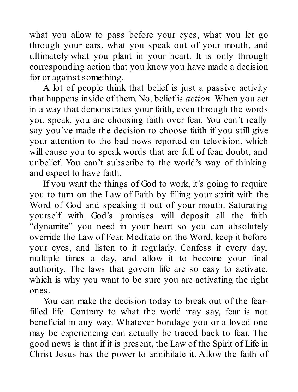what you allow to pass before your eyes, what you let go through your ears, what you speak out of your mouth, and ultimately what you plant in your heart. It is only through corresponding action that you know you have made a decision for or against something.

A lot of people think that belief is just a passive activity that happens inside of them. No, belief is *action.* When you act in a way that demonstrates your faith, even through the words you speak, you are choosing faith over fear. You can't really say you've made the decision to choose faith if you still give your attention to the bad news reported on television, which will cause you to speak words that are full of fear, doubt, and unbelief. You can't subscribe to the world's way of thinking and expect to have faith.

If you want the things of God to work, it's going to require you to turn on the Law of Faith by filling your spirit with the Word of God and speaking it out of your mouth. Saturating yourself with God's promises will deposit all the faith "dynamite" you need in your heart so you can absolutely override the Law of Fear. Meditate on the Word, keep it before your eyes, and listen to it regularly. Confess it every day, multiple times a day, and allow it to become your final authority. The laws that govern life are so easy to activate, which is why you want to be sure you are activating the right ones.

You can make the decision today to break out of the fearfilled life. Contrary to what the world may say, fear is not beneficial in any way. Whatever bondage you or a loved one may be experiencing can actually be traced back to fear. The good news is that if it is present, the Law of the Spirit of Life in Christ Jesus has the power to annihilate it. Allow the faith of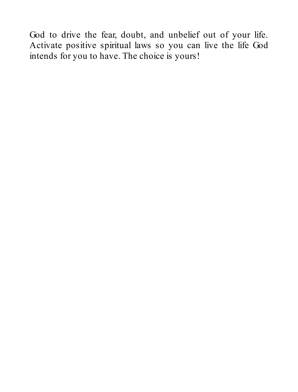God to drive the fear, doubt, and unbelief out of your life. Activate positive spiritual laws so you can live the life God intends for you to have. The choice is yours!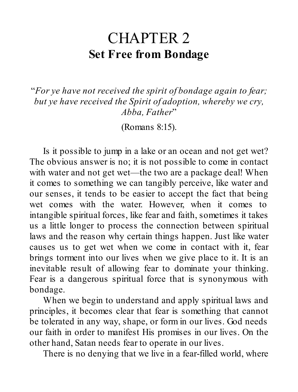# CHAPTER 2 **Set Free from Bondage**

"*For ye have not received the spirit of bondage again to fear; but ye have received the Spirit of adoption, whereby we cry, Abba, Father*"

(Romans 8:15).

Is it possible to jump in a lake or an ocean and not get wet? The obvious answer is no; it is not possible to come in contact with water and not get wet—the two are a package deal! When it comes to something we can tangibly perceive, like water and our senses, it tends to be easier to accept the fact that being wet comes with the water. However, when it comes to intangible spiritual forces, like fear and faith, sometimes it takes us a little longer to process the connection between spiritual laws and the reason why certain things happen. Just like water causes us to get wet when we come in contact with it, fear brings torment into our lives when we give place to it. It is an inevitable result of allowing fear to dominate your thinking. Fear is a dangerous spiritual force that is synonymous with bondage.

When we begin to understand and apply spiritual laws and principles, it becomes clear that fear is something that cannot be tolerated in any way, shape, or form in our lives. God needs our faith in order to manifest His promises in our lives. On the other hand, Satan needs fear to operate in our lives.

There is no denying that we live in a fear-filled world, where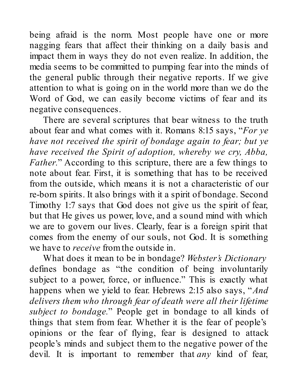being afraid is the norm. Most people have one or more nagging fears that affect their thinking on a daily basis and impact them in ways they do not even realize. In addition, the media seems to be committed to pumping fear into the minds of the general public through their negative reports. If we give attention to what is going on in the world more than we do the Word of God, we can easily become victims of fear and its negative consequences.

There are several scriptures that bear witness to the truth about fear and what comes with it. Romans 8:15 says, "*For ye have not received the spirit of bondage again to fear; but ye have received the Spirit of adoption, whereby we cry, Abba, Father.*" According to this scripture, there are a few things to note about fear. First, it is something that has to be received from the outside, which means it is not a characteristic of our re-born spirits. It also brings with it a spirit of bondage. Second Timothy 1:7 says that God does not give us the spirit of fear, but that He gives us power, love, and a sound mind with which we are to govern our lives. Clearly, fear is a foreign spirit that comes from the enemy of our souls, not God. It is something we have to *receive* fromthe outside in.

What does it mean to be in bondage? *Webster's Dictionary* defines bondage as "the condition of being involuntarily subject to a power, force, or influence." This is exactly what happens when we yield to fear. Hebrews 2:15 also says, "*And delivers them who through fear of death were all their lifetime subject to bondage.*" People get in bondage to all kinds of things that stem from fear. Whether it is the fear of people's opinions or the fear of flying, fear is designed to attack people's minds and subject them to the negative power of the devil. It is important to remember that *any* kind of fear,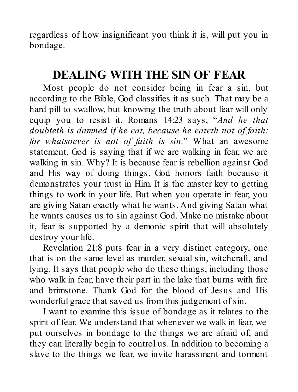regardless of how insignificant you think it is, will put you in bondage.

#### **DEALING WITH THE SIN OF FEAR**

Most people do not consider being in fear a sin, but according to the Bible, God classifies it as such. That may be a hard pill to swallow, but knowing the truth about fear will only equip you to resist it. Romans 14:23 says, "*And he that doubteth is damned if he eat, because he eateth not of faith: for whatsoever is not of faith is sin.*" What an awesome statement. God is saying that if we are walking in fear, we are walking in sin. Why? It is because fear is rebellion against God and His way of doing things. God honors faith because it demonstrates your trust in Him. It is the master key to getting things to work in your life. But when you operate in fear, you are giving Satan exactly what he wants. And giving Satan what he wants causes us to sin against God. Make no mistake about it, fear is supported by a demonic spirit that will absolutely destroy your life.

Revelation 21:8 puts fear in a very distinct category, one that is on the same level as murder, sexual sin, witchcraft, and lying. It says that people who do these things, including those who walk in fear, have their part in the lake that burns with fire and brimstone. Thank God for the blood of Jesus and His wonderful grace that saved us fromthis judgement of sin.

I want to examine this issue of bondage as it relates to the spirit of fear. We understand that whenever we walk in fear, we put ourselves in bondage to the things we are afraid of, and they can literally begin to control us. In addition to becoming a slave to the things we fear, we invite harassment and torment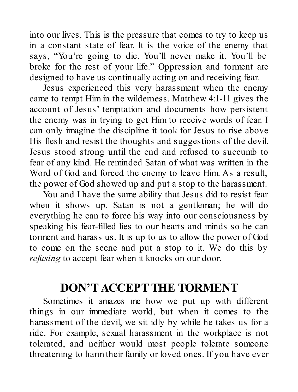into our lives. This is the pressure that comes to try to keep us in a constant state of fear. It is the voice of the enemy that says, "You're going to die. You'll never make it. You'll be broke for the rest of your life." Oppression and torment are designed to have us continually acting on and receiving fear.

Jesus experienced this very harassment when the enemy came to tempt Him in the wilderness. Matthew 4:1-11 gives the account of Jesus' temptation and documents how persistent the enemy was in trying to get Him to receive words of fear. I can only imagine the discipline it took for Jesus to rise above His flesh and resist the thoughts and suggestions of the devil. Jesus stood strong until the end and refused to succumb to fear of any kind. He reminded Satan of what was written in the Word of God and forced the enemy to leave Him. As a result, the power of God showed up and put a stop to the harassment.

You and I have the same ability that Jesus did to resist fear when it shows up. Satan is not a gentleman; he will do everything he can to force his way into our consciousness by speaking his fear-filled lies to our hearts and minds so he can torment and harass us. It is up to us to allow the power of God to come on the scene and put a stop to it. We do this by *refusing* to accept fear when it knocks on our door.

### **DON'T ACCEPTTHE TORMENT**

Sometimes it amazes me how we put up with different things in our immediate world, but when it comes to the harassment of the devil, we sit idly by while he takes us for a ride. For example, sexual harassment in the workplace is not tolerated, and neither would most people tolerate someone threatening to harm their family or loved ones. If you have ever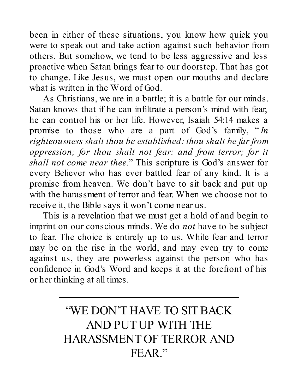been in either of these situations, you know how quick you were to speak out and take action against such behavior from others. But somehow, we tend to be less aggressive and less proactive when Satan brings fear to our doorstep. That has got to change. Like Jesus, we must open our mouths and declare what is written in the Word of God.

As Christians, we are in a battle; it is a battle for our minds. Satan knows that if he can infiltrate a person's mind with fear, he can control his or her life. However, Isaiah 54:14 makes a promise to those who are a part of God's family, " *In righteousness shalt thou be established: thou shalt be far from oppression; for thou shalt not fear: and from terror; for it shall not come near thee.*" This scripture is God's answer for every Believer who has ever battled fear of any kind. It is a promise from heaven. We don't have to sit back and put up with the harassment of terror and fear. When we choose not to receive it, the Bible says it won't come near us.

This is a revelation that we must get a hold of and begin to imprint on our conscious minds. We do *not* have to be subject to fear. The choice is entirely up to us. While fear and terror may be on the rise in the world, and may even try to come against us, they are powerless against the person who has confidence in God's Word and keeps it at the forefront of his or her thinking at all times.

## "WE DON'T HAVE TO SITBACK AND PUT UP WITH THE HARASSMENT OF TERROR AND FEAR<sup>"</sup>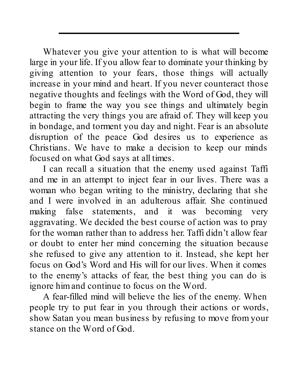Whatever you give your attention to is what will become large in your life. If you allow fear to dominate your thinking by giving attention to your fears, those things will actually increase in your mind and heart. If you never counteract those negative thoughts and feelings with the Word of God, they will begin to frame the way you see things and ultimately begin attracting the very things you are afraid of. They will keep you in bondage, and torment you day and night. Fear is an absolute disruption of the peace God desires us to experience as Christians. We have to make a decision to keep our minds focused on what God says at all times.

I can recall a situation that the enemy used against Taffi and me in an attempt to inject fear in our lives. There was a woman who began writing to the ministry, declaring that she and I were involved in an adulterous affair. She continued making false statements, and it was becoming very aggravating. We decided the best course of action was to pray for the woman rather than to address her. Taffi didn't allow fear or doubt to enter her mind concerning the situation because she refused to give any attention to it. Instead, she kept her focus on God's Word and His will for our lives. When it comes to the enemy's attacks of fear, the best thing you can do is ignore himand continue to focus on the Word.

A fear-filled mind will believe the lies of the enemy. When people try to put fear in you through their actions or words, show Satan you mean business by refusing to move from your stance on the Word of God.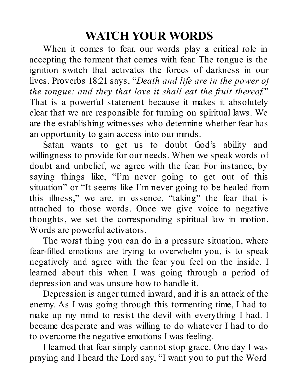## **WATCH YOUR WORDS**

When it comes to fear, our words play a critical role in accepting the torment that comes with fear. The tongue is the ignition switch that activates the forces of darkness in our lives. Proverbs 18:21 says, "*Death and life are in the power of the tongue: and they that love it shall eat the fruit thereof.*" That is a powerful statement because it makes it absolutely clear that we are responsible for turning on spiritual laws. We are the establishing witnesses who determine whether fear has an opportunity to gain access into our minds.

Satan wants to get us to doubt God's ability and willingness to provide for our needs. When we speak words of doubt and unbelief, we agree with the fear. For instance, by saying things like, "I'm never going to get out of this situation" or "It seems like I'm never going to be healed from this illness," we are, in essence, "taking" the fear that is attached to those words. Once we give voice to negative thoughts, we set the corresponding spiritual law in motion. Words are powerful activators.

The worst thing you can do in a pressure situation, where fear-filled emotions are trying to overwhelm you, is to speak negatively and agree with the fear you feel on the inside. I learned about this when I was going through a period of depression and was unsure how to handle it.

Depression is anger turned inward, and it is an attack of the enemy. As I was going through this tormenting time, I had to make up my mind to resist the devil with everything I had. I became desperate and was willing to do whatever I had to do to overcome the negative emotions I was feeling.

I learned that fear simply cannot stop grace. One day I was praying and I heard the Lord say, "I want you to put the Word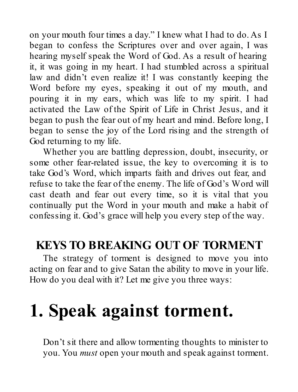on your mouth four times a day." I knew what I had to do. As I began to confess the Scriptures over and over again, I was hearing myself speak the Word of God. As a result of hearing it, it was going in my heart. I had stumbled across a spiritual law and didn't even realize it! I was constantly keeping the Word before my eyes, speaking it out of my mouth, and pouring it in my ears, which was life to my spirit. I had activated the Law of the Spirit of Life in Christ Jesus, and it began to push the fear out of my heart and mind. Before long, I began to sense the joy of the Lord rising and the strength of God returning to my life.

Whether you are battling depression, doubt, insecurity, or some other fear-related issue, the key to overcoming it is to take God's Word, which imparts faith and drives out fear, and refuse to take the fear of the enemy. The life of God's Word will cast death and fear out every time, so it is vital that you continually put the Word in your mouth and make a habit of confessing it. God's grace will help you every step of the way.

#### **KEYS TO BREAKING OUT OF TORMENT**

The strategy of torment is designed to move you into acting on fear and to give Satan the ability to move in your life. How do you deal with it? Let me give you three ways:

# **1. Speak against torment.**

Don't sit there and allow tormenting thoughts to minister to you. You *must* open your mouth and speak against torment.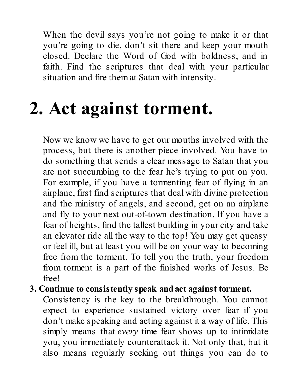When the devil says you're not going to make it or that you're going to die, don't sit there and keep your mouth closed. Declare the Word of God with boldness, and in faith. Find the scriptures that deal with your particular situation and fire themat Satan with intensity.

# **2. Act against torment.**

Now we know we have to get our mouths involved with the process, but there is another piece involved. You have to do something that sends a clear message to Satan that you are not succumbing to the fear he's trying to put on you. For example, if you have a tormenting fear of flying in an airplane, first find scriptures that deal with divine protection and the ministry of angels, and second, get on an airplane and fly to your next out-of-town destination. If you have a fear of heights, find the tallest building in your city and take an elevator ride all the way to the top! You may get queasy or feel ill, but at least you will be on your way to becoming free from the torment. To tell you the truth, your freedom from torment is a part of the finished works of Jesus. Be free!

#### **3. Continue to consistently speak andact against torment.**

Consistency is the key to the breakthrough. You cannot expect to experience sustained victory over fear if you don't make speaking and acting against it a way of life. This simply means that *every* time fear shows up to intimidate you, you immediately counterattack it. Not only that, but it also means regularly seeking out things you can do to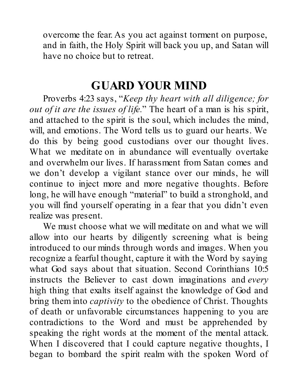overcome the fear. As you act against torment on purpose, and in faith, the Holy Spirit will back you up, and Satan will have no choice but to retreat.

#### **GUARD YOUR MIND**

Proverbs 4:23 says, "*Keep thy heart with all diligence; for out of it are the issues of life.*" The heart of a man is his spirit, and attached to the spirit is the soul, which includes the mind, will, and emotions. The Word tells us to guard our hearts. We do this by being good custodians over our thought lives. What we meditate on in abundance will eventually overtake and overwhelm our lives. If harassment from Satan comes and we don't develop a vigilant stance over our minds, he will continue to inject more and more negative thoughts. Before long, he will have enough "material" to build a stronghold, and you will find yourself operating in a fear that you didn't even realize was present.

We must choose what we will meditate on and what we will allow into our hearts by diligently screening what is being introduced to our minds through words and images. When you recognize a fearful thought, capture it with the Word by saying what God says about that situation. Second Corinthians 10:5 instructs the Believer to cast down imaginations and *every* high thing that exalts itself against the knowledge of God and bring them into *captivity* to the obedience of Christ. Thoughts of death or unfavorable circumstances happening to you are contradictions to the Word and must be apprehended by speaking the right words at the moment of the mental attack. When I discovered that I could capture negative thoughts, I began to bombard the spirit realm with the spoken Word of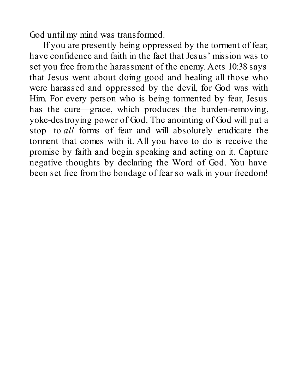God until my mind was transformed.

If you are presently being oppressed by the torment of fear, have confidence and faith in the fact that Jesus' mission was to set you free fromthe harassment of the enemy.Acts 10:38 says that Jesus went about doing good and healing all those who were harassed and oppressed by the devil, for God was with Him. For every person who is being tormented by fear, Jesus has the cure—grace, which produces the burden-removing, yoke-destroying power of God. The anointing of God will put a stop to *all* forms of fear and will absolutely eradicate the torment that comes with it. All you have to do is receive the promise by faith and begin speaking and acting on it. Capture negative thoughts by declaring the Word of God. You have been set free fromthe bondage of fear so walk in your freedom!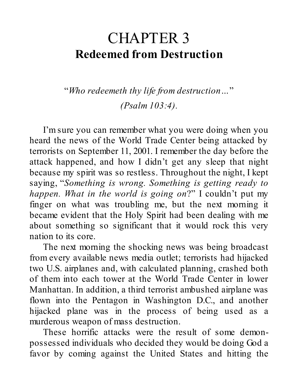# CHAPTER 3 **Redeemed from Destruction**

"*Who redeemeth thy life from destruction…*" *(Psalm 103:4).*

I'm sure you can remember what you were doing when you heard the news of the World Trade Center being attacked by terrorists on September 11, 2001. I remember the day before the attack happened, and how I didn't get any sleep that night because my spirit was so restless. Throughout the night, I kept saying, "*Something is wrong. Something is getting ready to happen. What in the world is going on*?" I couldn't put my finger on what was troubling me, but the next morning it became evident that the Holy Spirit had been dealing with me about something so significant that it would rock this very nation to its core.

The next morning the shocking news was being broadcast from every available news media outlet; terrorists had hijacked two U.S. airplanes and, with calculated planning, crashed both of them into each tower at the World Trade Center in lower Manhattan. In addition, a third terrorist ambushed airplane was flown into the Pentagon in Washington D.C., and another hijacked plane was in the process of being used as a murderous weapon of mass destruction.

These horrific attacks were the result of some demonpossessed individuals who decided they would be doing God a favor by coming against the United States and hitting the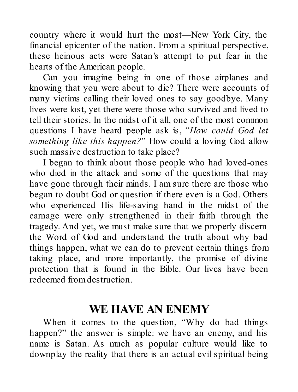country where it would hurt the most—New York City, the financial epicenter of the nation. From a spiritual perspective, these heinous acts were Satan's attempt to put fear in the hearts of the American people.

Can you imagine being in one of those airplanes and knowing that you were about to die? There were accounts of many victims calling their loved ones to say goodbye. Many lives were lost, yet there were those who survived and lived to tell their stories. In the midst of it all, one of the most common questions I have heard people ask is, "*How could God let something like this happen?*" How could a loving God allow such massive destruction to take place?

I began to think about those people who had loved-ones who died in the attack and some of the questions that may have gone through their minds. I am sure there are those who began to doubt God or question if there even is a God. Others who experienced His life-saving hand in the midst of the carnage were only strengthened in their faith through the tragedy. And yet, we must make sure that we properly discern the Word of God and understand the truth about why bad things happen, what we can do to prevent certain things from taking place, and more importantly, the promise of divine protection that is found in the Bible. Our lives have been redeemed fromdestruction.

#### **WE HAVE AN ENEMY**

When it comes to the question, "Why do bad things happen?" the answer is simple: we have an enemy, and his name is Satan. As much as popular culture would like to downplay the reality that there is an actual evil spiritual being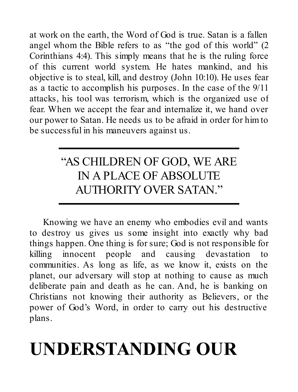at work on the earth, the Word of God is true. Satan is a fallen angel whom the Bible refers to as "the god of this world" (2 Corinthians 4:4). This simply means that he is the ruling force of this current world system. He hates mankind, and his objective is to steal, kill, and destroy (John 10:10). He uses fear as a tactic to accomplish his purposes. In the case of the 9/11 attacks, his tool was terrorism, which is the organized use of fear. When we accept the fear and internalize it, we hand over our power to Satan. He needs us to be afraid in order for him to be successful in his maneuvers against us.

## "AS CHILDREN OF GOD, WE ARE IN A PLACE OF ABSOLUTE AUTHORITY OVER SATAN"

Knowing we have an enemy who embodies evil and wants to destroy us gives us some insight into exactly why bad things happen. One thing is for sure; God is not responsible for killing innocent people and causing devastation to communities. As long as life, as we know it, exists on the planet, our adversary will stop at nothing to cause as much deliberate pain and death as he can. And, he is banking on Christians not knowing their authority as Believers, or the power of God's Word, in order to carry out his destructive plans.

# **UNDERSTANDING OUR**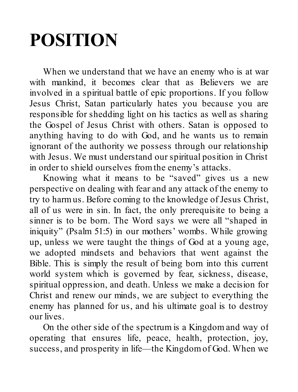# **POSITION**

When we understand that we have an enemy who is at war with mankind, it becomes clear that as Believers we are involved in a spiritual battle of epic proportions. If you follow Jesus Christ, Satan particularly hates you because you are responsible for shedding light on his tactics as well as sharing the Gospel of Jesus Christ with others. Satan is opposed to anything having to do with God, and he wants us to remain ignorant of the authority we possess through our relationship with Jesus. We must understand our spiritual position in Christ in order to shield ourselves fromthe enemy's attacks.

Knowing what it means to be "saved" gives us a new perspective on dealing with fear and any attack of the enemy to try to harmus. Before coming to the knowledge of Jesus Christ, all of us were in sin. In fact, the only prerequisite to being a sinner is to be born. The Word says we were all "shaped in iniquity" (Psalm 51:5) in our mothers' wombs. While growing up, unless we were taught the things of God at a young age, we adopted mindsets and behaviors that went against the Bible. This is simply the result of being born into this current world system which is governed by fear, sickness, disease, spiritual oppression, and death. Unless we make a decision for Christ and renew our minds, we are subject to everything the enemy has planned for us, and his ultimate goal is to destroy our lives.

On the other side of the spectrum is a Kingdom and way of operating that ensures life, peace, health, protection, joy, success, and prosperity in life—the Kingdomof God. When we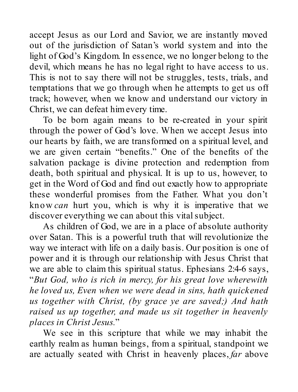accept Jesus as our Lord and Savior, we are instantly moved out of the jurisdiction of Satan's world system and into the light of God's Kingdom. In essence, we no longer belong to the devil, which means he has no legal right to have access to us. This is not to say there will not be struggles, tests, trials, and temptations that we go through when he attempts to get us off track; however, when we know and understand our victory in Christ, we can defeat himevery time.

To be born again means to be re-created in your spirit through the power of God's love. When we accept Jesus into our hearts by faith, we are transformed on a spiritual level, and we are given certain "benefits." One of the benefits of the salvation package is divine protection and redemption from death, both spiritual and physical. It is up to us, however, to get in the Word of God and find out exactly how to appropriate these wonderful promises from the Father. What you don't know *can* hurt you, which is why it is imperative that we discover everything we can about this vital subject.

As children of God, we are in a place of absolute authority over Satan. This is a powerful truth that will revolutionize the way we interact with life on a daily basis. Our position is one of power and it is through our relationship with Jesus Christ that we are able to claim this spiritual status. Ephesians 2:4-6 says, "*But God, who is rich in mercy, for his great love wherewith he loved us, Even when we were dead in sins, hath quickened us together with Christ, (by grace ye are saved;) And hath raised us up together, and made us sit together in heavenly places in Christ Jesus.*"

We see in this scripture that while we may inhabit the earthly realm as human beings, from a spiritual, standpoint we are actually seated with Christ in heavenly places, *far* above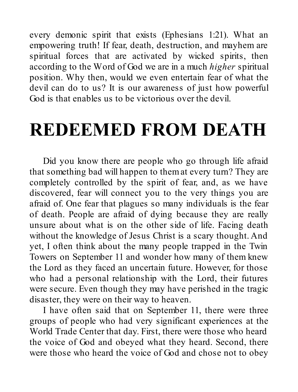every demonic spirit that exists (Ephesians 1:21). What an empowering truth! If fear, death, destruction, and mayhem are spiritual forces that are activated by wicked spirits, then according to the Word of God we are in a much *higher* spiritual position. Why then, would we even entertain fear of what the devil can do to us? It is our awareness of just how powerful God is that enables us to be victorious over the devil.

## **REDEEMED FROM DEATH**

Did you know there are people who go through life afraid that something bad will happen to themat every turn? They are completely controlled by the spirit of fear, and, as we have discovered, fear will connect you to the very things you are afraid of. One fear that plagues so many individuals is the fear of death. People are afraid of dying because they are really unsure about what is on the other side of life. Facing death without the knowledge of Jesus Christ is a scary thought. And yet, I often think about the many people trapped in the Twin Towers on September 11 and wonder how many of them knew the Lord as they faced an uncertain future. However, for those who had a personal relationship with the Lord, their futures were secure. Even though they may have perished in the tragic disaster, they were on their way to heaven.

I have often said that on September 11, there were three groups of people who had very significant experiences at the World Trade Center that day. First, there were those who heard the voice of God and obeyed what they heard. Second, there were those who heard the voice of God and chose not to obey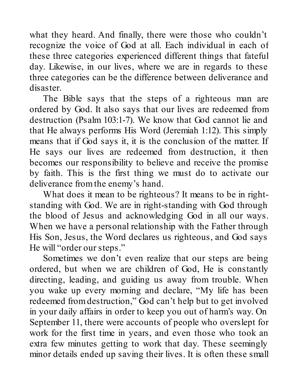what they heard. And finally, there were those who couldn't recognize the voice of God at all. Each individual in each of these three categories experienced different things that fateful day. Likewise, in our lives, where we are in regards to these three categories can be the difference between deliverance and disaster.

The Bible says that the steps of a righteous man are ordered by God. It also says that our lives are redeemed from destruction (Psalm 103:1-7). We know that God cannot lie and that He always performs His Word (Jeremiah 1:12). This simply means that if God says it, it is the conclusion of the matter. If He says our lives are redeemed from destruction, it then becomes our responsibility to believe and receive the promise by faith. This is the first thing we must do to activate our deliverance fromthe enemy's hand.

What does it mean to be righteous? It means to be in rightstanding with God. We are in right-standing with God through the blood of Jesus and acknowledging God in all our ways. When we have a personal relationship with the Father through His Son, Jesus, the Word declares us righteous, and God says He will "order our steps."

Sometimes we don't even realize that our steps are being ordered, but when we are children of God, He is constantly directing, leading, and guiding us away from trouble. When you wake up every morning and declare, "My life has been redeemed fromdestruction," God can't help but to get involved in your daily affairs in order to keep you out of harm's way. On September 11, there were accounts of people who overslept for work for the first time in years, and even those who took an extra few minutes getting to work that day. These seemingly minor details ended up saving their lives. It is often these small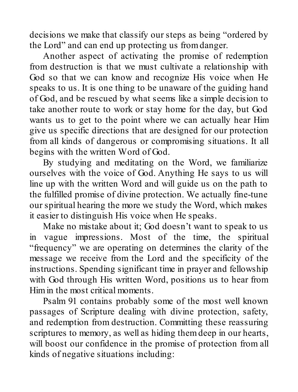decisions we make that classify our steps as being "ordered by the Lord" and can end up protecting us fromdanger.

Another aspect of activating the promise of redemption from destruction is that we must cultivate a relationship with God so that we can know and recognize His voice when He speaks to us. It is one thing to be unaware of the guiding hand of God, and be rescued by what seems like a simple decision to take another route to work or stay home for the day, but God wants us to get to the point where we can actually hear Him give us specific directions that are designed for our protection from all kinds of dangerous or compromising situations. It all begins with the written Word of God.

By studying and meditating on the Word, we familiarize ourselves with the voice of God. Anything He says to us will line up with the written Word and will guide us on the path to the fulfilled promise of divine protection. We actually fine-tune our spiritual hearing the more we study the Word, which makes it easier to distinguish His voice when He speaks.

Make no mistake about it; God doesn't want to speak to us in vague impressions. Most of the time, the spiritual "frequency" we are operating on determines the clarity of the message we receive from the Lord and the specificity of the instructions. Spending significant time in prayer and fellowship with God through His written Word, positions us to hear from Himin the most critical moments.

Psalm 91 contains probably some of the most well known passages of Scripture dealing with divine protection, safety, and redemption from destruction. Committing these reassuring scriptures to memory, as well as hiding themdeep in our hearts, will boost our confidence in the promise of protection from all kinds of negative situations including: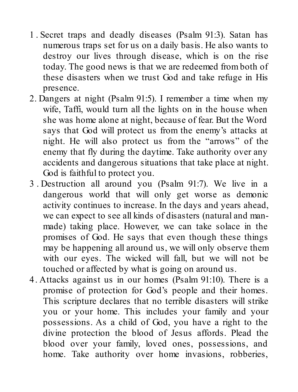- 1 . Secret traps and deadly diseases (Psalm 91:3). Satan has numerous traps set for us on a daily basis. He also wants to destroy our lives through disease, which is on the rise today. The good news is that we are redeemed from both of these disasters when we trust God and take refuge in His presence.
- 2. Dangers at night (Psalm 91:5). I remember a time when my wife, Taffi, would turn all the lights on in the house when she was home alone at night, because of fear. But the Word says that God will protect us from the enemy's attacks at night. He will also protect us from the "arrows" of the enemy that fly during the daytime. Take authority over any accidents and dangerous situations that take place at night. God is faithful to protect you.
- 3 . Destruction all around you (Psalm 91:7). We live in a dangerous world that will only get worse as demonic activity continues to increase. In the days and years ahead, we can expect to see all kinds of disasters (natural and manmade) taking place. However, we can take solace in the promises of God. He says that even though these things may be happening all around us, we will only observe them with our eyes. The wicked will fall, but we will not be touched or affected by what is going on around us.
- 4. Attacks against us in our homes (Psalm 91:10). There is a promise of protection for God's people and their homes. This scripture declares that no terrible disasters will strike you or your home. This includes your family and your possessions. As a child of God, you have a right to the divine protection the blood of Jesus affords. Plead the blood over your family, loved ones, possessions, and home. Take authority over home invasions, robberies,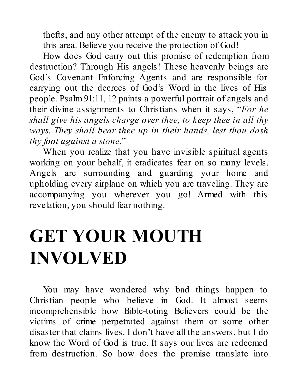thefts, and any other attempt of the enemy to attack you in this area. Believe you receive the protection of God!

How does God carry out this promise of redemption from destruction? Through His angels! These heavenly beings are God's Covenant Enforcing Agents and are responsible for carrying out the decrees of God's Word in the lives of His people. Psalm 91:11, 12 paints a powerful portrait of angels and their divine assignments to Christians when it says, "*For he shall give his angels charge over thee, to keep thee in all thy ways. They shall bear thee up in their hands, lest thou dash thy foot against a stone.*"

When you realize that you have invisible spiritual agents working on your behalf, it eradicates fear on so many levels. Angels are surrounding and guarding your home and upholding every airplane on which you are traveling. They are accompanying you wherever you go! Armed with this revelation, you should fear nothing.

## **GET YOUR MOUTH INVOLVED**

You may have wondered why bad things happen to Christian people who believe in God. It almost seems incomprehensible how Bible-toting Believers could be the victims of crime perpetrated against them or some other disaster that claims lives. I don't have all the answers, but I do know the Word of God is true. It says our lives are redeemed from destruction. So how does the promise translate into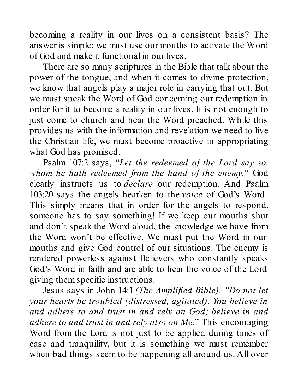becoming a reality in our lives on a consistent basis? The answer is simple; we must use our mouths to activate the Word of God and make it functional in our lives.

There are so many scriptures in the Bible that talk about the power of the tongue, and when it comes to divine protection, we know that angels play a major role in carrying that out. But we must speak the Word of God concerning our redemption in order for it to become a reality in our lives. It is not enough to just come to church and hear the Word preached. While this provides us with the information and revelation we need to live the Christian life, we must become proactive in appropriating what God has promised.

Psalm 107:2 says, "*Let the redeemed of the Lord say so, whom he hath redeemed from the hand of the enemy.*" God clearly instructs us to *declare* our redemption. And Psalm 103:20 says the angels hearken to the *voice* of God's Word. This simply means that in order for the angels to respond, someone has to say something! If we keep our mouths shut and don't speak the Word aloud, the knowledge we have from the Word won't be effective. We must put the Word in our mouths and give God control of our situations. The enemy is rendered powerless against Believers who constantly speaks God's Word in faith and are able to hear the voice of the Lord giving themspecific instructions.

Jesus says in John 14:1 *(The Amplified Bible), "Do not let your hearts be troubled (distressed, agitated). You believe in and adhere to and trust in and rely on God; believe in and adhere to and trust in and rely also on Me.*" This encouraging Word from the Lord is not just to be applied during times of ease and tranquility, but it is something we must remember when bad things seem to be happening all around us. All over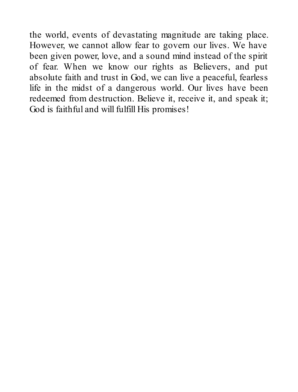the world, events of devastating magnitude are taking place. However, we cannot allow fear to govern our lives. We have been given power, love, and a sound mind instead of the spirit of fear. When we know our rights as Believers, and put absolute faith and trust in God, we can live a peaceful, fearless life in the midst of a dangerous world. Our lives have been redeemed from destruction. Believe it, receive it, and speak it; God is faithful and will fulfill His promises!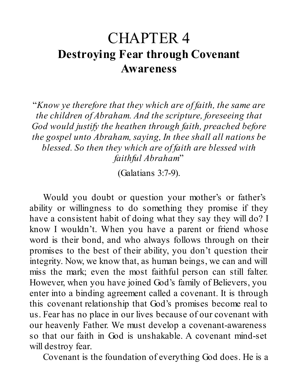## CHAPTER 4 **Destroying Fear through Covenant Awareness**

"*Know ye therefore that they which are of faith, the same are the children of Abraham. And the scripture, foreseeing that God would justify the heathen through faith, preached before the gospel unto Abraham, saying, In thee shall all nations be blessed. So then they which are of faith are blessed with faithful Abraham*"

(Galatians 3:7-9).

Would you doubt or question your mother's or father's ability or willingness to do something they promise if they have a consistent habit of doing what they say they will do? I know I wouldn't. When you have a parent or friend whose word is their bond, and who always follows through on their promises to the best of their ability, you don't question their integrity. Now, we know that, as human beings, we can and will miss the mark; even the most faithful person can still falter. However, when you have joined God's family of Believers, you enter into a binding agreement called a covenant. It is through this covenant relationship that God's promises become real to us. Fear has no place in our lives because of our covenant with our heavenly Father. We must develop a covenant-awareness so that our faith in God is unshakable. A covenant mind-set will destroy fear.

Covenant is the foundation of everything God does. He is a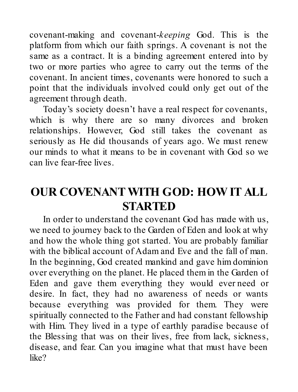covenant-making and covenant-*keeping* God. This is the platform from which our faith springs. A covenant is not the same as a contract. It is a binding agreement entered into by two or more parties who agree to carry out the terms of the covenant. In ancient times, covenants were honored to such a point that the individuals involved could only get out of the agreement through death.

Today's society doesn't have a real respect for covenants, which is why there are so many divorces and broken relationships. However, God still takes the covenant as seriously as He did thousands of years ago. We must renew our minds to what it means to be in covenant with God so we can live fear-free lives.

### **OUR COVENANTWITH GOD: HOW IT ALL STARTED**

In order to understand the covenant God has made with us, we need to journey back to the Garden of Eden and look at why and how the whole thing got started. You are probably familiar with the biblical account of Adam and Eve and the fall of man. In the beginning, God created mankind and gave him dominion over everything on the planet. He placed them in the Garden of Eden and gave them everything they would ever need or desire. In fact, they had no awareness of needs or wants because everything was provided for them. They were spiritually connected to the Father and had constant fellowship with Him. They lived in a type of earthly paradise because of the Blessing that was on their lives, free from lack, sickness, disease, and fear. Can you imagine what that must have been like?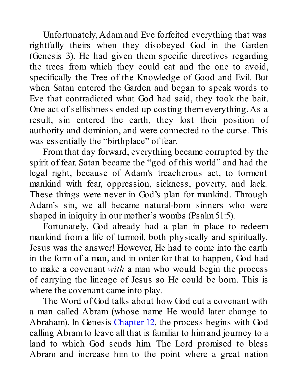Unfortunately, Adam and Eve forfeited everything that was rightfully theirs when they disobeyed God in the Garden (Genesis 3). He had given them specific directives regarding the trees from which they could eat and the one to avoid, specifically the Tree of the Knowledge of Good and Evil. But when Satan entered the Garden and began to speak words to Eve that contradicted what God had said, they took the bait. One act of selfishness ended up costing them everything. As a result, sin entered the earth, they lost their position of authority and dominion, and were connected to the curse. This was essentially the "birthplace" of fear.

Fromthat day forward, everything became corrupted by the spirit of fear. Satan became the "god of this world" and had the legal right, because of Adam's treacherous act, to torment mankind with fear, oppression, sickness, poverty, and lack. These things were never in God's plan for mankind. Through Adam's sin, we all became natural-born sinners who were shaped in iniquity in our mother's wombs (Psalm51:5).

Fortunately, God already had a plan in place to redeem mankind from a life of turmoil, both physically and spiritually. Jesus was the answer! However, He had to come into the earth in the form of a man, and in order for that to happen, God had to make a covenant *with* a man who would begin the process of carrying the lineage of Jesus so He could be born. This is where the covenant came into play.

The Word of God talks about how God cut a covenant with a man called Abram (whose name He would later change to Abraham). In Genesis Chapter 12, the process begins with God calling Abramto leave all that is familiar to himand journey to a land to which God sends him. The Lord promised to bless Abram and increase him to the point where a great nation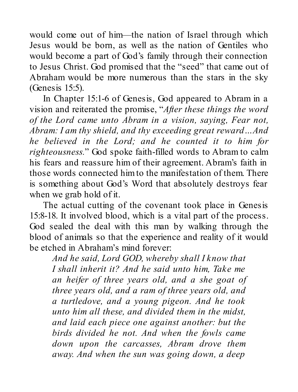would come out of him—the nation of Israel through which Jesus would be born, as well as the nation of Gentiles who would become a part of God's family through their connection to Jesus Christ. God promised that the "seed" that came out of Abraham would be more numerous than the stars in the sky (Genesis 15:5).

In Chapter 15:1-6 of Genesis, God appeared to Abram in a vision and reiterated the promise, "*After these things the word of the Lord came unto Abram in a vision, saying, Fear not, Abram: I am thy shield, and thy exceeding great reward…And he believed in the Lord; and he counted it to him for righteousness.*" God spoke faith-filled words to Abram to calm his fears and reassure him of their agreement. Abram's faith in those words connected himto the manifestation of them. There is something about God's Word that absolutely destroys fear when we grab hold of it.

The actual cutting of the covenant took place in Genesis 15:8-18. It involved blood, which is a vital part of the process. God sealed the deal with this man by walking through the blood of animals so that the experience and reality of it would be etched in Abraham's mind forever:

*And he said, Lord GOD, whereby shall I know that I shall inherit it? And he said unto him, Take me an heifer of three years old, and a she goat of three years old, and a ram of three years old, and a turtledove, and a young pigeon. And he took unto him all these, and divided them in the midst, and laid each piece one against another: but the birds divided he not. And when the fowls came down upon the carcasses, Abram drove them away. And when the sun was going down, a deep*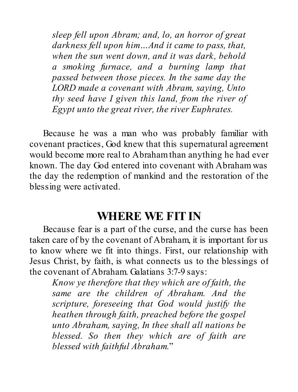*sleep fell upon Abram; and, lo, an horror of great darkness fell upon him…And it came to pass, that, when the sun went down, and it was dark, behold a smoking furnace, and a burning lamp that passed between those pieces. In the same day the LORD made a covenant with Abram, saying, Unto thy seed have I given this land, from the river of Egypt unto the great river, the river Euphrates.*

Because he was a man who was probably familiar with covenant practices, God knew that this supernatural agreement would become more real to Abrahamthan anything he had ever known. The day God entered into covenant with Abraham was the day the redemption of mankind and the restoration of the blessing were activated.

#### **WHERE WE FITIN**

Because fear is a part of the curse, and the curse has been taken care of by the covenant of Abraham, it is important for us to know where we fit into things. First, our relationship with Jesus Christ, by faith, is what connects us to the blessings of the covenant of Abraham. Galatians 3:7-9 says:

*Know ye therefore that they which are of faith, the same are the children of Abraham. And the scripture, foreseeing that God would justify the heathen through faith, preached before the gospel unto Abraham, saying, In thee shall all nations be blessed. So then they which are of faith are blessed with faithful Abraham.*"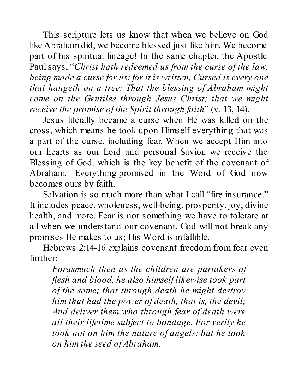This scripture lets us know that when we believe on God like Abraham did, we become blessed just like him. We become part of his spiritual lineage! In the same chapter, the Apostle Paulsays, "*Christ hath redeemed us from the curse of the law, being made a curse for us: for it is written, Cursed is every one that hangeth on a tree: That the blessing of Abraham might come on the Gentiles through Jesus Christ; that we might receive the promise of the Spirit through faith*" (v. 13, 14).

Jesus literally became a curse when He was killed on the cross, which means he took upon Himself everything that was a part of the curse, including fear. When we accept Him into our hearts as our Lord and personal Savior, we receive the Blessing of God, which is the key benefit of the covenant of Abraham. Everything promised in the Word of God now becomes ours by faith.

Salvation is so much more than what I call "fire insurance." It includes peace, wholeness, well-being, prosperity, joy, divine health, and more. Fear is not something we have to tolerate at all when we understand our covenant. God will not break any promises He makes to us; His Word is infallible.

Hebrews 2:14-16 explains covenant freedom from fear even further:

*Forasmuch then as the children are partakers of flesh and blood, he also himself likewise took part of the same; that through death he might destroy him that had the power of death, that is, the devil; And deliver them who through fear of death were all their lifetime subject to bondage. For verily he took not on him the nature of angels; but he took on him the seed of Abraham.*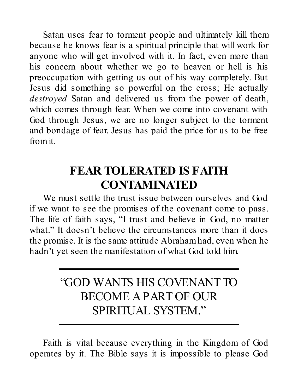Satan uses fear to torment people and ultimately kill them because he knows fear is a spiritual principle that will work for anyone who will get involved with it. In fact, even more than his concern about whether we go to heaven or hell is his preoccupation with getting us out of his way completely. But Jesus did something so powerful on the cross; He actually *destroyed* Satan and delivered us from the power of death, which comes through fear. When we come into covenant with God through Jesus, we are no longer subject to the torment and bondage of fear. Jesus has paid the price for us to be free fromit.

#### **FEAR TOLERATED IS FAITH CONTAMINATED**

We must settle the trust issue between ourselves and God if we want to see the promises of the covenant come to pass. The life of faith says, "I trust and believe in God, no matter what." It doesn't believe the circumstances more than it does the promise. It is the same attitude Abrahamhad, even when he hadn't yet seen the manifestation of what God told him.

### "GOD WANTS HIS COVENANT TO BECOME A PART OF OUR SPIRITUAL SYSTEM."

Faith is vital because everything in the Kingdom of God operates by it. The Bible says it is impossible to please God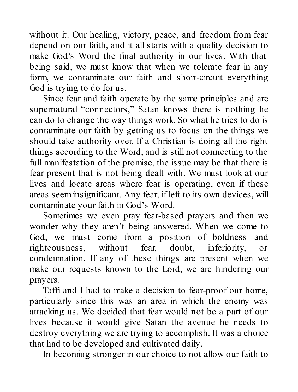without it. Our healing, victory, peace, and freedom from fear depend on our faith, and it all starts with a quality decision to make God's Word the final authority in our lives. With that being said, we must know that when we tolerate fear in any form, we contaminate our faith and short-circuit everything God is trying to do for us.

Since fear and faith operate by the same principles and are supernatural "connectors," Satan knows there is nothing he can do to change the way things work. So what he tries to do is contaminate our faith by getting us to focus on the things we should take authority over. If a Christian is doing all the right things according to the Word, and is still not connecting to the full manifestation of the promise, the issue may be that there is fear present that is not being dealt with. We must look at our lives and locate areas where fear is operating, even if these areas seeminsignificant. Any fear, if left to its own devices, will contaminate your faith in God's Word.

Sometimes we even pray fear-based prayers and then we wonder why they aren't being answered. When we come to God, we must come from a position of boldness and righteousness. without fear, doubt. inferiority, or righteousness, without fear, doubt, inferiority, or condemnation. If any of these things are present when we make our requests known to the Lord, we are hindering our prayers.

Taffi and I had to make a decision to fear-proof our home, particularly since this was an area in which the enemy was attacking us. We decided that fear would not be a part of our lives because it would give Satan the avenue he needs to destroy everything we are trying to accomplish. It was a choice that had to be developed and cultivated daily.

In becoming stronger in our choice to not allow our faith to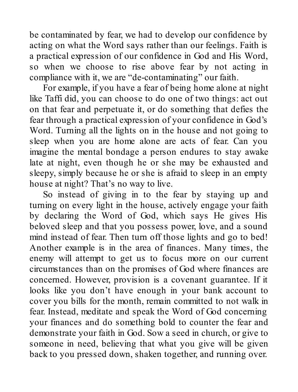be contaminated by fear, we had to develop our confidence by acting on what the Word says rather than our feelings. Faith is a practical expression of our confidence in God and His Word, so when we choose to rise above fear by not acting in compliance with it, we are "de-contaminating" our faith.

For example, if you have a fear of being home alone at night like Taffi did, you can choose to do one of two things: act out on that fear and perpetuate it, or do something that defies the fear through a practical expression of your confidence in God's Word. Turning all the lights on in the house and not going to sleep when you are home alone are acts of fear. Can you imagine the mental bondage a person endures to stay awake late at night, even though he or she may be exhausted and sleepy, simply because he or she is afraid to sleep in an empty house at night? That's no way to live.

So instead of giving in to the fear by staying up and turning on every light in the house, actively engage your faith by declaring the Word of God, which says He gives His beloved sleep and that you possess power, love, and a sound mind instead of fear. Then turn off those lights and go to bed! Another example is in the area of finances. Many times, the enemy will attempt to get us to focus more on our current circumstances than on the promises of God where finances are concerned. However, provision is a covenant guarantee. If it looks like you don't have enough in your bank account to cover you bills for the month, remain committed to not walk in fear. Instead, meditate and speak the Word of God concerning your finances and do something bold to counter the fear and demonstrate your faith in God. Sow a seed in church, or give to someone in need, believing that what you give will be given back to you pressed down, shaken together, and running over.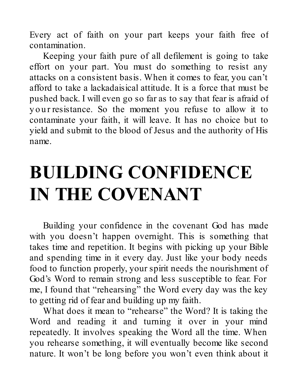Every act of faith on your part keeps your faith free of contamination.

Keeping your faith pure of all defilement is going to take effort on your part. You must do something to resist any attacks on a consistent basis. When it comes to fear, you can't afford to take a lackadaisical attitude. It is a force that must be pushed back. I will even go so far as to say that fear is afraid of your resistance. So the moment you refuse to allow it to contaminate your faith, it will leave. It has no choice but to yield and submit to the blood of Jesus and the authority of His name.

# **BUILDING CONFIDENCE IN THE COVENANT**

Building your confidence in the covenant God has made with you doesn't happen overnight. This is something that takes time and repetition. It begins with picking up your Bible and spending time in it every day. Just like your body needs food to function properly, your spirit needs the nourishment of God's Word to remain strong and less susceptible to fear. For me, I found that "rehearsing" the Word every day was the key to getting rid of fear and building up my faith.

What does it mean to "rehearse" the Word? It is taking the Word and reading it and turning it over in your mind repeatedly. It involves speaking the Word all the time. When you rehearse something, it will eventually become like second nature. It won't be long before you won't even think about it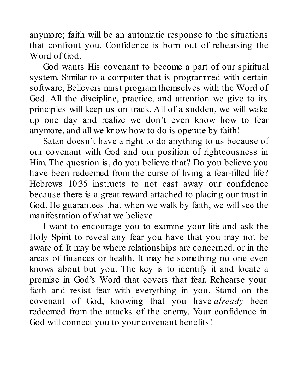anymore; faith will be an automatic response to the situations that confront you. Confidence is born out of rehearsing the Word of God.

God wants His covenant to become a part of our spiritual system. Similar to a computer that is programmed with certain software, Believers must program themselves with the Word of God. All the discipline, practice, and attention we give to its principles will keep us on track. All of a sudden, we will wake up one day and realize we don't even know how to fear anymore, and all we know how to do is operate by faith!

Satan doesn't have a right to do anything to us because of our covenant with God and our position of righteousness in Him. The question is, do you believe that? Do you believe you have been redeemed from the curse of living a fear-filled life? Hebrews 10:35 instructs to not cast away our confidence because there is a great reward attached to placing our trust in God. He guarantees that when we walk by faith, we will see the manifestation of what we believe.

I want to encourage you to examine your life and ask the Holy Spirit to reveal any fear you have that you may not be aware of. It may be where relationships are concerned, or in the areas of finances or health. It may be something no one even knows about but you. The key is to identify it and locate a promise in God's Word that covers that fear. Rehearse your faith and resist fear with everything in you. Stand on the covenant of God, knowing that you have *already* been redeemed from the attacks of the enemy. Your confidence in God will connect you to your covenant benefits!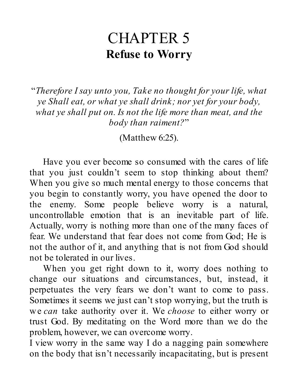## CHAPTER 5 **Refuse to Worry**

"*Therefore I say unto you, Take no thought for your life, what ye Shall eat, or what ye shall drink; nor yet for your body, what ye shall put on. Is not the life more than meat, and the body than raiment?*"

(Matthew 6:25).

Have you ever become so consumed with the cares of life that you just couldn't seem to stop thinking about them? When you give so much mental energy to those concerns that you begin to constantly worry, you have opened the door to the enemy. Some people believe worry is a natural, uncontrollable emotion that is an inevitable part of life. Actually, worry is nothing more than one of the many faces of fear. We understand that fear does not come from God; He is not the author of it, and anything that is not from God should not be tolerated in our lives.

When you get right down to it, worry does nothing to change our situations and circumstances, but, instead, it perpetuates the very fears we don't want to come to pass. Sometimes it seems we just can't stop worrying, but the truth is we *can* take authority over it. We *choose* to either worry or trust God. By meditating on the Word more than we do the problem, however, we can overcome worry.

I view worry in the same way I do a nagging pain somewhere on the body that isn't necessarily incapacitating, but is present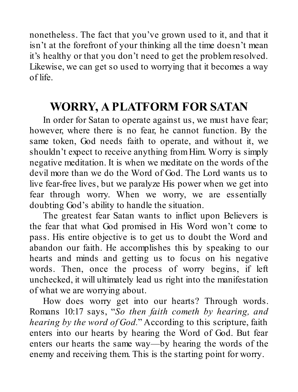nonetheless. The fact that you've grown used to it, and that it isn't at the forefront of your thinking all the time doesn't mean it's healthy or that you don't need to get the problem resolved. Likewise, we can get so used to worrying that it becomes a way of life.

#### **WORRY, A PLATFORM FOR SATAN**

In order for Satan to operate against us, we must have fear; however, where there is no fear, he cannot function. By the same token, God needs faith to operate, and without it, we shouldn't expect to receive anything fromHim. Worry is simply negative meditation. It is when we meditate on the words of the devil more than we do the Word of God. The Lord wants us to live fear-free lives, but we paralyze His power when we get into fear through worry. When we worry, we are essentially doubting God's ability to handle the situation.

The greatest fear Satan wants to inflict upon Believers is the fear that what God promised in His Word won't come to pass. His entire objective is to get us to doubt the Word and abandon our faith. He accomplishes this by speaking to our hearts and minds and getting us to focus on his negative words. Then, once the process of worry begins, if left unchecked, it will ultimately lead us right into the manifestation of what we are worrying about.

How does worry get into our hearts? Through words. Romans 10:17 says, "*So then faith cometh by hearing, and hearing by the word of God.*" According to this scripture, faith enters into our hearts by hearing the Word of God. But fear enters our hearts the same way—by hearing the words of the enemy and receiving them. This is the starting point for worry.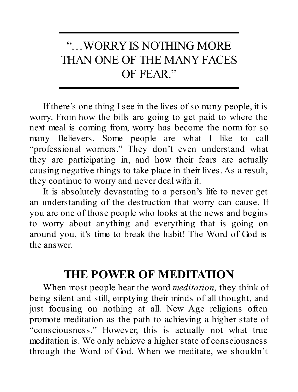### "…WORRY IS NOTHING MORE THAN ONE OF THE MANY FACES OF FEAR<sup>"</sup>

If there's one thing I see in the lives of so many people, it is worry. From how the bills are going to get paid to where the next meal is coming from, worry has become the norm for so many Believers. Some people are what I like to call "professional worriers." They don't even understand what they are participating in, and how their fears are actually causing negative things to take place in their lives. As a result, they continue to worry and never deal with it.

It is absolutely devastating to a person's life to never get an understanding of the destruction that worry can cause. If you are one of those people who looks at the news and begins to worry about anything and everything that is going on around you, it's time to break the habit! The Word of God is the answer.

#### **THE POWER OF MEDITATION**

When most people hear the word *meditation,* they think of being silent and still, emptying their minds of all thought, and just focusing on nothing at all. New Age religions often promote meditation as the path to achieving a higher state of "consciousness." However, this is actually not what true meditation is. We only achieve a higher state of consciousness through the Word of God. When we meditate, we shouldn't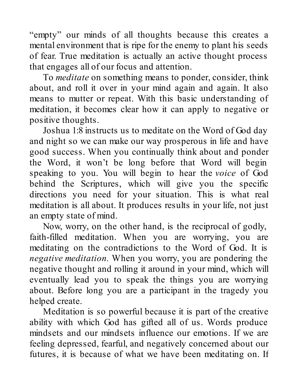"empty" our minds of all thoughts because this creates a mental environment that is ripe for the enemy to plant his seeds of fear. True meditation is actually an active thought process that engages all of our focus and attention.

To *meditate* on something means to ponder, consider, think about, and roll it over in your mind again and again. It also means to mutter or repeat. With this basic understanding of meditation, it becomes clear how it can apply to negative or positive thoughts.

Joshua 1:8 instructs us to meditate on the Word of God day and night so we can make our way prosperous in life and have good success. When you continually think about and ponder the Word, it won't be long before that Word will begin speaking to you. You will begin to hear the *voice* of God behind the Scriptures, which will give you the specific directions you need for your situation. This is what real meditation is all about. It produces results in your life, not just an empty state of mind.

Now, worry, on the other hand, is the reciprocal of godly, faith-filled meditation. When you are worrying, you are meditating on the contradictions to the Word of God. It is *negative meditation.* When you worry, you are pondering the negative thought and rolling it around in your mind, which will eventually lead you to speak the things you are worrying about. Before long you are a participant in the tragedy you helped create.

Meditation is so powerful because it is part of the creative ability with which God has gifted all of us. Words produce mindsets and our mindsets influence our emotions. If we are feeling depressed, fearful, and negatively concerned about our futures, it is because of what we have been meditating on. If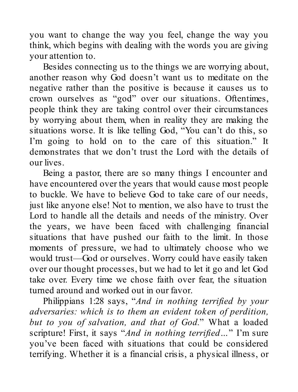you want to change the way you feel, change the way you think, which begins with dealing with the words you are giving your attention to.

Besides connecting us to the things we are worrying about, another reason why God doesn't want us to meditate on the negative rather than the positive is because it causes us to crown ourselves as "god" over our situations. Oftentimes, people think they are taking control over their circumstances by worrying about them, when in reality they are making the situations worse. It is like telling God, "You can't do this, so I'm going to hold on to the care of this situation." It demonstrates that we don't trust the Lord with the details of our lives.

Being a pastor, there are so many things I encounter and have encountered over the years that would cause most people to buckle. We have to believe God to take care of our needs, just like anyone else! Not to mention, we also have to trust the Lord to handle all the details and needs of the ministry. Over the years, we have been faced with challenging financial situations that have pushed our faith to the limit. In those moments of pressure, we had to ultimately choose who we would trust—God or ourselves. Worry could have easily taken over our thought processes, but we had to let it go and let God take over. Every time we chose faith over fear, the situation turned around and worked out in our favor.

Philippians 1:28 says, "*And in nothing terrified by your adversaries: which is to them an evident token of perdition, but to you of salvation, and that of God.*" What a loaded scripture! First, it says "*And in nothing terrified…*" I'm sure you've been faced with situations that could be considered terrifying. Whether it is a financial crisis, a physical illness, or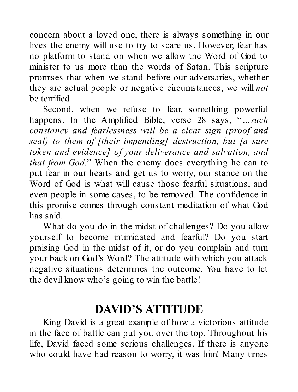concern about a loved one, there is always something in our lives the enemy will use to try to scare us. However, fear has no platform to stand on when we allow the Word of God to minister to us more than the words of Satan. This scripture promises that when we stand before our adversaries, whether they are actual people or negative circumstances, we will *not* be terrified.

Second, when we refuse to fear, something powerful happens. In the Amplified Bible, verse 28 says, "*…such constancy and fearlessness will be a clear sign (proof and seal) to them of [their impending] destruction, but [a sure token and evidence] of your deliverance and salvation, and that from God.*" When the enemy does everything he can to put fear in our hearts and get us to worry, our stance on the Word of God is what will cause those fearful situations, and even people in some cases, to be removed. The confidence in this promise comes through constant meditation of what God has said.

What do you do in the midst of challenges? Do you allow yourself to become intimidated and fearful? Do you start praising God in the midst of it, or do you complain and turn your back on God's Word? The attitude with which you attack negative situations determines the outcome. You have to let the devil know who's going to win the battle!

#### **DAVID'S ATTITUDE**

King David is a great example of how a victorious attitude in the face of battle can put you over the top. Throughout his life, David faced some serious challenges. If there is anyone who could have had reason to worry, it was him! Many times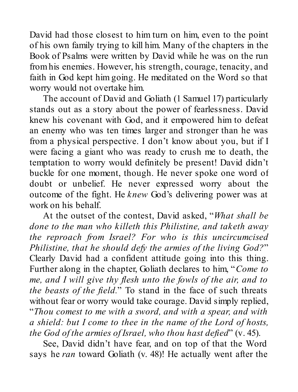David had those closest to him turn on him, even to the point of his own family trying to kill him. Many of the chapters in the Book of Psalms were written by David while he was on the run fromhis enemies. However, his strength, courage, tenacity, and faith in God kept him going. He meditated on the Word so that worry would not overtake him.

The account of David and Goliath (1 Samuel 17) particularly stands out as a story about the power of fearlessness. David knew his covenant with God, and it empowered him to defeat an enemy who was ten times larger and stronger than he was from a physical perspective. I don't know about you, but if I were facing a giant who was ready to crush me to death, the temptation to worry would definitely be present! David didn't buckle for one moment, though. He never spoke one word of doubt or unbelief. He never expressed worry about the outcome of the fight. He *knew* God's delivering power was at work on his behalf.

At the outset of the contest, David asked, "*What shall be done to the man who killeth this Philistine, and taketh away the reproach from Israel? For who is this uncircumcised Philistine, that he should defy the armies of the living God?*" Clearly David had a confident attitude going into this thing. Further along in the chapter, Goliath declares to him, "*Come to me, and I will give thy flesh unto the fowls of the air, and to the beasts of the field.*" To stand in the face of such threats without fear or worry would take courage. David simply replied, "*Thou comest to me with a sword, and with a spear, and with a shield: but I come to thee in the name of the Lord of hosts, the God of the armies of Israel, who thou hast defied*" (v. 45).

See, David didn't have fear, and on top of that the Word says he *ran* toward Goliath (v. 48)! He actually went after the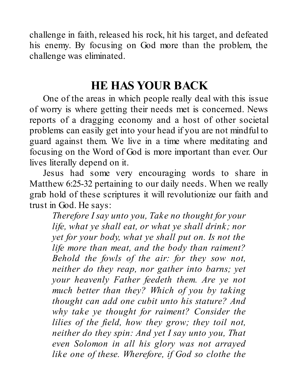challenge in faith, released his rock, hit his target, and defeated his enemy. By focusing on God more than the problem, the challenge was eliminated.

#### **HE HAS YOUR BACK**

One of the areas in which people really deal with this issue of worry is where getting their needs met is concerned. News reports of a dragging economy and a host of other societal problems can easily get into your head if you are not mindful to guard against them. We live in a time where meditating and focusing on the Word of God is more important than ever. Our lives literally depend on it.

Jesus had some very encouraging words to share in Matthew 6:25-32 pertaining to our daily needs. When we really grab hold of these scriptures it will revolutionize our faith and trust in God. He says:

*Therefore I say unto you, Take no thought for your life, what ye shall eat, or what ye shall drink; nor yet for your body, what ye shall put on. Is not the life more than meat, and the body than raiment? Behold the fowls of the air: for they sow not, neither do they reap, nor gather into barns; yet your heavenly Father feedeth them. Are ye not much better than they? Which of you by taking thought can add one cubit unto his stature? And why take ye thought for raiment? Consider the lilies of the field, how they grow; they toil not, neither do they spin: And yet I say unto you, That even Solomon in all his glory was not arrayed like one of these. Wherefore, if God so clothe the*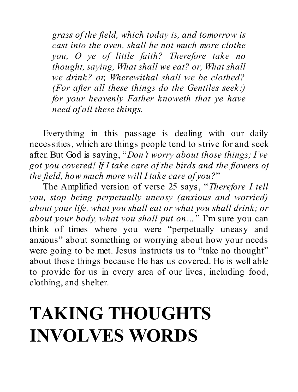*grass of the field, which today is, and tomorrow is cast into the oven, shall he not much more clothe you, O ye of little faith? Therefore take no thought, saying, What shall we eat? or, What shall we drink? or, Wherewithal shall we be clothed? (For after all these things do the Gentiles seek:) for your heavenly Father knoweth that ye have need of all these things.*

Everything in this passage is dealing with our daily necessities, which are things people tend to strive for and seek after. But God is saying, "*Don't worry about those things; I've got you covered! If I take care of the birds and the flowers of the field, how much more will I take care of you?*"

The Amplified version of verse 25 says, "*Therefore I tell you, stop being perpetually uneasy (anxious and worried) about your life, what you shall eat or what you shall drink; or about your body, what you shall put on…*" I'm sure you can think of times where you were "perpetually uneasy and anxious" about something or worrying about how your needs were going to be met. Jesus instructs us to "take no thought" about these things because He has us covered. He is well able to provide for us in every area of our lives, including food, clothing, and shelter.

## **TAKING THOUGHTS INVOLVES WORDS**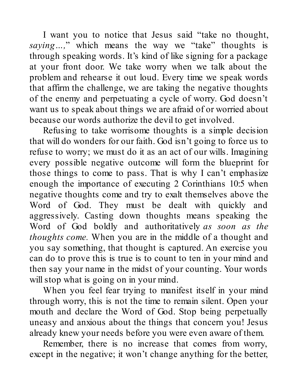I want you to notice that Jesus said "take no thought, *saying…,*" which means the way we "take" thoughts is through speaking words. It's kind of like signing for a package at your front door. We take worry when we talk about the problem and rehearse it out loud. Every time we speak words that affirm the challenge, we are taking the negative thoughts of the enemy and perpetuating a cycle of worry. God doesn't want us to speak about things we are afraid of or worried about because our words authorize the devil to get involved.

Refusing to take worrisome thoughts is a simple decision that will do wonders for our faith. God isn't going to force us to refuse to worry; we must do it as an act of our wills. Imagining every possible negative outcome will form the blueprint for those things to come to pass. That is why I can't emphasize enough the importance of executing 2 Corinthians 10:5 when negative thoughts come and try to exalt themselves above the Word of God. They must be dealt with quickly and aggressively. Casting down thoughts means speaking the Word of God boldly and authoritatively *as soon as the thoughts come.* When you are in the middle of a thought and you say something, that thought is captured. An exercise you can do to prove this is true is to count to ten in your mind and then say your name in the midst of your counting. Your words willstop what is going on in your mind.

When you feel fear trying to manifest itself in your mind through worry, this is not the time to remain silent. Open your mouth and declare the Word of God. Stop being perpetually uneasy and anxious about the things that concern you! Jesus already knew your needs before you were even aware of them.

Remember, there is no increase that comes from worry, except in the negative; it won't change anything for the better,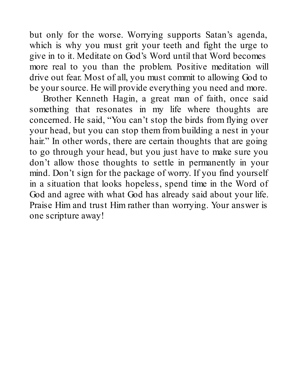but only for the worse. Worrying supports Satan's agenda, which is why you must grit your teeth and fight the urge to give in to it. Meditate on God's Word until that Word becomes more real to you than the problem. Positive meditation will drive out fear. Most of all, you must commit to allowing God to be your source. He will provide everything you need and more.

Brother Kenneth Hagin, a great man of faith, once said something that resonates in my life where thoughts are concerned. He said, "You can't stop the birds from flying over your head, but you can stop them from building a nest in your hair." In other words, there are certain thoughts that are going to go through your head, but you just have to make sure you don't allow those thoughts to settle in permanently in your mind. Don't sign for the package of worry. If you find yourself in a situation that looks hopeless, spend time in the Word of God and agree with what God has already said about your life. Praise Him and trust Him rather than worrying. Your answer is one scripture away!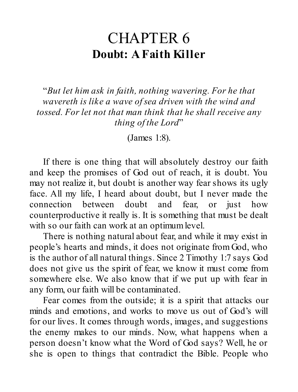## CHAPTER 6 **Doubt: A Faith Killer**

"*But let him ask in faith, nothing wavering. For he that wavereth is like a wave ofsea driven with the wind and tossed. For let not that man think that he shall receive any thing of the Lord*"

(James 1:8).

If there is one thing that will absolutely destroy our faith and keep the promises of God out of reach, it is doubt. You may not realize it, but doubt is another way fear shows its ugly face. All my life, I heard about doubt, but I never made the connection between doubt and fear, or just how counterproductive it really is. It is something that must be dealt with so our faith can work at an optimum level.

There is nothing natural about fear, and while it may exist in people's hearts and minds, it does not originate from God, who is the author of all natural things. Since 2 Timothy 1:7 says God does not give us the spirit of fear, we know it must come from somewhere else. We also know that if we put up with fear in any form, our faith will be contaminated.

Fear comes from the outside; it is a spirit that attacks our minds and emotions, and works to move us out of God's will for our lives. It comes through words, images, and suggestions the enemy makes to our minds. Now, what happens when a person doesn't know what the Word of God says? Well, he or she is open to things that contradict the Bible. People who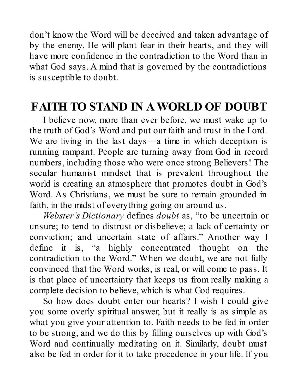don't know the Word will be deceived and taken advantage of by the enemy. He will plant fear in their hearts, and they will have more confidence in the contradiction to the Word than in what God says. A mind that is governed by the contradictions is susceptible to doubt.

#### **FAITH TO STAND IN AWORLD OF DOUBT**

I believe now, more than ever before, we must wake up to the truth of God's Word and put our faith and trust in the Lord. We are living in the last days—a time in which deception is running rampant. People are turning away from God in record numbers, including those who were once strong Believers! The secular humanist mindset that is prevalent throughout the world is creating an atmosphere that promotes doubt in God's Word. As Christians, we must be sure to remain grounded in faith, in the midst of everything going on around us.

*Webster's Dictionary* defines *doubt* as, "to be uncertain or unsure; to tend to distrust or disbelieve; a lack of certainty or conviction; and uncertain state of affairs." Another way I define it is, "a highly concentrated thought on the contradiction to the Word." When we doubt, we are not fully convinced that the Word works, is real, or will come to pass. It is that place of uncertainty that keeps us from really making a complete decision to believe, which is what God requires.

So how does doubt enter our hearts? I wish I could give you some overly spiritual answer, but it really is as simple as what you give your attention to. Faith needs to be fed in order to be strong, and we do this by filling ourselves up with God's Word and continually meditating on it. Similarly, doubt must also be fed in order for it to take precedence in your life. If you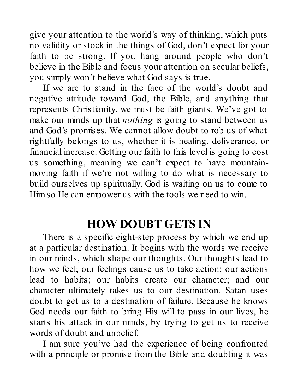give your attention to the world's way of thinking, which puts no validity or stock in the things of God, don't expect for your faith to be strong. If you hang around people who don't believe in the Bible and focus your attention on secular beliefs, you simply won't believe what God says is true.

If we are to stand in the face of the world's doubt and negative attitude toward God, the Bible, and anything that represents Christianity, we must be faith giants. We've got to make our minds up that *nothing* is going to stand between us and God's promises. We cannot allow doubt to rob us of what rightfully belongs to us, whether it is healing, deliverance, or financial increase. Getting our faith to this level is going to cost us something, meaning we can't expect to have mountainmoving faith if we're not willing to do what is necessary to build ourselves up spiritually. God is waiting on us to come to Himso He can empower us with the tools we need to win.

#### **HOW DOUBT GETS IN**

There is a specific eight-step process by which we end up at a particular destination. It begins with the words we receive in our minds, which shape our thoughts. Our thoughts lead to how we feel; our feelings cause us to take action; our actions lead to habits; our habits create our character; and our character ultimately takes us to our destination. Satan uses doubt to get us to a destination of failure. Because he knows God needs our faith to bring His will to pass in our lives, he starts his attack in our minds, by trying to get us to receive words of doubt and unbelief.

I am sure you've had the experience of being confronted with a principle or promise from the Bible and doubting it was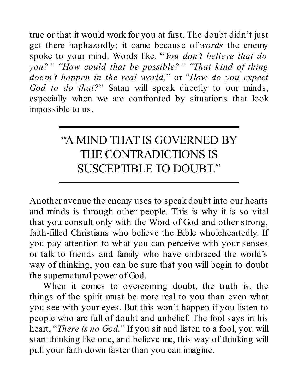true or that it would work for you at first. The doubt didn't just get there haphazardly; it came because of *words* the enemy spoke to your mind. Words like, "*You don't believe that do you?" "How could that be possible?" "That kind of thing doesn't happen in the real world,*" or "*How do you expect God to do that?*" Satan will speak directly to our minds, especially when we are confronted by situations that look impossible to us.

### "A MIND THAT IS GOVERNED BY THE CONTRADICTIONS IS SUSCEPTIBLE TO DOUBT."

Another avenue the enemy uses to speak doubt into our hearts and minds is through other people. This is why it is so vital that you consult only with the Word of God and other strong, faith-filled Christians who believe the Bible wholeheartedly. If you pay attention to what you can perceive with your senses or talk to friends and family who have embraced the world's way of thinking, you can be sure that you will begin to doubt the supernatural power of God.

When it comes to overcoming doubt, the truth is, the things of the spirit must be more real to you than even what you see with your eyes. But this won't happen if you listen to people who are full of doubt and unbelief. The fool says in his heart, "*There is no God.*" If you sit and listen to a fool, you will start thinking like one, and believe me, this way of thinking will pull your faith down faster than you can imagine.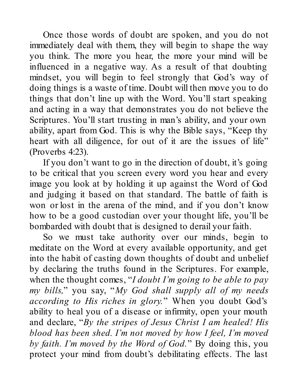Once those words of doubt are spoken, and you do not immediately deal with them, they will begin to shape the way you think. The more you hear, the more your mind will be influenced in a negative way. As a result of that doubting mindset, you will begin to feel strongly that God's way of doing things is a waste of time. Doubt will then move you to do things that don't line up with the Word. You'll start speaking and acting in a way that demonstrates you do not believe the Scriptures. You'll start trusting in man's ability, and your own ability, apart from God. This is why the Bible says, "Keep thy heart with all diligence, for out of it are the issues of life" (Proverbs 4:23).

If you don't want to go in the direction of doubt, it's going to be critical that you screen every word you hear and every image you look at by holding it up against the Word of God and judging it based on that standard. The battle of faith is won or lost in the arena of the mind, and if you don't know how to be a good custodian over your thought life, you'll be bombarded with doubt that is designed to derail your faith.

So we must take authority over our minds, begin to meditate on the Word at every available opportunity, and get into the habit of casting down thoughts of doubt and unbelief by declaring the truths found in the Scriptures. For example, when the thought comes, "*I doubt I'm going to be able to pay my bills,*" you say, "*My God shall supply all of my needs according to His riches in glory.*" When you doubt God's ability to heal you of a disease or infirmity, open your mouth and declare, "*By the stripes of Jesus Christ I am healed! His blood has been shed. I'm not moved by how I feel, I'm moved by faith. I'm moved by the Word of God.*" By doing this, you protect your mind from doubt's debilitating effects. The last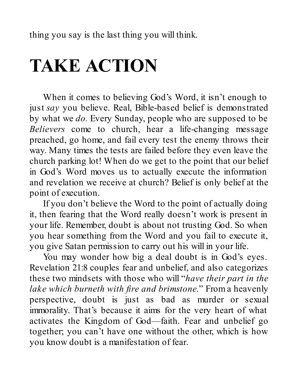thing you say is the last thing you will think.

## **TAKE ACTION**

When it comes to believing God's Word, it isn't enough to just *say* you believe. Real, Bible-based belief is demonstrated by what we *do.* Every Sunday, people who are supposed to be *Believers* come to church, hear a life-changing message preached, go home, and fail every test the enemy throws their way. Many times the tests are failed before they even leave the church parking lot! When do we get to the point that our belief in God's Word moves us to actually execute the information and revelation we receive at church? Belief is only belief at the point of execution.

If you don't believe the Word to the point of actually doing it, then fearing that the Word really doesn't work is present in your life. Remember, doubt is about not trusting God. So when you hear something from the Word and you fail to execute it, you give Satan permission to carry out his will in your life.

You may wonder how big a deal doubt is in God's eyes. Revelation 21:8 couples fear and unbelief, and also categorizes these two mindsets with those who will "*have their part in the lake which burneth with fire and brimstone.*" From a heavenly perspective, doubt is just as bad as murder or sexual immorality. That's because it aims for the very heart of what activates the Kingdom of God—faith. Fear and unbelief go together; you can't have one without the other, which is how you know doubt is a manifestation of fear.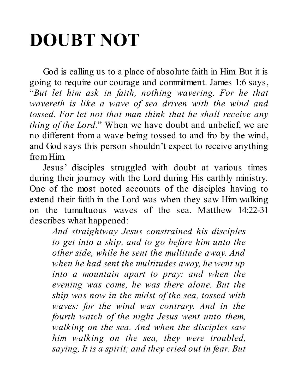# **DOUBT NOT**

God is calling us to a place of absolute faith in Him. But it is going to require our courage and commitment. James 1:6 says, "*But let him ask in faith, nothing wavering. For he that wavereth is like a wave of sea driven with the wind and tossed. For let not that man think that he shall receive any thing of the Lord.*" When we have doubt and unbelief, we are no different from a wave being tossed to and fro by the wind, and God says this person shouldn't expect to receive anything fromHim.

Jesus' disciples struggled with doubt at various times during their journey with the Lord during His earthly ministry. One of the most noted accounts of the disciples having to extend their faith in the Lord was when they saw Him walking on the tumultuous waves of the sea. Matthew 14:22-31 describes what happened:

*And straightway Jesus constrained his disciples to get into a ship, and to go before him unto the other side, while he sent the multitude away. And when he had sent the multitudes away, he went up into a mountain apart to pray: and when the evening was come, he was there alone. But the ship was now in the midst of the sea, tossed with waves: for the wind was contrary. And in the fourth watch of the night Jesus went unto them, walking on the sea. And when the disciples saw him walking on the sea, they were troubled, saying, It is a spirit; and they cried out in fear. But*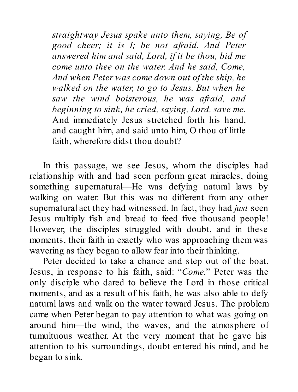*straightway Jesus spake unto them, saying, Be of good cheer; it is I; be not afraid. And Peter answered him and said, Lord, if it be thou, bid me come unto thee on the water. And he said, Come, And when Peter was come down out of the ship, he walked on the water, to go to Jesus. But when he saw the wind boisterous, he was afraid, and beginning to sink, he cried, saying, Lord, save me.* And immediately Jesus stretched forth his hand, and caught him, and said unto him, O thou of little faith, wherefore didst thou doubt?

In this passage, we see Jesus, whom the disciples had relationship with and had seen perform great miracles, doing something supernatural—He was defying natural laws by walking on water. But this was no different from any other supernatural act they had witnessed. In fact, they had *just* seen Jesus multiply fish and bread to feed five thousand people! However, the disciples struggled with doubt, and in these moments, their faith in exactly who was approaching them was wavering as they began to allow fear into their thinking.

Peter decided to take a chance and step out of the boat. Jesus, in response to his faith, said: "*Come.*" Peter was the only disciple who dared to believe the Lord in those critical moments, and as a result of his faith, he was also able to defy natural laws and walk on the water toward Jesus. The problem came when Peter began to pay attention to what was going on around him—the wind, the waves, and the atmosphere of tumultuous weather. At the very moment that he gave his attention to his surroundings, doubt entered his mind, and he began to sink.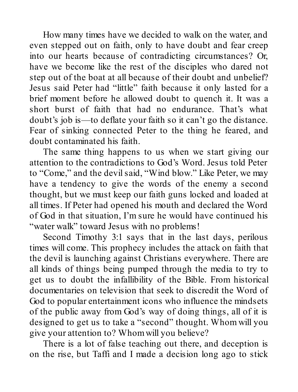How many times have we decided to walk on the water, and even stepped out on faith, only to have doubt and fear creep into our hearts because of contradicting circumstances? Or, have we become like the rest of the disciples who dared not step out of the boat at all because of their doubt and unbelief? Jesus said Peter had "little" faith because it only lasted for a brief moment before he allowed doubt to quench it. It was a short burst of faith that had no endurance. That's what doubt's job is—to deflate your faith so it can't go the distance. Fear of sinking connected Peter to the thing he feared, and doubt contaminated his faith.

The same thing happens to us when we start giving our attention to the contradictions to God's Word. Jesus told Peter to "Come," and the devilsaid, "Wind blow." Like Peter, we may have a tendency to give the words of the enemy a second thought, but we must keep our faith guns locked and loaded at all times. If Peter had opened his mouth and declared the Word of God in that situation, I'm sure he would have continued his "water walk" toward Jesus with no problems!

Second Timothy 3:1 says that in the last days, perilous times will come. This prophecy includes the attack on faith that the devil is launching against Christians everywhere. There are all kinds of things being pumped through the media to try to get us to doubt the infallibility of the Bible. From historical documentaries on television that seek to discredit the Word of God to popular entertainment icons who influence the mindsets of the public away from God's way of doing things, all of it is designed to get us to take a "second" thought. Whom will you give your attention to? Whomwill you believe?

There is a lot of false teaching out there, and deception is on the rise, but Taffi and I made a decision long ago to stick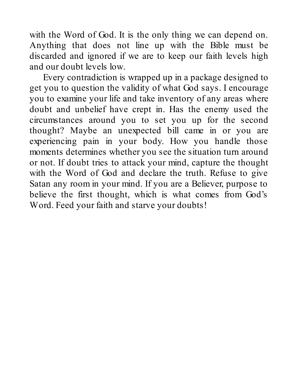with the Word of God. It is the only thing we can depend on. Anything that does not line up with the Bible must be discarded and ignored if we are to keep our faith levels high and our doubt levels low.

Every contradiction is wrapped up in a package designed to get you to question the validity of what God says. I encourage you to examine your life and take inventory of any areas where doubt and unbelief have crept in. Has the enemy used the circumstances around you to set you up for the second thought? Maybe an unexpected bill came in or you are experiencing pain in your body. How you handle those moments determines whether you see the situation turn around or not. If doubt tries to attack your mind, capture the thought with the Word of God and declare the truth. Refuse to give Satan any room in your mind. If you are a Believer, purpose to believe the first thought, which is what comes from God's Word. Feed your faith and starve your doubts!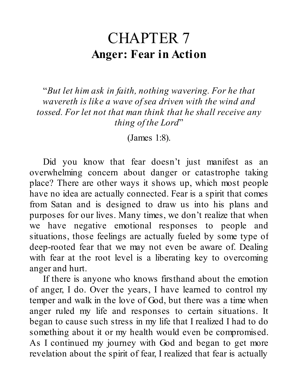### CHAPTER 7 **Anger: Fear in Action**

"*But let him ask in faith, nothing wavering. For he that wavereth is like a wave ofsea driven with the wind and tossed. For let not that man think that he shall receive any thing of the Lord*"

(James 1:8).

Did you know that fear doesn't just manifest as an overwhelming concern about danger or catastrophe taking place? There are other ways it shows up, which most people have no idea are actually connected. Fear is a spirit that comes from Satan and is designed to draw us into his plans and purposes for our lives. Many times, we don't realize that when we have negative emotional responses to people and situations, those feelings are actually fueled by some type of deep-rooted fear that we may not even be aware of. Dealing with fear at the root level is a liberating key to overcoming anger and hurt.

If there is anyone who knows firsthand about the emotion of anger, I do. Over the years, I have learned to control my temper and walk in the love of God, but there was a time when anger ruled my life and responses to certain situations. It began to cause such stress in my life that I realized I had to do something about it or my health would even be compromised. As I continued my journey with God and began to get more revelation about the spirit of fear, I realized that fear is actually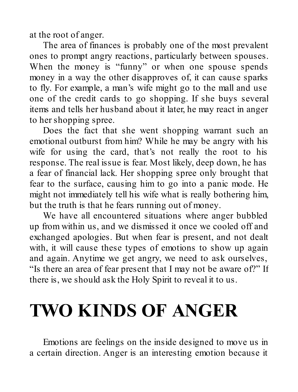at the root of anger.

The area of finances is probably one of the most prevalent ones to prompt angry reactions, particularly between spouses. When the money is "funny" or when one spouse spends money in a way the other disapproves of, it can cause sparks to fly. For example, a man's wife might go to the mall and use one of the credit cards to go shopping. If she buys several items and tells her husband about it later, he may react in anger to her shopping spree.

Does the fact that she went shopping warrant such an emotional outburst from him? While he may be angry with his wife for using the card, that's not really the root to his response. The real issue is fear. Most likely, deep down, he has a fear of financial lack. Her shopping spree only brought that fear to the surface, causing him to go into a panic mode. He might not immediately tell his wife what is really bothering him, but the truth is that he fears running out of money.

We have all encountered situations where anger bubbled up from within us, and we dismissed it once we cooled off and exchanged apologies. But when fear is present, and not dealt with, it will cause these types of emotions to show up again and again. Anytime we get angry, we need to ask ourselves, "Is there an area of fear present that I may not be aware of?" If there is, we should ask the Holy Spirit to reveal it to us.

# **TWO KINDS OF ANGER**

Emotions are feelings on the inside designed to move us in a certain direction. Anger is an interesting emotion because it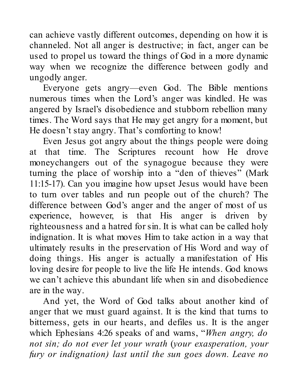can achieve vastly different outcomes, depending on how it is channeled. Not all anger is destructive; in fact, anger can be used to propel us toward the things of God in a more dynamic way when we recognize the difference between godly and ungodly anger.

Everyone gets angry—even God. The Bible mentions numerous times when the Lord's anger was kindled. He was angered by Israel's disobedience and stubborn rebellion many times. The Word says that He may get angry for a moment, but He doesn't stay angry. That's comforting to know!

Even Jesus got angry about the things people were doing at that time. The Scriptures recount how He drove moneychangers out of the synagogue because they were turning the place of worship into a "den of thieves" (Mark 11:15-17). Can you imagine how upset Jesus would have been to turn over tables and run people out of the church? The difference between God's anger and the anger of most of us experience, however, is that His anger is driven by righteousness and a hatred for sin. It is what can be called holy indignation. It is what moves Him to take action in a way that ultimately results in the preservation of His Word and way of doing things. His anger is actually a manifestation of His loving desire for people to live the life He intends. God knows we can't achieve this abundant life when sin and disobedience are in the way.

And yet, the Word of God talks about another kind of anger that we must guard against. It is the kind that turns to bitterness, gets in our hearts, and defiles us. It is the anger which Ephesians 4:26 speaks of and warns, "*When angry, do not sin; do not ever let your wrath* (*your exasperation, your fury or indignation) last until the sun goes down. Leave no*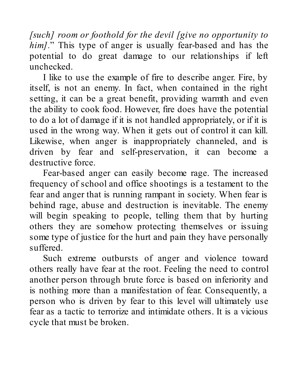*[such] room or foothold for the devil [give no opportunity to him]*." This type of anger is usually fear-based and has the potential to do great damage to our relationships if left unchecked.

I like to use the example of fire to describe anger. Fire, by itself, is not an enemy. In fact, when contained in the right setting, it can be a great benefit, providing warmth and even the ability to cook food. However, fire does have the potential to do a lot of damage if it is not handled appropriately, or if it is used in the wrong way. When it gets out of control it can kill. Likewise, when anger is inappropriately channeled, and is driven by fear and self-preservation, it can become a destructive force.

Fear-based anger can easily become rage. The increased frequency of school and office shootings is a testament to the fear and anger that is running rampant in society. When fear is behind rage, abuse and destruction is inevitable. The enemy will begin speaking to people, telling them that by hurting others they are somehow protecting themselves or issuing some type of justice for the hurt and pain they have personally suffered.

Such extreme outbursts of anger and violence toward others really have fear at the root. Feeling the need to control another person through brute force is based on inferiority and is nothing more than a manifestation of fear. Consequently, a person who is driven by fear to this level will ultimately use fear as a tactic to terrorize and intimidate others. It is a vicious cycle that must be broken.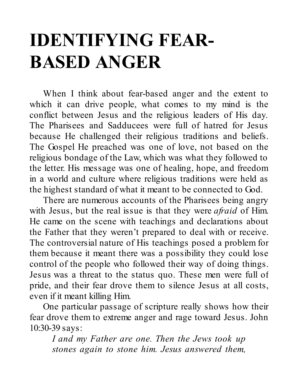# **IDENTIFYING FEAR-BASED ANGER**

When I think about fear-based anger and the extent to which it can drive people, what comes to my mind is the conflict between Jesus and the religious leaders of His day. The Pharisees and Sadducees were full of hatred for Jesus because He challenged their religious traditions and beliefs. The Gospel He preached was one of love, not based on the religious bondage of the Law, which was what they followed to the letter. His message was one of healing, hope, and freedom in a world and culture where religious traditions were held as the highest standard of what it meant to be connected to God.

There are numerous accounts of the Pharisees being angry with Jesus, but the real issue is that they were *afraid* of Him. He came on the scene with teachings and declarations about the Father that they weren't prepared to deal with or receive. The controversial nature of His teachings posed a problem for them because it meant there was a possibility they could lose control of the people who followed their way of doing things. Jesus was a threat to the status quo. These men were full of pride, and their fear drove them to silence Jesus at all costs, even if it meant killing Him.

One particular passage of scripture really shows how their fear drove them to extreme anger and rage toward Jesus. John 10:30-39 says:

*I and my Father are one. Then the Jews took up stones again to stone him. Jesus answered them,*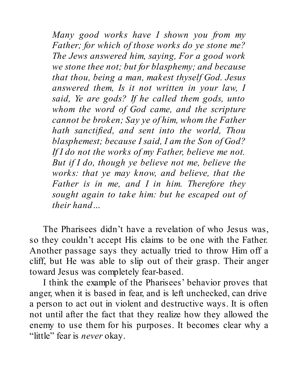*Many good works have I shown you from my Father; for which of those works do ye stone me? The Jews answered him, saying, For a good work we stone thee not; but for blasphemy; and because that thou, being a man, makest thyself God. Jesus answered them, Is it not written in your law, I said, Ye are gods? If he called them gods, unto whom the word of God came, and the scripture cannot be broken; Say ye of him, whom the Father hath sanctified, and sent into the world, Thou blasphemest; because I said, I am the Son of God? If I do not the works of my Father, believe me not. But if I do, though ye believe not me, believe the works: that ye may know, and believe, that the Father is in me, and I in him. Therefore they sought again to take him: but he escaped out of their hand…*

The Pharisees didn't have a revelation of who Jesus was, so they couldn't accept His claims to be one with the Father. Another passage says they actually tried to throw Him off a cliff, but He was able to slip out of their grasp. Their anger toward Jesus was completely fear-based.

I think the example of the Pharisees' behavior proves that anger, when it is based in fear, and is left unchecked, can drive a person to act out in violent and destructive ways. It is often not until after the fact that they realize how they allowed the enemy to use them for his purposes. It becomes clear why a "little" fear is *never* okay.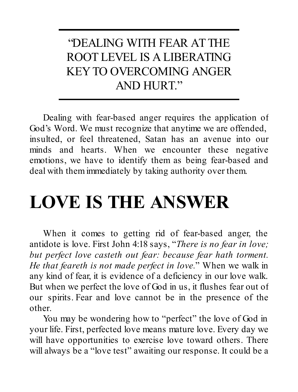### "DEALING WITH FEAR AT THE ROOT LEVEL IS A LIBERATING KEY TO OVERCOMING ANGER AND HURT"

Dealing with fear-based anger requires the application of God's Word. We must recognize that anytime we are offended, insulted, or feel threatened, Satan has an avenue into our minds and hearts. When we encounter these negative emotions, we have to identify them as being fear-based and deal with themimmediately by taking authority over them.

## **LOVE IS THE ANSWER**

When it comes to getting rid of fear-based anger, the antidote is love. First John 4:18 says, "*There is no fear in love; but perfect love casteth out fear: because fear hath torment. He that feareth is not made perfect in love.*" When we walk in any kind of fear, it is evidence of a deficiency in our love walk. But when we perfect the love of God in us, it flushes fear out of our spirits. Fear and love cannot be in the presence of the other.

You may be wondering how to "perfect" the love of God in your life. First, perfected love means mature love. Every day we will have opportunities to exercise love toward others. There will always be a "love test" awaiting our response. It could be a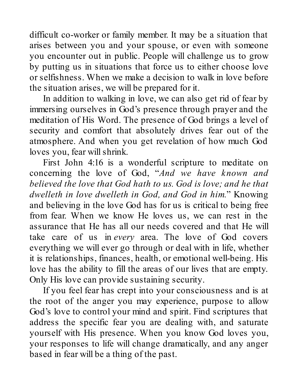difficult co-worker or family member. It may be a situation that arises between you and your spouse, or even with someone you encounter out in public. People will challenge us to grow by putting us in situations that force us to either choose love or selfishness. When we make a decision to walk in love before the situation arises, we will be prepared for it.

In addition to walking in love, we can also get rid of fear by immersing ourselves in God's presence through prayer and the meditation of His Word. The presence of God brings a level of security and comfort that absolutely drives fear out of the atmosphere. And when you get revelation of how much God loves you, fear willshrink.

First John 4:16 is a wonderful scripture to meditate on concerning the love of God, "*And we have known and believed the love that God hath to us. God is love; and he that dwelleth in love dwelleth in God, and God in him.*" Knowing and believing in the love God has for us is critical to being free from fear. When we know He loves us, we can rest in the assurance that He has all our needs covered and that He will take care of us in *every* area. The love of God covers everything we will ever go through or deal with in life, whether it is relationships, finances, health, or emotional well-being. His love has the ability to fill the areas of our lives that are empty. Only His love can provide sustaining security.

If you feel fear has crept into your consciousness and is at the root of the anger you may experience, purpose to allow God's love to control your mind and spirit. Find scriptures that address the specific fear you are dealing with, and saturate yourself with His presence. When you know God loves you, your responses to life will change dramatically, and any anger based in fear will be a thing of the past.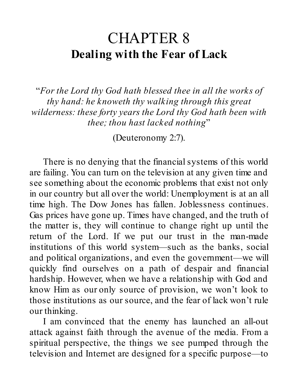## CHAPTER 8 **Dealing with the Fear of Lack**

"*For the Lord thy God hath blessed thee in all the works of thy hand: he knoweth thy walking through this great wilderness: these forty years the Lord thy God hath been with thee; thou hast lacked nothing*"

(Deuteronomy 2:7).

There is no denying that the financial systems of this world are failing. You can turn on the television at any given time and see something about the economic problems that exist not only in our country but all over the world: Unemployment is at an all time high. The Dow Jones has fallen. Joblessness continues. Gas prices have gone up. Times have changed, and the truth of the matter is, they will continue to change right up until the return of the Lord. If we put our trust in the man-made institutions of this world system—such as the banks, social and political organizations, and even the government—we will quickly find ourselves on a path of despair and financial hardship. However, when we have a relationship with God and know Him as our only source of provision, we won't look to those institutions as our source, and the fear of lack won't rule our thinking.

I am convinced that the enemy has launched an all-out attack against faith through the avenue of the media. From a spiritual perspective, the things we see pumped through the television and Internet are designed for a specific purpose—to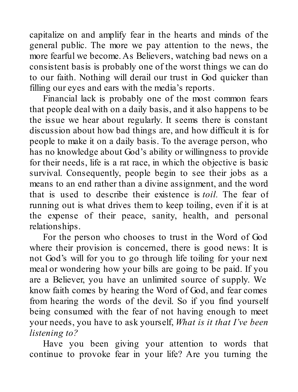capitalize on and amplify fear in the hearts and minds of the general public. The more we pay attention to the news, the more fearful we become. As Believers, watching bad news on a consistent basis is probably one of the worst things we can do to our faith. Nothing will derail our trust in God quicker than filling our eyes and ears with the media's reports.

Financial lack is probably one of the most common fears that people deal with on a daily basis, and it also happens to be the issue we hear about regularly. It seems there is constant discussion about how bad things are, and how difficult it is for people to make it on a daily basis. To the average person, who has no knowledge about God's ability or willingness to provide for their needs, life is a rat race, in which the objective is basic survival. Consequently, people begin to see their jobs as a means to an end rather than a divine assignment, and the word that is used to describe their existence is *toil.* The fear of running out is what drives them to keep toiling, even if it is at the expense of their peace, sanity, health, and personal relationships.

For the person who chooses to trust in the Word of God where their provision is concerned, there is good news: It is not God's will for you to go through life toiling for your next meal or wondering how your bills are going to be paid. If you are a Believer, you have an unlimited source of supply. We know faith comes by hearing the Word of God, and fear comes from hearing the words of the devil. So if you find yourself being consumed with the fear of not having enough to meet your needs, you have to ask yourself, *What is it that I've been listening to?*

Have you been giving your attention to words that continue to provoke fear in your life? Are you turning the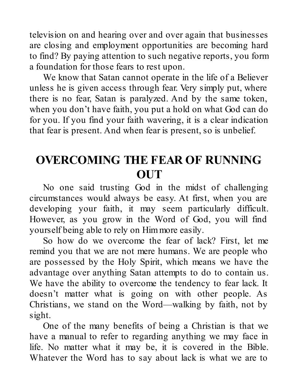television on and hearing over and over again that businesses are closing and employment opportunities are becoming hard to find? By paying attention to such negative reports, you form a foundation for those fears to rest upon.

We know that Satan cannot operate in the life of a Believer unless he is given access through fear. Very simply put, where there is no fear, Satan is paralyzed. And by the same token, when you don't have faith, you put a hold on what God can do for you. If you find your faith wavering, it is a clear indication that fear is present. And when fear is present, so is unbelief.

#### **OVERCOMING THE FEAR OF RUNNING OUT**

No one said trusting God in the midst of challenging circumstances would always be easy. At first, when you are developing your faith, it may seem particularly difficult. However, as you grow in the Word of God, you will find yourself being able to rely on Himmore easily.

So how do we overcome the fear of lack? First, let me remind you that we are not mere humans. We are people who are possessed by the Holy Spirit, which means we have the advantage over anything Satan attempts to do to contain us. We have the ability to overcome the tendency to fear lack. It doesn't matter what is going on with other people. As Christians, we stand on the Word—walking by faith, not by sight.

One of the many benefits of being a Christian is that we have a manual to refer to regarding anything we may face in life. No matter what it may be, it is covered in the Bible. Whatever the Word has to say about lack is what we are to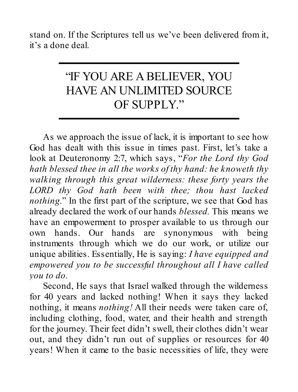stand on. If the Scriptures tell us we've been delivered from it, it's a done deal.

### "IF YOU ARE A BELIEVER, YOU HAVE AN UNLIMITED SOURCE OF SUPPLY"

As we approach the issue of lack, it is important to see how God has dealt with this issue in times past. First, let's take a look at Deuteronomy 2:7, which says, "*For the Lord thy God hath blessed thee in all the works of thy hand: he knoweth thy walking through this great wilderness: these forty years the LORD thy God hath been with thee; thou hast lacked nothing.*" In the first part of the scripture, we see that God has already declared the work of our hands *blessed.* This means we have an empowerment to prosper available to us through our own hands. Our hands are synonymous with being instruments through which we do our work, or utilize our unique abilities. Essentially, He is saying: *I have equipped and empowered you to be successful throughout all I have called you to do.*

Second, He says that Israel walked through the wilderness for 40 years and lacked nothing! When it says they lacked nothing, it means *nothing!* All their needs were taken care of, including clothing, food, water, and their health and strength for the journey. Their feet didn't swell, their clothes didn't wear out, and they didn't run out of supplies or resources for 40 years! When it came to the basic necessities of life, they were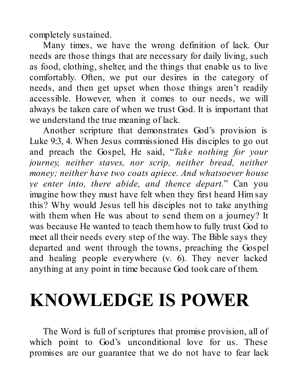completely sustained.

Many times, we have the wrong definition of lack. Our needs are those things that are necessary for daily living, such as food, clothing, shelter, and the things that enable us to live comfortably. Often, we put our desires in the category of needs, and then get upset when those things aren't readily accessible. However, when it comes to our needs, we will always be taken care of when we trust God. It is important that we understand the true meaning of lack.

Another scripture that demonstrates God's provision is Luke 9:3, 4. When Jesus commissioned His disciples to go out and preach the Gospel, He said, "*Take nothing for your journey, neither staves, nor scrip, neither bread, neither money; neither have two coats apiece. And whatsoever house ye enter into, there abide, and thence depart.*" Can you imagine how they must have felt when they first heard Him say this? Why would Jesus tell his disciples not to take anything with them when He was about to send them on a journey? It was because He wanted to teach themhow to fully trust God to meet all their needs every step of the way. The Bible says they departed and went through the towns, preaching the Gospel and healing people everywhere (v. 6). They never lacked anything at any point in time because God took care of them.

## **KNOWLEDGE IS POWER**

The Word is full of scriptures that promise provision, all of which point to God's unconditional love for us. These promises are our guarantee that we do not have to fear lack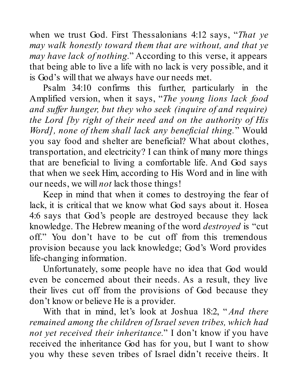when we trust God. First Thessalonians 4:12 says, "*That ye may walk honestly toward them that are without, and that ye may have lack of nothing.*" According to this verse, it appears that being able to live a life with no lack is very possible, and it is God's will that we always have our needs met.

Psalm 34:10 confirms this further, particularly in the Amplified version, when it says, "*The young lions lack food and suf er hunger, but they who seek (inquire of and require) the Lord [by right of their need and on the authority of His Word], none of them shall lack any beneficial thing.*" Would you say food and shelter are beneficial? What about clothes, transportation, and electricity? I can think of many more things that are beneficial to living a comfortable life. And God says that when we seek Him, according to His Word and in line with our needs, we will *not* lack those things!

Keep in mind that when it comes to destroying the fear of lack, it is critical that we know what God says about it. Hosea 4:6 says that God's people are destroyed because they lack knowledge. The Hebrew meaning of the word *destroyed* is "cut off." You don't have to be cut off from this tremendous provision because you lack knowledge; God's Word provides life-changing information.

Unfortunately, some people have no idea that God would even be concerned about their needs. As a result, they live their lives cut off from the provisions of God because they don't know or believe He is a provider.

With that in mind, let's look at Joshua 18:2, " *And there remained among the children of Israel seven tribes, which had not yet received their inheritance.*" I don't know if you have received the inheritance God has for you, but I want to show you why these seven tribes of Israel didn't receive theirs. It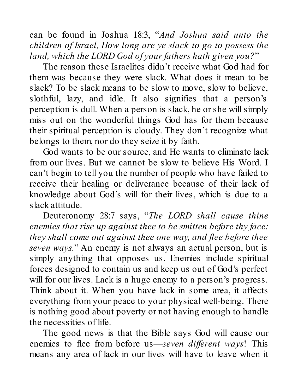can be found in Joshua 18:3, "*And Joshua said unto the children of Israel, How long are ye slack to go to possess the land, which the LORD God of your fathers hath given you?*"

The reason these Israelites didn't receive what God had for them was because they were slack. What does it mean to be slack? To be slack means to be slow to move, slow to believe, slothful, lazy, and idle. It also signifies that a person's perception is dull. When a person is slack, he or she willsimply miss out on the wonderful things God has for them because their spiritual perception is cloudy. They don't recognize what belongs to them, nor do they seize it by faith.

God wants to be our source, and He wants to eliminate lack from our lives. But we cannot be slow to believe His Word. I can't begin to tell you the number of people who have failed to receive their healing or deliverance because of their lack of knowledge about God's will for their lives, which is due to a slack attitude.

Deuteronomy 28:7 says, "*The LORD shall cause thine enemies that rise up against thee to be smitten before thy face: they shall come out against thee one way, and flee before thee seven ways.*" An enemy is not always an actual person, but is simply anything that opposes us. Enemies include spiritual forces designed to contain us and keep us out of God's perfect will for our lives. Lack is a huge enemy to a person's progress. Think about it. When you have lack in some area, it affects everything from your peace to your physical well-being. There is nothing good about poverty or not having enough to handle the necessities of life.

The good news is that the Bible says God will cause our enemies to flee from before us—seven different ways! This means any area of lack in our lives will have to leave when it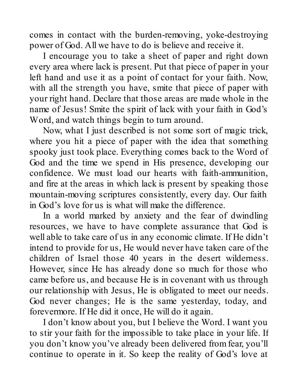comes in contact with the burden-removing, yoke-destroying power of God. All we have to do is believe and receive it.

I encourage you to take a sheet of paper and right down every area where lack is present. Put that piece of paper in your left hand and use it as a point of contact for your faith. Now, with all the strength you have, smite that piece of paper with your right hand. Declare that those areas are made whole in the name of Jesus! Smite the spirit of lack with your faith in God's Word, and watch things begin to turn around.

Now, what I just described is not some sort of magic trick, where you hit a piece of paper with the idea that something spooky just took place. Everything comes back to the Word of God and the time we spend in His presence, developing our confidence. We must load our hearts with faith-ammunition, and fire at the areas in which lack is present by speaking those mountain-moving scriptures consistently, every day. Our faith in God's love for us is what will make the difference.

In a world marked by anxiety and the fear of dwindling resources, we have to have complete assurance that God is well able to take care of us in any economic climate. If He didn't intend to provide for us, He would never have taken care of the children of Israel those 40 years in the desert wilderness. However, since He has already done so much for those who came before us, and because He is in covenant with us through our relationship with Jesus, He is obligated to meet our needs. God never changes; He is the same yesterday, today, and forevermore. If He did it once, He will do it again.

I don't know about you, but I believe the Word. I want you to stir your faith for the impossible to take place in your life. If you don't know you've already been delivered fromfear, you'll continue to operate in it. So keep the reality of God's love at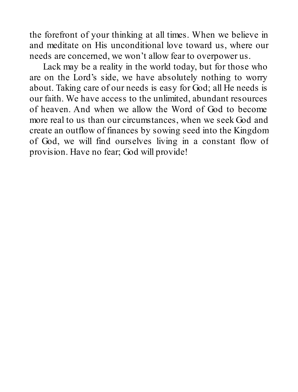the forefront of your thinking at all times. When we believe in and meditate on His unconditional love toward us, where our needs are concerned, we won't allow fear to overpower us.

Lack may be a reality in the world today, but for those who are on the Lord's side, we have absolutely nothing to worry about. Taking care of our needs is easy for God; all He needs is our faith. We have access to the unlimited, abundant resources of heaven. And when we allow the Word of God to become more real to us than our circumstances, when we seek God and create an outflow of finances by sowing seed into the Kingdom of God, we will find ourselves living in a constant flow of provision. Have no fear; God will provide!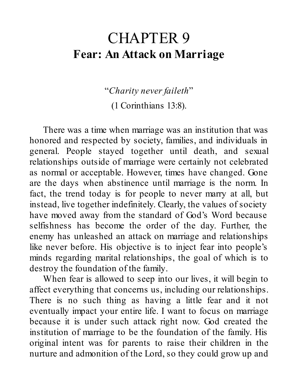## CHAPTER 9 **Fear: An Attack on Marriage**

"*Charity never faileth*"

(1 Corinthians 13:8).

There was a time when marriage was an institution that was honored and respected by society, families, and individuals in general. People stayed together until death, and sexual relationships outside of marriage were certainly not celebrated as normal or acceptable. However, times have changed. Gone are the days when abstinence until marriage is the norm. In fact, the trend today is for people to never marry at all, but instead, live together indefinitely. Clearly, the values of society have moved away from the standard of God's Word because selfishness has become the order of the day. Further, the enemy has unleashed an attack on marriage and relationships like never before. His objective is to inject fear into people's minds regarding marital relationships, the goal of which is to destroy the foundation of the family.

When fear is allowed to seep into our lives, it will begin to affect everything that concerns us, including our relationships. There is no such thing as having a little fear and it not eventually impact your entire life. I want to focus on marriage because it is under such attack right now. God created the institution of marriage to be the foundation of the family. His original intent was for parents to raise their children in the nurture and admonition of the Lord, so they could grow up and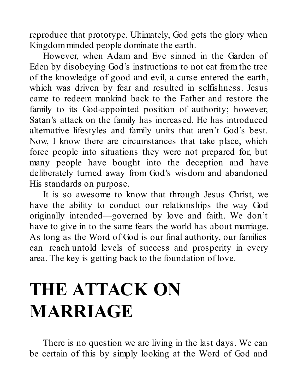reproduce that prototype. Ultimately, God gets the glory when Kingdomminded people dominate the earth.

However, when Adam and Eve sinned in the Garden of Eden by disobeying God's instructions to not eat from the tree of the knowledge of good and evil, a curse entered the earth, which was driven by fear and resulted in selfishness. Jesus came to redeem mankind back to the Father and restore the family to its God-appointed position of authority; however, Satan's attack on the family has increased. He has introduced alternative lifestyles and family units that aren't God's best. Now, I know there are circumstances that take place, which force people into situations they were not prepared for, but many people have bought into the deception and have deliberately turned away from God's wisdom and abandoned His standards on purpose.

It is so awesome to know that through Jesus Christ, we have the ability to conduct our relationships the way God originally intended—governed by love and faith. We don't have to give in to the same fears the world has about marriage. As long as the Word of God is our final authority, our families can reach untold levels of success and prosperity in every area. The key is getting back to the foundation of love.

# **THE ATTACK ON MARRIAGE**

There is no question we are living in the last days. We can be certain of this by simply looking at the Word of God and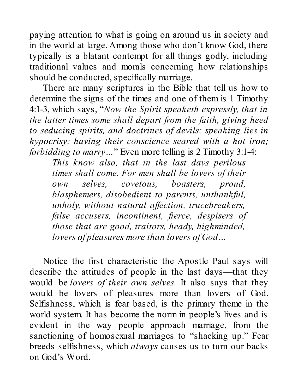paying attention to what is going on around us in society and in the world at large. Among those who don't know God, there typically is a blatant contempt for all things godly, including traditional values and morals concerning how relationships should be conducted, specifically marriage.

There are many scriptures in the Bible that tell us how to determine the signs of the times and one of them is 1 Timothy 4:1-3, which says, "*Now the Spirit speaketh expressly, that in the latter times some shall depart from the faith, giving heed to seducing spirits, and doctrines of devils; speaking lies in hypocrisy; having their conscience seared with a hot iron; forbidding to marry…*" Even more telling is 2 Timothy 3:1-4:

*This know also, that in the last days perilous times shall come. For men shall be lovers of their own selves, covetous, boasters, proud, blasphemers, disobedient to parents, unthankful, unholy, without natural af ection, trucebreakers, false accusers, incontinent, fierce, despisers of those that are good, traitors, heady, highminded, lovers of pleasures more than lovers of God…*

Notice the first characteristic the Apostle Paul says will describe the attitudes of people in the last days—that they would be *lovers of their own selves.* It also says that they would be lovers of pleasures more than lovers of God. Selfishness, which is fear based, is the primary theme in the world system. It has become the norm in people's lives and is evident in the way people approach marriage, from the sanctioning of homosexual marriages to "shacking up." Fear breeds selfishness, which *always* causes us to turn our backs on God's Word.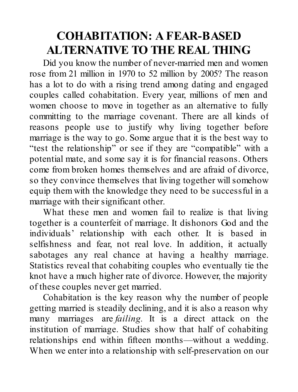### **COHABITATION: A FEAR-BASED ALTERNATIVE TO THE REAL THING**

Did you know the number of never-married men and women rose from 21 million in 1970 to 52 million by 2005? The reason has a lot to do with a rising trend among dating and engaged couples called cohabitation. Every year, millions of men and women choose to move in together as an alternative to fully committing to the marriage covenant. There are all kinds of reasons people use to justify why living together before marriage is the way to go. Some argue that it is the best way to "test the relationship" or see if they are "compatible" with a potential mate, and some say it is for financial reasons. Others come from broken homes themselves and are afraid of divorce, so they convince themselves that living together will somehow equip them with the knowledge they need to be successful in a marriage with their significant other.

What these men and women fail to realize is that living together is a counterfeit of marriage. It dishonors God and the individuals' relationship with each other. It is based in selfishness and fear, not real love. In addition, it actually sabotages any real chance at having a healthy marriage. Statistics reveal that cohabiting couples who eventually tie the knot have a much higher rate of divorce. However, the majority of these couples never get married.

Cohabitation is the key reason why the number of people getting married is steadily declining, and it is also a reason why many marriages are *failing.* It is a direct attack on the institution of marriage. Studies show that half of cohabiting relationships end within fifteen months—without a wedding. When we enter into a relationship with self-preservation on our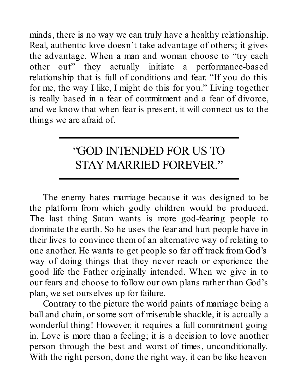minds, there is no way we can truly have a healthy relationship. Real, authentic love doesn't take advantage of others; it gives the advantage. When a man and woman choose to "try each other out" they actually initiate a performance-based relationship that is full of conditions and fear. "If you do this for me, the way I like, I might do this for you." Living together is really based in a fear of commitment and a fear of divorce, and we know that when fear is present, it will connect us to the things we are afraid of.

#### "GOD INTENDED FOR US TO STAY MARRIED FOREVER."

The enemy hates marriage because it was designed to be the platform from which godly children would be produced. The last thing Satan wants is more god-fearing people to dominate the earth. So he uses the fear and hurt people have in their lives to convince them of an alternative way of relating to one another. He wants to get people so far off track from God's way of doing things that they never reach or experience the good life the Father originally intended. When we give in to our fears and choose to follow our own plans rather than God's plan, we set ourselves up for failure.

Contrary to the picture the world paints of marriage being a ball and chain, or some sort of miserable shackle, it is actually a wonderful thing! However, it requires a full commitment going in. Love is more than a feeling; it is a decision to love another person through the best and worst of times, unconditionally. With the right person, done the right way, it can be like heaven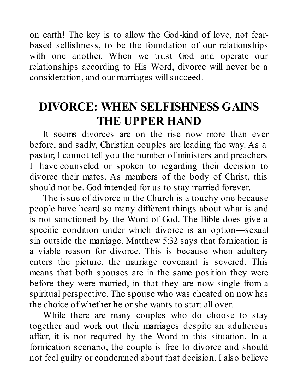on earth! The key is to allow the God-kind of love, not fearbased selfishness, to be the foundation of our relationships with one another. When we trust God and operate our relationships according to His Word, divorce will never be a consideration, and our marriages willsucceed.

#### **DIVORCE: WHEN SELFISHNESS GAINS THE UPPER HAND**

It seems divorces are on the rise now more than ever before, and sadly, Christian couples are leading the way. As a pastor, I cannot tell you the number of ministers and preachers I have counseled or spoken to regarding their decision to divorce their mates. As members of the body of Christ, this should not be. God intended for us to stay married forever.

The issue of divorce in the Church is a touchy one because people have heard so many different things about what is and is not sanctioned by the Word of God. The Bible does give a specific condition under which divorce is an option—sexual sin outside the marriage. Matthew 5:32 says that fornication is a viable reason for divorce. This is because when adultery enters the picture, the marriage covenant is severed. This means that both spouses are in the same position they were before they were married, in that they are now single from a spiritual perspective. The spouse who was cheated on now has the choice of whether he or she wants to start all over.

While there are many couples who do choose to stay together and work out their marriages despite an adulterous affair, it is not required by the Word in this situation. In a fornication scenario, the couple is free to divorce and should not feel guilty or condemned about that decision. I also believe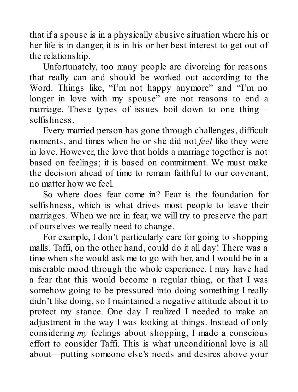that if a spouse is in a physically abusive situation where his or her life is in danger, it is in his or her best interest to get out of the relationship.

Unfortunately, too many people are divorcing for reasons that really can and should be worked out according to the Word. Things like, "I'm not happy anymore" and "I'm no longer in love with my spouse" are not reasons to end a marriage. These types of issues boil down to one thing selfishness.

Every married person has gone through challenges, difficult moments, and times when he or she did not *feel* like they were in love. However, the love that holds a marriage together is not based on feelings; it is based on commitment. We must make the decision ahead of time to remain faithful to our covenant, no matter how we feel.

So where does fear come in? Fear is the foundation for selfishness, which is what drives most people to leave their marriages. When we are in fear, we will try to preserve the part of ourselves we really need to change.

For example, I don't particularly care for going to shopping malls. Taffi, on the other hand, could do it all day! There was a time when she would ask me to go with her, and I would be in a miserable mood through the whole experience. I may have had a fear that this would become a regular thing, or that I was somehow going to be pressured into doing something I really didn't like doing, so I maintained a negative attitude about it to protect my stance. One day I realized I needed to make an adjustment in the way I was looking at things. Instead of only considering *my* feelings about shopping, I made a conscious effort to consider Taffi. This is what unconditional love is all about—putting someone else's needs and desires above your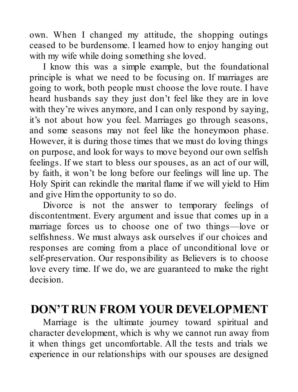own. When I changed my attitude, the shopping outings ceased to be burdensome. I learned how to enjoy hanging out with my wife while doing something she loved.

I know this was a simple example, but the foundational principle is what we need to be focusing on. If marriages are going to work, both people must choose the love route. I have heard husbands say they just don't feel like they are in love with they're wives anymore, and I can only respond by saying, it's not about how you feel. Marriages go through seasons, and some seasons may not feel like the honeymoon phase. However, it is during those times that we must do loving things on purpose, and look for ways to move beyond our own selfish feelings. If we start to bless our spouses, as an act of our will, by faith, it won't be long before our feelings will line up. The Holy Spirit can rekindle the marital flame if we will yield to Him and give Himthe opportunity to so do.

Divorce is not the answer to temporary feelings of discontentment. Every argument and issue that comes up in a marriage forces us to choose one of two things—love or selfishness. We must always ask ourselves if our choices and responses are coming from a place of unconditional love or self-preservation. Our responsibility as Believers is to choose love every time. If we do, we are guaranteed to make the right decision.

#### **DON'T RUN FROM YOUR DEVELOPMENT**

Marriage is the ultimate journey toward spiritual and character development, which is why we cannot run away from it when things get uncomfortable. All the tests and trials we experience in our relationships with our spouses are designed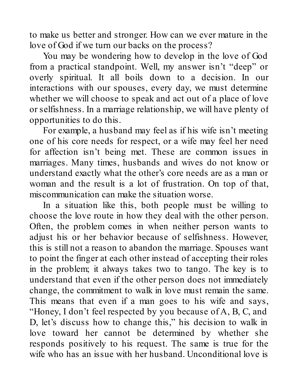to make us better and stronger. How can we ever mature in the love of God if we turn our backs on the process?

You may be wondering how to develop in the love of God from a practical standpoint. Well, my answer isn't "deep" or overly spiritual. It all boils down to a decision. In our interactions with our spouses, every day, we must determine whether we will choose to speak and act out of a place of love or selfishness. In a marriage relationship, we will have plenty of opportunities to do this.

For example, a husband may feel as if his wife isn't meeting one of his core needs for respect, or a wife may feel her need for affection isn't being met. These are common issues in marriages. Many times, husbands and wives do not know or understand exactly what the other's core needs are as a man or woman and the result is a lot of frustration. On top of that, miscommunication can make the situation worse.

In a situation like this, both people must be willing to choose the love route in how they deal with the other person. Often, the problem comes in when neither person wants to adjust his or her behavior because of selfishness. However, this is still not a reason to abandon the marriage. Spouses want to point the finger at each other instead of accepting their roles in the problem; it always takes two to tango. The key is to understand that even if the other person does not immediately change, the commitment to walk in love must remain the same. This means that even if a man goes to his wife and says, "Honey, I don't feel respected by you because of A, B, C, and D, let's discuss how to change this," his decision to walk in love toward her cannot be determined by whether she responds positively to his request. The same is true for the wife who has an issue with her husband. Unconditional love is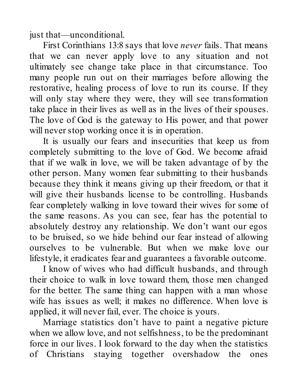just that—unconditional.

First Corinthians 13:8 says that love *never* fails. That means that we can never apply love to any situation and not ultimately see change take place in that circumstance. Too many people run out on their marriages before allowing the restorative, healing process of love to run its course. If they will only stay where they were, they will see transformation take place in their lives as well as in the lives of their spouses. The love of God is the gateway to His power, and that power will never stop working once it is in operation.

It is usually our fears and insecurities that keep us from completely submitting to the love of God. We become afraid that if we walk in love, we will be taken advantage of by the other person. Many women fear submitting to their husbands because they think it means giving up their freedom, or that it will give their husbands license to be controlling. Husbands fear completely walking in love toward their wives for some of the same reasons. As you can see, fear has the potential to absolutely destroy any relationship. We don't want our egos to be bruised, so we hide behind our fear instead of allowing ourselves to be vulnerable. But when we make love our lifestyle, it eradicates fear and guarantees a favorable outcome.

I know of wives who had difficult husbands, and through their choice to walk in love toward them, those men changed for the better. The same thing can happen with a man whose wife has issues as well; it makes no difference. When love is applied, it will never fail, ever. The choice is yours.

Marriage statistics don't have to paint a negative picture when we allow love, and not selfishness, to be the predominant force in our lives. I look forward to the day when the statistics of Christians staying together overshadow the ones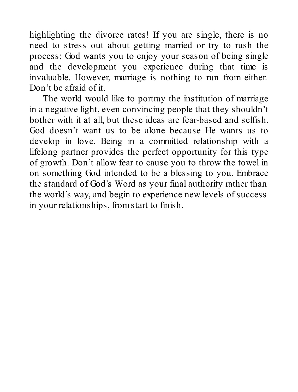highlighting the divorce rates! If you are single, there is no need to stress out about getting married or try to rush the process; God wants you to enjoy your season of being single and the development you experience during that time is invaluable. However, marriage is nothing to run from either. Don't be afraid of it.

The world would like to portray the institution of marriage in a negative light, even convincing people that they shouldn't bother with it at all, but these ideas are fear-based and selfish. God doesn't want us to be alone because He wants us to develop in love. Being in a committed relationship with a lifelong partner provides the perfect opportunity for this type of growth. Don't allow fear to cause you to throw the towel in on something God intended to be a blessing to you. Embrace the standard of God's Word as your final authority rather than the world's way, and begin to experience new levels of success in your relationships, fromstart to finish.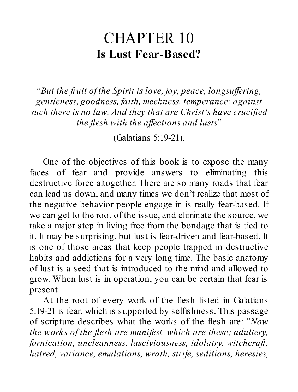### CHAPTER 10 **Is Lust Fear-Based?**

"*But the fruit of the Spirit is love, joy, peace, longsuf ering, gentleness, goodness, faith, meekness, temperance: against such there is no law. And they that are Christ's have crucified the flesh with the af ections and lusts*"

(Galatians 5:19-21).

One of the objectives of this book is to expose the many faces of fear and provide answers to eliminating this destructive force altogether. There are so many roads that fear can lead us down, and many times we don't realize that most of the negative behavior people engage in is really fear-based. If we can get to the root of the issue, and eliminate the source, we take a major step in living free from the bondage that is tied to it. It may be surprising, but lust is fear-driven and fear-based. It is one of those areas that keep people trapped in destructive habits and addictions for a very long time. The basic anatomy of lust is a seed that is introduced to the mind and allowed to grow. When lust is in operation, you can be certain that fear is present.

At the root of every work of the flesh listed in Galatians 5:19-21 is fear, which is supported by selfishness. This passage of scripture describes what the works of the flesh are: "*Now the works of the flesh are manifest, which are these; adultery, fornication, uncleanness, lasciviousness, idolatry, witchcraft, hatred, variance, emulations, wrath, strife, seditions, heresies,*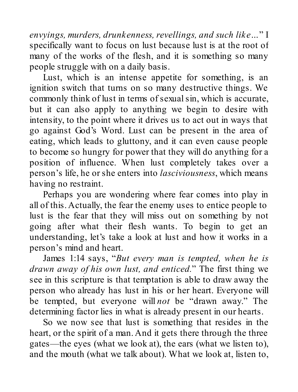*envyings, murders, drunkenness, revellings, and such like…*" I specifically want to focus on lust because lust is at the root of many of the works of the flesh, and it is something so many people struggle with on a daily basis.

Lust, which is an intense appetite for something, is an ignition switch that turns on so many destructive things. We commonly think of lust in terms of sexualsin, which is accurate, but it can also apply to anything we begin to desire with intensity, to the point where it drives us to act out in ways that go against God's Word. Lust can be present in the area of eating, which leads to gluttony, and it can even cause people to become so hungry for power that they will do anything for a position of influence. When lust completely takes over a person's life, he or she enters into *lasciviousness*, which means having no restraint.

Perhaps you are wondering where fear comes into play in all of this. Actually, the fear the enemy uses to entice people to lust is the fear that they will miss out on something by not going after what their flesh wants. To begin to get an understanding, let's take a look at lust and how it works in a person's mind and heart.

James 1:14 says, "*But every man is tempted, when he is drawn away of his own lust, and enticed.*" The first thing we see in this scripture is that temptation is able to draw away the person who already has lust in his or her heart. Everyone will be tempted, but everyone will *not* be "drawn away." The determining factor lies in what is already present in our hearts.

So we now see that lust is something that resides in the heart, or the spirit of a man. And it gets there through the three gates—the eyes (what we look at), the ears (what we listen to), and the mouth (what we talk about). What we look at, listen to,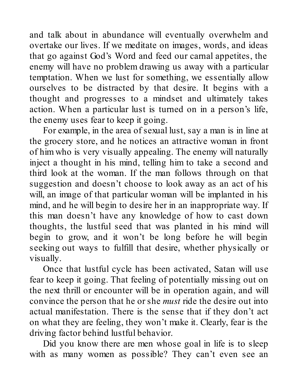and talk about in abundance will eventually overwhelm and overtake our lives. If we meditate on images, words, and ideas that go against God's Word and feed our carnal appetites, the enemy will have no problem drawing us away with a particular temptation. When we lust for something, we essentially allow ourselves to be distracted by that desire. It begins with a thought and progresses to a mindset and ultimately takes action. When a particular lust is turned on in a person's life, the enemy uses fear to keep it going.

For example, in the area of sexual lust, say a man is in line at the grocery store, and he notices an attractive woman in front of him who is very visually appealing. The enemy will naturally inject a thought in his mind, telling him to take a second and third look at the woman. If the man follows through on that suggestion and doesn't choose to look away as an act of his will, an image of that particular woman will be implanted in his mind, and he will begin to desire her in an inappropriate way. If this man doesn't have any knowledge of how to cast down thoughts, the lustful seed that was planted in his mind will begin to grow, and it won't be long before he will begin seeking out ways to fulfill that desire, whether physically or visually.

Once that lustful cycle has been activated, Satan will use fear to keep it going. That feeling of potentially missing out on the next thrill or encounter will be in operation again, and will convince the person that he or she *must* ride the desire out into actual manifestation. There is the sense that if they don't act on what they are feeling, they won't make it. Clearly, fear is the driving factor behind lustful behavior.

Did you know there are men whose goal in life is to sleep with as many women as possible? They can't even see an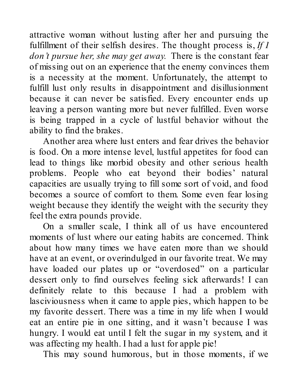attractive woman without lusting after her and pursuing the fulfillment of their selfish desires. The thought process is, *If I don't pursue her, she may get away.* There is the constant fear of missing out on an experience that the enemy convinces them is a necessity at the moment. Unfortunately, the attempt to fulfill lust only results in disappointment and disillusionment because it can never be satisfied. Every encounter ends up leaving a person wanting more but never fulfilled. Even worse is being trapped in a cycle of lustful behavior without the ability to find the brakes.

Another area where lust enters and fear drives the behavior is food. On a more intense level, lustful appetites for food can lead to things like morbid obesity and other serious health problems. People who eat beyond their bodies' natural capacities are usually trying to fill some sort of void, and food becomes a source of comfort to them. Some even fear losing weight because they identify the weight with the security they feel the extra pounds provide.

On a smaller scale, I think all of us have encountered moments of lust where our eating habits are concerned. Think about how many times we have eaten more than we should have at an event, or overindulged in our favorite treat. We may have loaded our plates up or "overdosed" on a particular dessert only to find ourselves feeling sick afterwards! I can definitely relate to this because I had a problem with lasciviousness when it came to apple pies, which happen to be my favorite dessert. There was a time in my life when I would eat an entire pie in one sitting, and it wasn't because I was hungry. I would eat until I felt the sugar in my system, and it was affecting my health. I had a lust for apple pie!

This may sound humorous, but in those moments, if we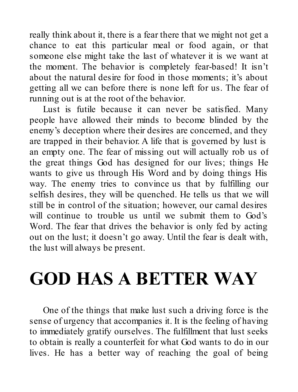really think about it, there is a fear there that we might not get a chance to eat this particular meal or food again, or that someone else might take the last of whatever it is we want at the moment. The behavior is completely fear-based! It isn't about the natural desire for food in those moments; it's about getting all we can before there is none left for us. The fear of running out is at the root of the behavior.

Lust is futile because it can never be satisfied. Many people have allowed their minds to become blinded by the enemy's deception where their desires are concerned, and they are trapped in their behavior. A life that is governed by lust is an empty one. The fear of missing out will actually rob us of the great things God has designed for our lives; things He wants to give us through His Word and by doing things His way. The enemy tries to convince us that by fulfilling our selfish desires, they will be quenched. He tells us that we will still be in control of the situation; however, our carnal desires will continue to trouble us until we submit them to God's Word. The fear that drives the behavior is only fed by acting out on the lust; it doesn't go away. Until the fear is dealt with, the lust will always be present.

# **GOD HAS A BETTER WAY**

One of the things that make lust such a driving force is the sense of urgency that accompanies it. It is the feeling of having to immediately gratify ourselves. The fulfillment that lust seeks to obtain is really a counterfeit for what God wants to do in our lives. He has a better way of reaching the goal of being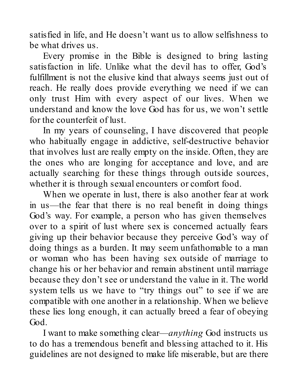satisfied in life, and He doesn't want us to allow selfishness to be what drives us.

Every promise in the Bible is designed to bring lasting satisfaction in life. Unlike what the devil has to offer  $God's$ fulfillment is not the elusive kind that always seems just out of reach. He really does provide everything we need if we can only trust Him with every aspect of our lives. When we understand and know the love God has for us, we won't settle for the counterfeit of lust.

In my years of counseling, I have discovered that people who habitually engage in addictive, self-destructive behavior that involves lust are really empty on the inside. Often, they are the ones who are longing for acceptance and love, and are actually searching for these things through outside sources, whether it is through sexual encounters or comfort food.

When we operate in lust, there is also another fear at work in us—the fear that there is no real benefit in doing things God's way. For example, a person who has given themselves over to a spirit of lust where sex is concerned actually fears giving up their behavior because they perceive God's way of doing things as a burden. It may seem unfathomable to a man or woman who has been having sex outside of marriage to change his or her behavior and remain abstinent until marriage because they don't see or understand the value in it. The world system tells us we have to "try things out" to see if we are compatible with one another in a relationship. When we believe these lies long enough, it can actually breed a fear of obeying God.

I want to make something clear—*anything* God instructs us to do has a tremendous benefit and blessing attached to it. His guidelines are not designed to make life miserable, but are there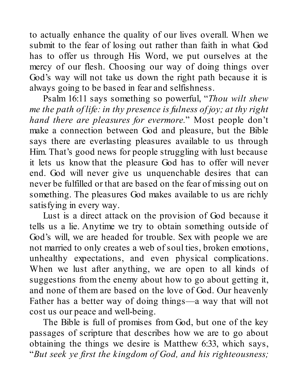to actually enhance the quality of our lives overall. When we submit to the fear of losing out rather than faith in what God has to offer us through His Word, we put ourselves at the mercy of our flesh. Choosing our way of doing things over God's way will not take us down the right path because it is always going to be based in fear and selfishness.

Psalm 16:11 says something so powerful, "*Thou wilt shew me the path of life: in thy presence is fulness of joy; at thy right hand there are pleasures for evermore.*" Most people don't make a connection between God and pleasure, but the Bible says there are everlasting pleasures available to us through Him. That's good news for people struggling with lust because it lets us know that the pleasure God has to offer will never end. God will never give us unquenchable desires that can never be fulfilled or that are based on the fear of missing out on something. The pleasures God makes available to us are richly satisfying in every way.

Lust is a direct attack on the provision of God because it tells us a lie. Anytime we try to obtain something outside of God's will, we are headed for trouble. Sex with people we are not married to only creates a web of soul ties, broken emotions, unhealthy expectations, and even physical complications. When we lust after anything, we are open to all kinds of suggestions from the enemy about how to go about getting it, and none of them are based on the love of God. Our heavenly Father has a better way of doing things—a way that will not cost us our peace and well-being.

The Bible is full of promises from God, but one of the key passages of scripture that describes how we are to go about obtaining the things we desire is Matthew 6:33, which says, "*But seek ye first the kingdom of God, and his righteousness;*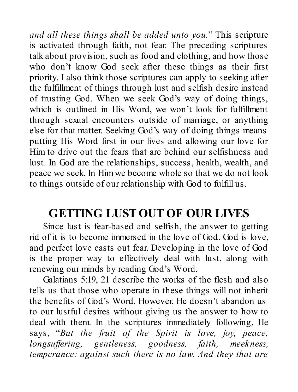*and all these things shall be added unto you.*" This scripture is activated through faith, not fear. The preceding scriptures talk about provision, such as food and clothing, and how those who don't know God seek after these things as their first priority. I also think those scriptures can apply to seeking after the fulfillment of things through lust and selfish desire instead of trusting God. When we seek God's way of doing things, which is outlined in His Word, we won't look for fulfillment through sexual encounters outside of marriage, or anything else for that matter. Seeking God's way of doing things means putting His Word first in our lives and allowing our love for Him to drive out the fears that are behind our selfishness and lust. In God are the relationships, success, health, wealth, and peace we seek. In Himwe become whole so that we do not look to things outside of our relationship with God to fulfill us.

#### **GETTING LUST OUT OF OUR LIVES**

Since lust is fear-based and selfish, the answer to getting rid of it is to become immersed in the love of God. God is love, and perfect love casts out fear. Developing in the love of God is the proper way to effectively deal with lust, along with renewing our minds by reading God's Word.

Galatians 5:19, 21 describe the works of the flesh and also tells us that those who operate in these things will not inherit the benefits of God's Word. However, He doesn't abandon us to our lustful desires without giving us the answer to how to deal with them. In the scriptures immediately following, He says, "*But the fruit of the Spirit is love, joy, peace, longsuf ering, gentleness, goodness, faith, meekness, temperance: against such there is no law. And they that are*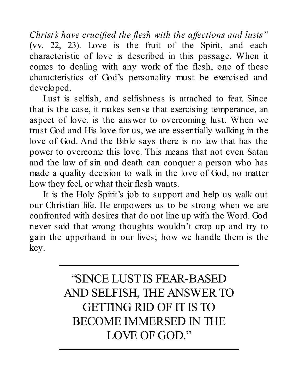*Christ's have crucified the flesh with the af ections and lusts* " (vv. 22, 23). Love is the fruit of the Spirit, and each characteristic of love is described in this passage. When it comes to dealing with any work of the flesh, one of these characteristics of God's personality must be exercised and developed.

Lust is selfish, and selfishness is attached to fear. Since that is the case, it makes sense that exercising temperance, an aspect of love, is the answer to overcoming lust. When we trust God and His love for us, we are essentially walking in the love of God. And the Bible says there is no law that has the power to overcome this love. This means that not even Satan and the law of sin and death can conquer a person who has made a quality decision to walk in the love of God, no matter how they feel, or what their flesh wants.

It is the Holy Spirit's job to support and help us walk out our Christian life. He empowers us to be strong when we are confronted with desires that do not line up with the Word. God never said that wrong thoughts wouldn't crop up and try to gain the upperhand in our lives; how we handle them is the key.

> "SINCE LUST IS FEAR-BASED AND SELFISH, THE ANSWER TO GETTING RID OF IT IS TO BECOME IMMERSED IN THE LOVE OF GOD."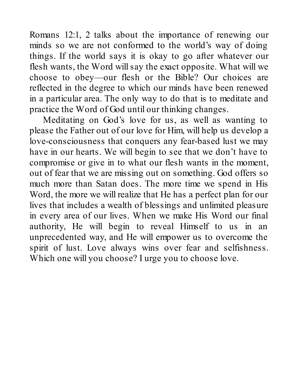Romans 12:1, 2 talks about the importance of renewing our minds so we are not conformed to the world's way of doing things. If the world says it is okay to go after whatever our flesh wants, the Word will say the exact opposite. What will we choose to obey—our flesh or the Bible? Our choices are reflected in the degree to which our minds have been renewed in a particular area. The only way to do that is to meditate and practice the Word of God until our thinking changes.

Meditating on God's love for us, as well as wanting to please the Father out of our love for Him, will help us develop a love-consciousness that conquers any fear-based lust we may have in our hearts. We will begin to see that we don't have to compromise or give in to what our flesh wants in the moment, out of fear that we are missing out on something. God offers so much more than Satan does. The more time we spend in His Word, the more we will realize that He has a perfect plan for our lives that includes a wealth of blessings and unlimited pleasure in every area of our lives. When we make His Word our final authority, He will begin to reveal Himself to us in an unprecedented way, and He will empower us to overcome the spirit of lust. Love always wins over fear and selfishness. Which one will you choose? I urge you to choose love.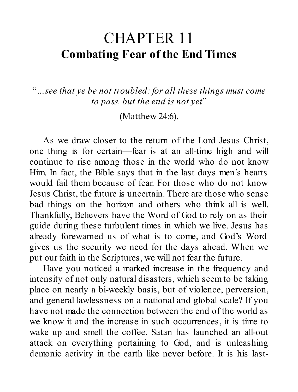### CHAPTER 11 **Combating Fear of the End Times**

"*…see that ye be not troubled: for all these things must come to pass, but the end is not yet*"

(Matthew 24:6).

As we draw closer to the return of the Lord Jesus Christ, one thing is for certain—fear is at an all-time high and will continue to rise among those in the world who do not know Him. In fact, the Bible says that in the last days men's hearts would fail them because of fear. For those who do not know Jesus Christ, the future is uncertain. There are those who sense bad things on the horizon and others who think all is well. Thankfully, Believers have the Word of God to rely on as their guide during these turbulent times in which we live. Jesus has already forewarned us of what is to come, and God's Word gives us the security we need for the days ahead. When we put our faith in the Scriptures, we will not fear the future.

Have you noticed a marked increase in the frequency and intensity of not only natural disasters, which seem to be taking place on nearly a bi-weekly basis, but of violence, perversion, and general lawlessness on a national and global scale? If you have not made the connection between the end of the world as we know it and the increase in such occurrences, it is time to wake up and smell the coffee. Satan has launched an all-out attack on everything pertaining to God, and is unleashing demonic activity in the earth like never before. It is his last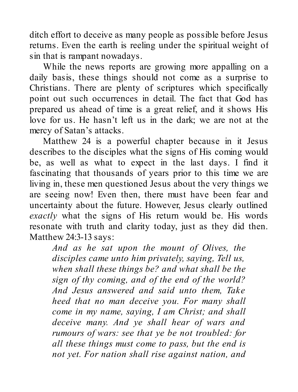ditch effort to deceive as many people as possible before Jesus returns. Even the earth is reeling under the spiritual weight of sin that is rampant nowadays.

While the news reports are growing more appalling on a daily basis, these things should not come as a surprise to Christians. There are plenty of scriptures which specifically point out such occurrences in detail. The fact that God has prepared us ahead of time is a great relief, and it shows His love for us. He hasn't left us in the dark; we are not at the mercy of Satan's attacks.

Matthew 24 is a powerful chapter because in it Jesus describes to the disciples what the signs of His coming would be, as well as what to expect in the last days. I find it fascinating that thousands of years prior to this time we are living in, these men questioned Jesus about the very things we are seeing now! Even then, there must have been fear and uncertainty about the future. However, Jesus clearly outlined *exactly* what the signs of His return would be. His words resonate with truth and clarity today, just as they did then. Matthew 24:3-13 says:

*And as he sat upon the mount of Olives, the disciples came unto him privately, saying, Tell us, when shall these things be? and what shall be the sign of thy coming, and of the end of the world? And Jesus answered and said unto them, Take heed that no man deceive you. For many shall come in my name, saying, I am Christ; and shall deceive many. And ye shall hear of wars and rumours of wars: see that ye be not troubled: for all these things must come to pass, but the end is not yet. For nation shall rise against nation, and*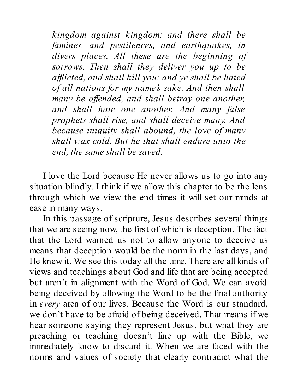*kingdom against kingdom: and there shall be famines, and pestilences, and earthquakes, in divers places. All these are the beginning of sorrows. Then shall they deliver you up to be af licted, and shall kill you: and ye shall be hated of all nations for my name's sake. And then shall many be of ended, and shall betray one another, and shall hate one another. And many false prophets shall rise, and shall deceive many. And because iniquity shall abound, the love of many shall wax cold. But he that shall endure unto the end, the same shall be saved.*

I love the Lord because He never allows us to go into any situation blindly. I think if we allow this chapter to be the lens through which we view the end times it will set our minds at ease in many ways.

In this passage of scripture, Jesus describes several things that we are seeing now, the first of which is deception. The fact that the Lord warned us not to allow anyone to deceive us means that deception would be the norm in the last days, and He knew it. We see this today all the time. There are all kinds of views and teachings about God and life that are being accepted but aren't in alignment with the Word of God. We can avoid being deceived by allowing the Word to be the final authority in *every* area of our lives. Because the Word is our standard, we don't have to be afraid of being deceived. That means if we hear someone saying they represent Jesus, but what they are preaching or teaching doesn't line up with the Bible, we immediately know to discard it. When we are faced with the norms and values of society that clearly contradict what the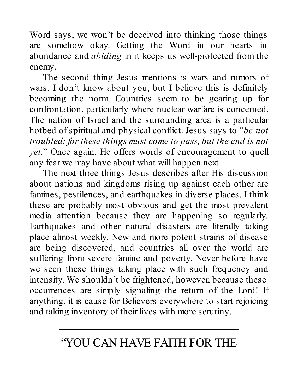Word says, we won't be deceived into thinking those things are somehow okay. Getting the Word in our hearts in abundance and *abiding* in it keeps us well-protected from the enemy.

The second thing Jesus mentions is wars and rumors of wars. I don't know about you, but I believe this is definitely becoming the norm. Countries seem to be gearing up for confrontation, particularly where nuclear warfare is concerned. The nation of Israel and the surrounding area is a particular hotbed of spiritual and physical conflict. Jesus says to "*be not troubled: for these things must come to pass, but the end is not yet.*" Once again, He offers words of encouragement to quell any fear we may have about what will happen next.

The next three things Jesus describes after His discussion about nations and kingdoms rising up against each other are famines, pestilences, and earthquakes in diverse places. I think these are probably most obvious and get the most prevalent media attention because they are happening so regularly. Earthquakes and other natural disasters are literally taking place almost weekly. New and more potent strains of disease are being discovered, and countries all over the world are suffering from severe famine and poverty. Never before have we seen these things taking place with such frequency and intensity. We shouldn't be frightened, however, because these occurrences are simply signaling the return of the Lord! If anything, it is cause for Believers everywhere to start rejoicing and taking inventory of their lives with more scrutiny.

### "YOU CAN HAVE FAITH FOR THE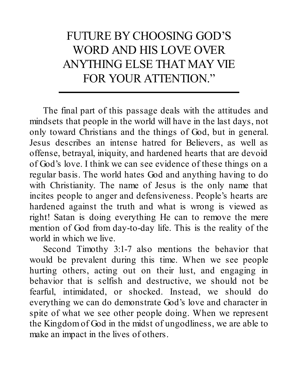### FUTURE BY CHOOSING GOD'S WORD AND HIS LOVE OVER ANYTHING ELSE THAT MAY VIE FOR YOUR ATTENTION."

The final part of this passage deals with the attitudes and mindsets that people in the world will have in the last days, not only toward Christians and the things of God, but in general. Jesus describes an intense hatred for Believers, as well as offense, betrayal, iniquity, and hardened hearts that are devoid of God's love. I think we can see evidence of these things on a regular basis. The world hates God and anything having to do with Christianity. The name of Jesus is the only name that incites people to anger and defensiveness. People's hearts are hardened against the truth and what is wrong is viewed as right! Satan is doing everything He can to remove the mere mention of God from day-to-day life. This is the reality of the world in which we live.

Second Timothy 3:1-7 also mentions the behavior that would be prevalent during this time. When we see people hurting others, acting out on their lust, and engaging in behavior that is selfish and destructive, we should not be fearful, intimidated, or shocked. Instead, we should do everything we can do demonstrate God's love and character in spite of what we see other people doing. When we represent the Kingdom of God in the midst of ungodliness, we are able to make an impact in the lives of others.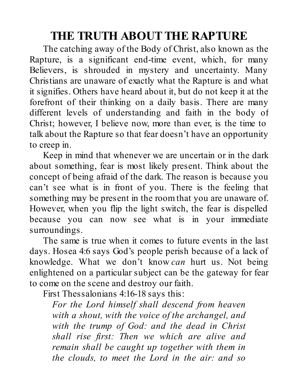### **THE TRUTH ABOUTTHE RAPTURE**

The catching away of the Body of Christ, also known as the Rapture, is a significant end-time event, which, for many Believers, is shrouded in mystery and uncertainty. Many Christians are unaware of exactly what the Rapture is and what it signifies. Others have heard about it, but do not keep it at the forefront of their thinking on a daily basis. There are many different levels of understanding and faith in the body of Christ; however, I believe now, more than ever, is the time to talk about the Rapture so that fear doesn't have an opportunity to creep in.

Keep in mind that whenever we are uncertain or in the dark about something, fear is most likely present. Think about the concept of being afraid of the dark. The reason is because you can't see what is in front of you. There is the feeling that something may be present in the room that you are unaware of. However, when you flip the light switch, the fear is dispelled because you can now see what is in your immediate surroundings.

The same is true when it comes to future events in the last days. Hosea 4:6 says God's people perish because of a lack of knowledge. What we don't know *can* hurt us. Not being enlightened on a particular subject can be the gateway for fear to come on the scene and destroy our faith.

First Thessalonians 4:16-18 says this:

*For the Lord himself shall descend from heaven with a shout, with the voice of the archangel, and with the trump of God: and the dead in Christ shall rise first: Then we which are alive and remain shall be caught up together with them in the clouds, to meet the Lord in the air: and so*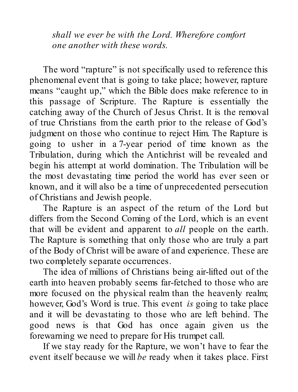*shall we ever be with the Lord. Wherefore comfort one another with these words.*

The word "rapture" is not specifically used to reference this phenomenal event that is going to take place; however, rapture means "caught up," which the Bible does make reference to in this passage of Scripture. The Rapture is essentially the catching away of the Church of Jesus Christ. It is the removal of true Christians from the earth prior to the release of God's judgment on those who continue to reject Him. The Rapture is going to usher in a 7-year period of time known as the Tribulation, during which the Antichrist will be revealed and begin his attempt at world domination. The Tribulation will be the most devastating time period the world has ever seen or known, and it will also be a time of unprecedented persecution of Christians and Jewish people.

The Rapture is an aspect of the return of the Lord but differs from the Second Coming of the Lord, which is an event that will be evident and apparent to *all* people on the earth. The Rapture is something that only those who are truly a part of the Body of Christ will be aware of and experience. These are two completely separate occurrences.

The idea of millions of Christians being air-lifted out of the earth into heaven probably seems far-fetched to those who are more focused on the physical realm than the heavenly realm; however, God's Word is true. This event *is* going to take place and it will be devastating to those who are left behind. The good news is that God has once again given us the forewarning we need to prepare for His trumpet call.

If we stay ready for the Rapture, we won't have to fear the event itself because we will *be* ready when it takes place. First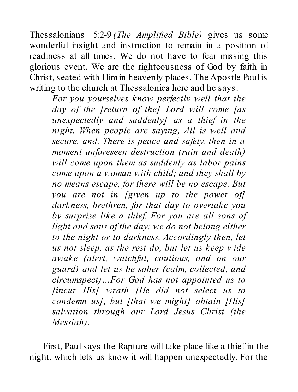Thessalonians 5:2-9 *(The Amplified Bible)* gives us some wonderful insight and instruction to remain in a position of readiness at all times. We do not have to fear missing this glorious event. We are the righteousness of God by faith in Christ, seated with Himin heavenly places. The Apostle Paul is writing to the church at Thessalonica here and he says:

*For you yourselves know perfectly well that the day of the [return of the] Lord will come [as unexpectedly and suddenly] as a thief in the night. When people are saying, All is well and secure, and, There is peace and safety, then in a moment unforeseen destruction (ruin and death) will come upon them as suddenly as labor pains come upon a woman with child; and they shall by no means escape, for there will be no escape. But you are not in [given up to the power of] darkness, brethren, for that day to overtake you by surprise like a thief. For you are all sons of light and sons of the day; we do not belong either to the night or to darkness. Accordingly then, let us not sleep, as the rest do, but let us keep wide awake (alert, watchful, cautious, and on our guard) and let us be sober (calm, collected, and circumspect)…For God has not appointed us to [incur His] wrath [He did not select us to condemn us], but [that we might] obtain [His] salvation through our Lord Jesus Christ (the Messiah).*

First, Paul says the Rapture will take place like a thief in the night, which lets us know it will happen unexpectedly. For the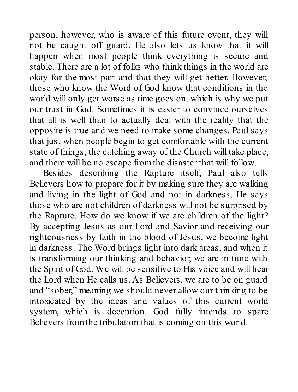person, however, who is aware of this future event, they will not be caught off guard. He also lets us know that it will happen when most people think everything is secure and stable. There are a lot of folks who think things in the world are okay for the most part and that they will get better. However, those who know the Word of God know that conditions in the world will only get worse as time goes on, which is why we put our trust in God. Sometimes it is easier to convince ourselves that all is well than to actually deal with the reality that the opposite is true and we need to make some changes. Paul says that just when people begin to get comfortable with the current state of things, the catching away of the Church will take place, and there will be no escape fromthe disaster that will follow.

Besides describing the Rapture itself, Paul also tells Believers how to prepare for it by making sure they are walking and living in the light of God and not in darkness. He says those who are not children of darkness will not be surprised by the Rapture. How do we know if we are children of the light? By accepting Jesus as our Lord and Savior and receiving our righteousness by faith in the blood of Jesus, we become light in darkness. The Word brings light into dark areas, and when it is transforming our thinking and behavior, we are in tune with the Spirit of God. We will be sensitive to His voice and will hear the Lord when He calls us. As Believers, we are to be on guard and "sober," meaning we should never allow our thinking to be intoxicated by the ideas and values of this current world system, which is deception. God fully intends to spare Believers fromthe tribulation that is coming on this world.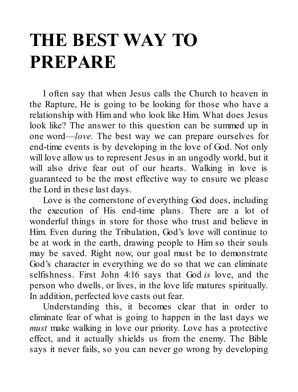## **THE BEST WAY TO PREPARE**

I often say that when Jesus calls the Church to heaven in the Rapture, He is going to be looking for those who have a relationship with Him and who look like Him. What does Jesus look like? The answer to this question can be summed up in one word—*love.* The best way we can prepare ourselves for end-time events is by developing in the love of God. Not only will love allow us to represent Jesus in an ungodly world, but it will also drive fear out of our hearts. Walking in love is guaranteed to be the most effective way to ensure we please the Lord in these last days.

Love is the cornerstone of everything God does, including the execution of His end-time plans. There are a lot of wonderful things in store for those who trust and believe in Him. Even during the Tribulation, God's love will continue to be at work in the earth, drawing people to Him so their souls may be saved. Right now, our goal must be to demonstrate God's character in everything we do so that we can eliminate selfishness. First John 4:16 says that God *is* love, and the person who dwells, or lives, in the love life matures spiritually. In addition, perfected love casts out fear.

Understanding this, it becomes clear that in order to eliminate fear of what is going to happen in the last days we *must* make walking in love our priority. Love has a protective effect, and it actually shields us from the enemy. The Bible says it never fails, so you can never go wrong by developing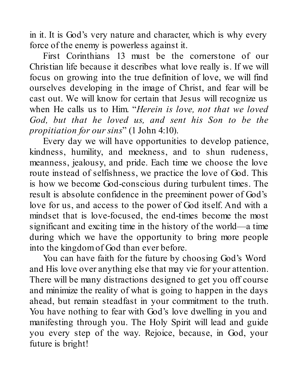in it. It is God's very nature and character, which is why every force of the enemy is powerless against it.

First Corinthians 13 must be the cornerstone of our Christian life because it describes what love really is. If we will focus on growing into the true definition of love, we will find ourselves developing in the image of Christ, and fear will be cast out. We will know for certain that Jesus will recognize us when He calls us to Him. "*Herein is love, not that we loved God, but that he loved us, and sent his Son to be the propitiation for our sins*" (1 John 4:10).

Every day we will have opportunities to develop patience, kindness, humility, and meekness, and to shun rudeness, meanness, jealousy, and pride. Each time we choose the love route instead of selfishness, we practice the love of God. This is how we become God-conscious during turbulent times. The result is absolute confidence in the preeminent power of God's love for us, and access to the power of God itself. And with a mindset that is love-focused, the end-times become the most significant and exciting time in the history of the world—a time during which we have the opportunity to bring more people into the kingdomof God than ever before.

You can have faith for the future by choosing God's Word and His love over anything else that may vie for your attention. There will be many distractions designed to get you off course and minimize the reality of what is going to happen in the days ahead, but remain steadfast in your commitment to the truth. You have nothing to fear with God's love dwelling in you and manifesting through you. The Holy Spirit will lead and guide you every step of the way. Rejoice, because, in God, your future is bright!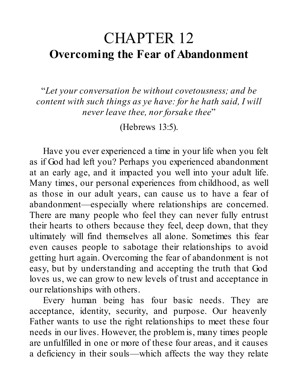## CHAPTER 12 **Overcoming the Fear of Abandonment**

"*Let your conversation be without covetousness; and be content with such things as ye have: for he hath said, I will never leave thee, nor forsake thee*"

(Hebrews 13:5).

Have you ever experienced a time in your life when you felt as if God had left you? Perhaps you experienced abandonment at an early age, and it impacted you well into your adult life. Many times, our personal experiences from childhood, as well as those in our adult years, can cause us to have a fear of abandonment—especially where relationships are concerned. There are many people who feel they can never fully entrust their hearts to others because they feel, deep down, that they ultimately will find themselves all alone. Sometimes this fear even causes people to sabotage their relationships to avoid getting hurt again. Overcoming the fear of abandonment is not easy, but by understanding and accepting the truth that God loves us, we can grow to new levels of trust and acceptance in our relationships with others.

Every human being has four basic needs. They are acceptance, identity, security, and purpose. Our heavenly Father wants to use the right relationships to meet these four needs in our lives. However, the problem is, many times people are unfulfilled in one or more of these four areas, and it causes a deficiency in their souls—which affects the way they relate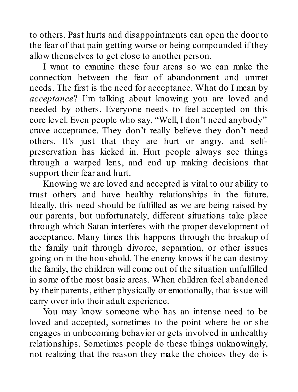to others. Past hurts and disappointments can open the door to the fear of that pain getting worse or being compounded if they allow themselves to get close to another person.

I want to examine these four areas so we can make the connection between the fear of abandonment and unmet needs. The first is the need for acceptance. What do I mean by *acceptance*? I'm talking about knowing you are loved and needed by others. Everyone needs to feel accepted on this core level. Even people who say, "Well, I don't need anybody" crave acceptance. They don't really believe they don't need others. It's just that they are hurt or angry, and selfpreservation has kicked in. Hurt people always see things through a warped lens, and end up making decisions that support their fear and hurt.

Knowing we are loved and accepted is vital to our ability to trust others and have healthy relationships in the future. Ideally, this need should be fulfilled as we are being raised by our parents, but unfortunately, different situations take place through which Satan interferes with the proper development of acceptance. Many times this happens through the breakup of the family unit through divorce, separation, or other issues going on in the household. The enemy knows if he can destroy the family, the children will come out of the situation unfulfilled in some of the most basic areas. When children feel abandoned by their parents, either physically or emotionally, that issue will carry over into their adult experience.

You may know someone who has an intense need to be loved and accepted, sometimes to the point where he or she engages in unbecoming behavior or gets involved in unhealthy relationships. Sometimes people do these things unknowingly, not realizing that the reason they make the choices they do is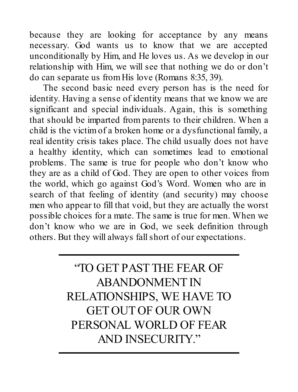because they are looking for acceptance by any means necessary. God wants us to know that we are accepted unconditionally by Him, and He loves us. As we develop in our relationship with Him, we will see that nothing we do or don't do can separate us fromHis love (Romans 8:35, 39).

The second basic need every person has is the need for identity. Having a sense of identity means that we know we are significant and special individuals. Again, this is something that should be imparted from parents to their children. When a child is the victim of a broken home or a dysfunctional family, a real identity crisis takes place. The child usually does not have a healthy identity, which can sometimes lead to emotional problems. The same is true for people who don't know who they are as a child of God. They are open to other voices from the world, which go against God's Word. Women who are in search of that feeling of identity (and security) may choose men who appear to fill that void, but they are actually the worst possible choices for a mate. The same is true for men. When we don't know who we are in God, we seek definition through others. But they will always fallshort of our expectations.

> "TO GET PAST THE FEAR OF ABANDONMENT IN RELATIONSHIPS, WE HAVE TO GET OUT OF OUR OWN PERSONAL WORLD OF FEAR AND INSECURITY"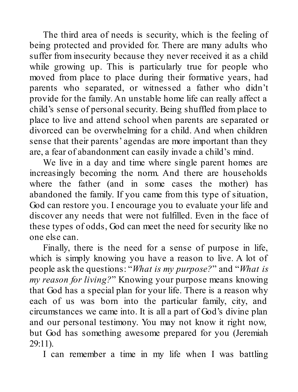The third area of needs is security, which is the feeling of being protected and provided for. There are many adults who suffer from insecurity because they never received it as a child while growing up. This is particularly true for people who moved from place to place during their formative years, had parents who separated, or witnessed a father who didn't provide for the family. An unstable home life can really affect a child's sense of personal security. Being shuffled from place to place to live and attend school when parents are separated or divorced can be overwhelming for a child. And when children sense that their parents' agendas are more important than they are, a fear of abandonment can easily invade a child's mind.

We live in a day and time where single parent homes are increasingly becoming the norm. And there are households where the father (and in some cases the mother) has abandoned the family. If you came from this type of situation, God can restore you. I encourage you to evaluate your life and discover any needs that were not fulfilled. Even in the face of these types of odds, God can meet the need for security like no one else can.

Finally, there is the need for a sense of purpose in life, which is simply knowing you have a reason to live. A lot of people ask the questions: "*What is my purpose?*" and "*What is my reason for living?*" Knowing your purpose means knowing that God has a special plan for your life. There is a reason why each of us was born into the particular family, city, and circumstances we came into. It is all a part of God's divine plan and our personal testimony. You may not know it right now, but God has something awesome prepared for you (Jeremiah 29:11).

I can remember a time in my life when I was battling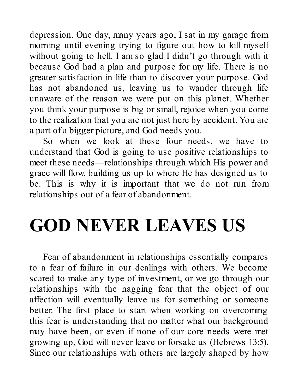depression. One day, many years ago, I sat in my garage from morning until evening trying to figure out how to kill myself without going to hell. I am so glad I didn't go through with it because God had a plan and purpose for my life. There is no greater satisfaction in life than to discover your purpose. God has not abandoned us, leaving us to wander through life unaware of the reason we were put on this planet. Whether you think your purpose is big or small, rejoice when you come to the realization that you are not just here by accident. You are a part of a bigger picture, and God needs you.

So when we look at these four needs, we have to understand that God is going to use positive relationships to meet these needs—relationships through which His power and grace will flow, building us up to where He has designed us to be. This is why it is important that we do not run from relationships out of a fear of abandonment.

# **GOD NEVER LEAVES US**

Fear of abandonment in relationships essentially compares to a fear of failure in our dealings with others. We become scared to make any type of investment, or we go through our relationships with the nagging fear that the object of our affection will eventually leave us for something or someone better. The first place to start when working on overcoming this fear is understanding that no matter what our background may have been, or even if none of our core needs were met growing up, God will never leave or forsake us (Hebrews 13:5). Since our relationships with others are largely shaped by how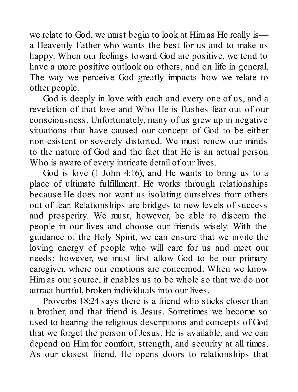we relate to God, we must begin to look at Himas He really is a Heavenly Father who wants the best for us and to make us happy. When our feelings toward God are positive, we tend to have a more positive outlook on others, and on life in general. The way we perceive God greatly impacts how we relate to other people.

God is deeply in love with each and every one of us, and a revelation of that love and Who He is flushes fear out of our consciousness. Unfortunately, many of us grew up in negative situations that have caused our concept of God to be either non-existent or severely distorted. We must renew our minds to the nature of God and the fact that He is an actual person Who is aware of every intricate detail of our lives.

God is love (1 John 4:16), and He wants to bring us to a place of ultimate fulfillment. He works through relationships because He does not want us isolating ourselves from others out of fear. Relationships are bridges to new levels of success and prosperity. We must, however, be able to discern the people in our lives and choose our friends wisely. With the guidance of the Holy Spirit, we can ensure that we invite the loving energy of people who will care for us and meet our needs; however, we must first allow God to be our primary caregiver, where our emotions are concerned. When we know Him as our source, it enables us to be whole so that we do not attract hurtful, broken individuals into our lives.

Proverbs 18:24 says there is a friend who sticks closer than a brother, and that friend is Jesus. Sometimes we become so used to hearing the religious descriptions and concepts of God that we forget the person of Jesus. He is available, and we can depend on Him for comfort, strength, and security at all times. As our closest friend, He opens doors to relationships that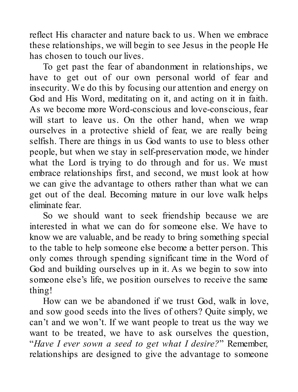reflect His character and nature back to us. When we embrace these relationships, we will begin to see Jesus in the people He has chosen to touch our lives.

To get past the fear of abandonment in relationships, we have to get out of our own personal world of fear and insecurity. We do this by focusing our attention and energy on God and His Word, meditating on it, and acting on it in faith. As we become more Word-conscious and love-conscious, fear will start to leave us. On the other hand, when we wrap ourselves in a protective shield of fear, we are really being selfish. There are things in us God wants to use to bless other people, but when we stay in self-preservation mode, we hinder what the Lord is trying to do through and for us. We must embrace relationships first, and second, we must look at how we can give the advantage to others rather than what we can get out of the deal. Becoming mature in our love walk helps eliminate fear.

So we should want to seek friendship because we are interested in what we can do for someone else. We have to know we are valuable, and be ready to bring something special to the table to help someone else become a better person. This only comes through spending significant time in the Word of God and building ourselves up in it. As we begin to sow into someone else's life, we position ourselves to receive the same thing!

How can we be abandoned if we trust God, walk in love, and sow good seeds into the lives of others? Quite simply, we can't and we won't. If we want people to treat us the way we want to be treated, we have to ask ourselves the question, "*Have I ever sown a seed to get what I desire?*" Remember, relationships are designed to give the advantage to someone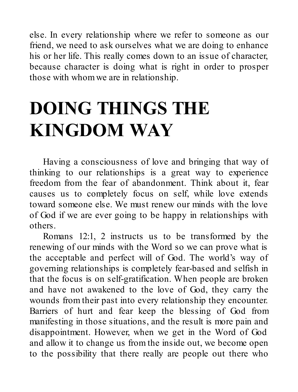else. In every relationship where we refer to someone as our friend, we need to ask ourselves what we are doing to enhance his or her life. This really comes down to an issue of character. because character is doing what is right in order to prosper those with whomwe are in relationship.

# **DOING THINGS THE KINGDOM WAY**

Having a consciousness of love and bringing that way of thinking to our relationships is a great way to experience freedom from the fear of abandonment. Think about it, fear causes us to completely focus on self, while love extends toward someone else. We must renew our minds with the love of God if we are ever going to be happy in relationships with others.

Romans 12:1, 2 instructs us to be transformed by the renewing of our minds with the Word so we can prove what is the acceptable and perfect will of God. The world's way of governing relationships is completely fear-based and selfish in that the focus is on self-gratification. When people are broken and have not awakened to the love of God, they carry the wounds from their past into every relationship they encounter. Barriers of hurt and fear keep the blessing of God from manifesting in those situations, and the result is more pain and disappointment. However, when we get in the Word of God and allow it to change us from the inside out, we become open to the possibility that there really are people out there who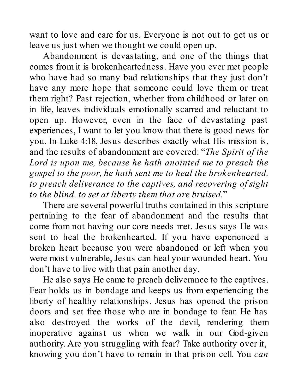want to love and care for us. Everyone is not out to get us or leave us just when we thought we could open up.

Abandonment is devastating, and one of the things that comes from it is brokenheartedness. Have you ever met people who have had so many bad relationships that they just don't have any more hope that someone could love them or treat them right? Past rejection, whether from childhood or later on in life, leaves individuals emotionally scarred and reluctant to open up. However, even in the face of devastating past experiences, I want to let you know that there is good news for you. In Luke 4:18, Jesus describes exactly what His mission is, and the results of abandonment are covered: "*The Spirit of the Lord is upon me, because he hath anointed me to preach the gospel to the poor, he hath sent me to heal the brokenhearted, to preach deliverance to the captives, and recovering of sight to the blind, to set at liberty them that are bruised.*"

There are several powerful truths contained in this scripture pertaining to the fear of abandonment and the results that come from not having our core needs met. Jesus says He was sent to heal the brokenhearted. If you have experienced a broken heart because you were abandoned or left when you were most vulnerable, Jesus can heal your wounded heart. You don't have to live with that pain another day.

He also says He came to preach deliverance to the captives. Fear holds us in bondage and keeps us from experiencing the liberty of healthy relationships. Jesus has opened the prison doors and set free those who are in bondage to fear. He has also destroyed the works of the devil, rendering them inoperative against us when we walk in our God-given authority. Are you struggling with fear? Take authority over it, knowing you don't have to remain in that prison cell. You *can*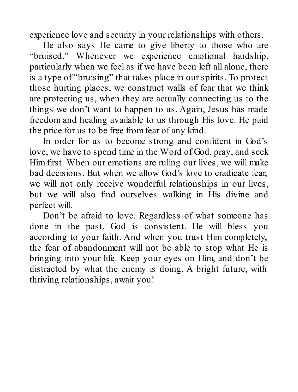experience love and security in your relationships with others.

He also says He came to give liberty to those who are "bruised." Whenever we experience emotional hardship, particularly when we feel as if we have been left all alone, there is a type of "bruising" that takes place in our spirits. To protect those hurting places, we construct walls of fear that we think are protecting us, when they are actually connecting us to the things we don't want to happen to us. Again, Jesus has made freedom and healing available to us through His love. He paid the price for us to be free fromfear of any kind.

In order for us to become strong and confident in God's love, we have to spend time in the Word of God, pray, and seek Him first. When our emotions are ruling our lives, we will make bad decisions. But when we allow God's love to eradicate fear, we will not only receive wonderful relationships in our lives, but we will also find ourselves walking in His divine and perfect will.

Don't be afraid to love. Regardless of what someone has done in the past, God is consistent. He will bless you according to your faith. And when you trust Him completely, the fear of abandonment will not be able to stop what He is bringing into your life. Keep your eyes on Him, and don't be distracted by what the enemy is doing. A bright future, with thriving relationships, await you!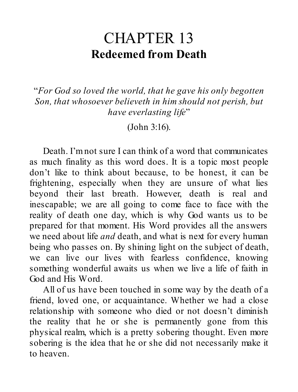### CHAPTER 13 **Redeemed from Death**

"*For God so loved the world, that he gave his only begotten Son, that whosoever believeth in him should not perish, but have everlasting life*"

(John 3:16).

Death. I'mnot sure I can think of a word that communicates as much finality as this word does. It is a topic most people don't like to think about because, to be honest, it can be frightening, especially when they are unsure of what lies beyond their last breath. However, death is real and inescapable; we are all going to come face to face with the reality of death one day, which is why God wants us to be prepared for that moment. His Word provides all the answers we need about life *and* death, and what is next for every human being who passes on. By shining light on the subject of death, we can live our lives with fearless confidence, knowing something wonderful awaits us when we live a life of faith in God and His Word.

All of us have been touched in some way by the death of a friend, loved one, or acquaintance. Whether we had a close relationship with someone who died or not doesn't diminish the reality that he or she is permanently gone from this physical realm, which is a pretty sobering thought. Even more sobering is the idea that he or she did not necessarily make it to heaven.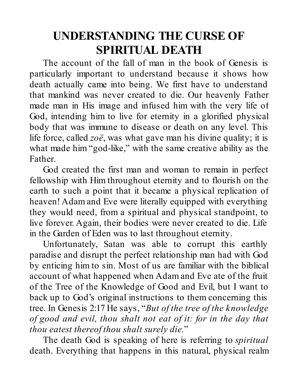### **UNDERSTANDING THE CURSE OF SPIRITUAL DEATH**

The account of the fall of man in the book of Genesis is particularly important to understand because it shows how death actually came into being. We first have to understand that mankind was never created to die. Our heavenly Father made man in His image and infused him with the very life of God, intending him to live for eternity in a glorified physical body that was immune to disease or death on any level. This life force, called *zoë*, was what gave man his divine quality; it is what made him "god-like," with the same creative ability as the Father.

God created the first man and woman to remain in perfect fellowship with Him throughout eternity and to flourish on the earth to such a point that it became a physical replication of heaven! Adam and Eve were literally equipped with everything they would need, from a spiritual and physical standpoint, to live forever. Again, their bodies were never created to die. Life in the Garden of Eden was to last throughout eternity.

Unfortunately, Satan was able to corrupt this earthly paradise and disrupt the perfect relationship man had with God by enticing him to sin. Most of us are familiar with the biblical account of what happened when Adam and Eve ate of the fruit of the Tree of the Knowledge of Good and Evil, but I want to back up to God's original instructions to them concerning this tree. In Genesis 2:17 He says, "*But of the tree of the knowledge of good and evil, thou shalt not eat of it: for in the day that thou eatest thereof thou shalt surely die.*"

The death God is speaking of here is referring to *spiritual* death. Everything that happens in this natural, physical realm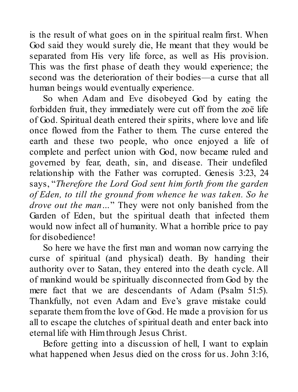is the result of what goes on in the spiritual realm first. When God said they would surely die, He meant that they would be separated from His very life force, as well as His provision. This was the first phase of death they would experience; the second was the deterioration of their bodies—a curse that all human beings would eventually experience.

So when Adam and Eve disobeyed God by eating the forbidden fruit, they immediately were cut off from the zoë life of God. Spiritual death entered their spirits, where love and life once flowed from the Father to them. The curse entered the earth and these two people, who once enjoyed a life of complete and perfect union with God, now became ruled and governed by fear, death, sin, and disease. Their undefiled relationship with the Father was corrupted. Genesis 3:23, 24 says, "*Therefore the Lord God sent him forth from the garden of Eden, to till the ground from whence he was taken. So he drove out the man…*" They were not only banished from the Garden of Eden, but the spiritual death that infected them would now infect all of humanity. What a horrible price to pay for disobedience!

So here we have the first man and woman now carrying the curse of spiritual (and physical) death. By handing their authority over to Satan, they entered into the death cycle. All of mankind would be spiritually disconnected from God by the mere fact that we are descendants of Adam (Psalm 51:5). Thankfully, not even Adam and Eve's grave mistake could separate them from the love of God. He made a provision for us all to escape the clutches of spiritual death and enter back into eternal life with Himthrough Jesus Christ.

Before getting into a discussion of hell, I want to explain what happened when Jesus died on the cross for us. John 3:16,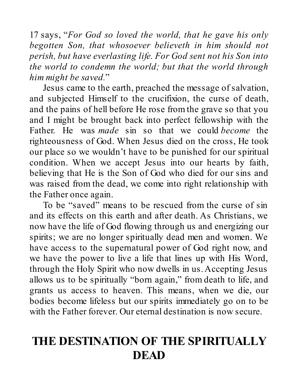17 says, "*For God so loved the world, that he gave his only begotten Son, that whosoever believeth in him should not perish, but have everlasting life. For God sent not his Son into the world to condemn the world; but that the world through him might be saved.*"

Jesus came to the earth, preached the message of salvation, and subjected Himself to the crucifixion, the curse of death, and the pains of hell before He rose from the grave so that you and I might be brought back into perfect fellowship with the Father. He was *made* sin so that we could *become* the righteousness of God. When Jesus died on the cross, He took our place so we wouldn't have to be punished for our spiritual condition. When we accept Jesus into our hearts by faith, believing that He is the Son of God who died for our sins and was raised from the dead, we come into right relationship with the Father once again.

To be "saved" means to be rescued from the curse of sin and its effects on this earth and after death. As Christians, we now have the life of God flowing through us and energizing our spirits; we are no longer spiritually dead men and women. We have access to the supernatural power of God right now, and we have the power to live a life that lines up with His Word, through the Holy Spirit who now dwells in us.Accepting Jesus allows us to be spiritually "born again," from death to life, and grants us access to heaven. This means, when we die, our bodies become lifeless but our spirits immediately go on to be with the Father forever. Our eternal destination is now secure.

### **THE DESTINATION OF THE SPIRITUALLY DEAD**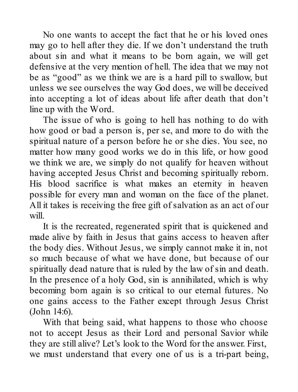No one wants to accept the fact that he or his loved ones may go to hell after they die. If we don't understand the truth about sin and what it means to be born again, we will get defensive at the very mention of hell. The idea that we may not be as "good" as we think we are is a hard pill to swallow, but unless we see ourselves the way God does, we will be deceived into accepting a lot of ideas about life after death that don't line up with the Word.

The issue of who is going to hell has nothing to do with how good or bad a person is, per se, and more to do with the spiritual nature of a person before he or she dies. You see, no matter how many good works we do in this life, or how good we think we are, we simply do not qualify for heaven without having accepted Jesus Christ and becoming spiritually reborn. His blood sacrifice is what makes an eternity in heaven possible for every man and woman on the face of the planet. All it takes is receiving the free gift of salvation as an act of our will.

It is the recreated, regenerated spirit that is quickened and made alive by faith in Jesus that gains access to heaven after the body dies. Without Jesus, we simply cannot make it in, not so much because of what we have done, but because of our spiritually dead nature that is ruled by the law of sin and death. In the presence of a holy God, sin is annihilated, which is why becoming born again is so critical to our eternal futures. No one gains access to the Father except through Jesus Christ (John 14:6).

With that being said, what happens to those who choose not to accept Jesus as their Lord and personal Savior while they are still alive? Let's look to the Word for the answer. First, we must understand that every one of us is a tri-part being,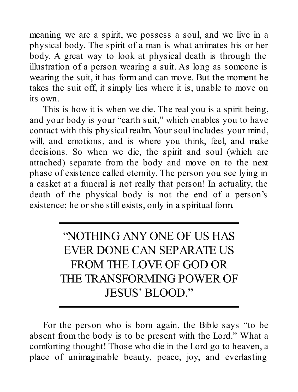meaning we are a spirit, we possess a soul, and we live in a physical body. The spirit of a man is what animates his or her body. A great way to look at physical death is through the illustration of a person wearing a suit. As long as someone is wearing the suit, it has form and can move. But the moment he takes the suit off, it simply lies where it is, unable to move on its own.

This is how it is when we die. The real you is a spirit being, and your body is your "earth suit," which enables you to have contact with this physical realm. Your soul includes your mind, will, and emotions, and is where you think, feel, and make decisions. So when we die, the spirit and soul (which are attached) separate from the body and move on to the next phase of existence called eternity. The person you see lying in a casket at a funeral is not really that person! In actuality, the death of the physical body is not the end of a person's existence; he or she still exists, only in a spiritual form.

> "NOTHING ANY ONE OF US HAS EVER DONE CAN SEPARATE US FROM THE LOVE OF GOD OR THE TRANSFORMING POWER OF JESUS' BLOOD."

For the person who is born again, the Bible says "to be absent from the body is to be present with the Lord." What a comforting thought! Those who die in the Lord go to heaven, a place of unimaginable beauty, peace, joy, and everlasting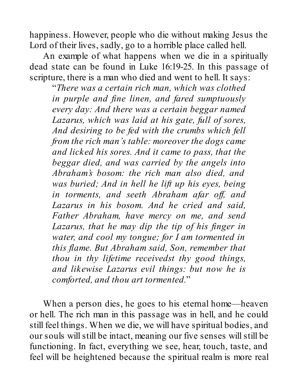happiness. However, people who die without making Jesus the Lord of their lives, sadly, go to a horrible place called hell.

An example of what happens when we die in a spiritually dead state can be found in Luke 16:19-25. In this passage of scripture, there is a man who died and went to hell. It says:

"*There was a certain rich man, which was clothed in purple and fine linen, and fared sumptuously every day: And there was a certain beggar named Lazarus, which was laid at his gate, full of sores, And desiring to be fed with the crumbs which fell from the rich man's table: moreover the dogs came and licked his sores. And it came to pass, that the beggar died, and was carried by the angels into Abraham's bosom: the rich man also died, and was buried; And in hell he lift up his eyes, being in torments, and seeth Abraham afar off, and Lazarus in his bosom. And he cried and said, Father Abraham, have mercy on me, and send Lazarus, that he may dip the tip of his finger in water, and cool my tongue; for I am tormented in this flame. But Abraham said, Son, remember that thou in thy lifetime receivedst thy good things, and likewise Lazarus evil things: but now he is comforted, and thou art tormented.*"

When a person dies, he goes to his eternal home—heaven or hell. The rich man in this passage was in hell, and he could still feel things. When we die, we will have spiritual bodies, and our souls willstill be intact, meaning our five senses willstill be functioning. In fact, everything we see, hear, touch, taste, and feel will be heightened because the spiritual realm is more real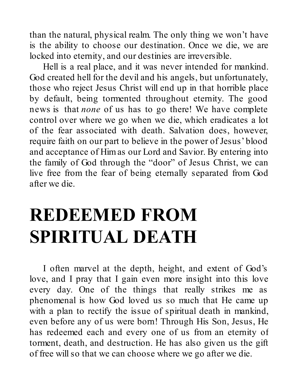than the natural, physical realm. The only thing we won't have is the ability to choose our destination. Once we die, we are locked into eternity, and our destinies are irreversible.

Hell is a real place, and it was never intended for mankind. God created hell for the devil and his angels, but unfortunately, those who reject Jesus Christ will end up in that horrible place by default, being tormented throughout eternity. The good news is that *none* of us has to go there! We have complete control over where we go when we die, which eradicates a lot of the fear associated with death. Salvation does, however, require faith on our part to believe in the power of Jesus' blood and acceptance of Himas our Lord and Savior. By entering into the family of God through the "door" of Jesus Christ, we can live free from the fear of being eternally separated from God after we die.

## **REDEEMED FROM SPIRITUAL DEATH**

I often marvel at the depth, height, and extent of God's love, and I pray that I gain even more insight into this love every day. One of the things that really strikes me as phenomenal is how God loved us so much that He came up with a plan to rectify the issue of spiritual death in mankind, even before any of us were born! Through His Son, Jesus, He has redeemed each and every one of us from an eternity of torment, death, and destruction. He has also given us the gift of free willso that we can choose where we go after we die.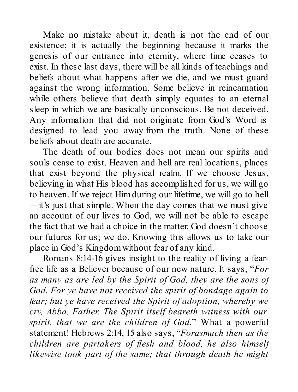Make no mistake about it, death is not the end of our existence; it is actually the beginning because it marks the genesis of our entrance into eternity, where time ceases to exist. In these last days, there will be all kinds of teachings and beliefs about what happens after we die, and we must guard against the wrong information. Some believe in reincarnation while others believe that death simply equates to an eternal sleep in which we are basically unconscious. Be not deceived. Any information that did not originate from God's Word is designed to lead you away from the truth. None of these beliefs about death are accurate.

The death of our bodies does not mean our spirits and souls cease to exist. Heaven and hell are real locations, places that exist beyond the physical realm. If we choose Jesus, believing in what His blood has accomplished for us, we will go to heaven. If we reject Himduring our lifetime, we will go to hell —it's just that simple. When the day comes that we must give an account of our lives to God, we will not be able to escape the fact that we had a choice in the matter. God doesn't choose our futures for us; we do. Knowing this allows us to take our place in God's Kingdomwithout fear of any kind.

Romans 8:14-16 gives insight to the reality of living a fearfree life as a Believer because of our new nature. It says, "*For as many as are led by the Spirit of God, they are the sons of God. For ye have not received the spirit of bondage again to fear; but ye have received the Spirit of adoption, whereby we cry, Abba, Father. The Spirit itself beareth witness with our spirit, that we are the children of God.*" What a powerful statement! Hebrews 2:14, 15 also says, "*Forasmuch then as the children are partakers of flesh and blood, he also himself likewise took part of the same; that through death he might*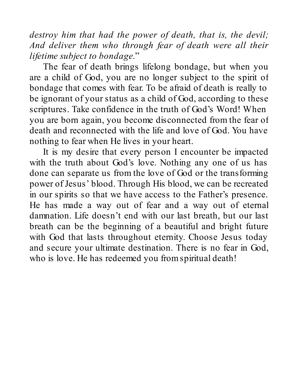*destroy him that had the power of death, that is, the devil; And deliver them who through fear of death were all their lifetime subject to bondage.*"

The fear of death brings lifelong bondage, but when you are a child of God, you are no longer subject to the spirit of bondage that comes with fear. To be afraid of death is really to be ignorant of your status as a child of God, according to these scriptures. Take confidence in the truth of God's Word! When you are born again, you become disconnected from the fear of death and reconnected with the life and love of God. You have nothing to fear when He lives in your heart.

It is my desire that every person I encounter be impacted with the truth about God's love. Nothing any one of us has done can separate us from the love of God or the transforming power of Jesus' blood. Through His blood, we can be recreated in our spirits so that we have access to the Father's presence. He has made a way out of fear and a way out of eternal damnation. Life doesn't end with our last breath, but our last breath can be the beginning of a beautiful and bright future with God that lasts throughout eternity. Choose Jesus today and secure your ultimate destination. There is no fear in God, who is love. He has redeemed you fromspiritual death!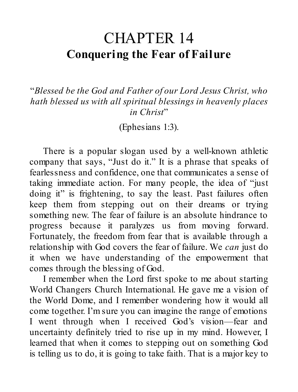# CHAPTER 14 **Conquering the Fear of Failure**

"*Blessed be the God and Father of our Lord Jesus Christ, who hath blessed us with all spiritual blessings in heavenly places in Christ*"

(Ephesians 1:3).

There is a popular slogan used by a well-known athletic company that says, "Just do it." It is a phrase that speaks of fearlessness and confidence, one that communicates a sense of taking immediate action. For many people, the idea of "just doing it" is frightening, to say the least. Past failures often keep them from stepping out on their dreams or trying something new. The fear of failure is an absolute hindrance to progress because it paralyzes us from moving forward. Fortunately, the freedom from fear that is available through a relationship with God covers the fear of failure. We *can* just do it when we have understanding of the empowerment that comes through the blessing of God.

I remember when the Lord first spoke to me about starting World Changers Church International. He gave me a vision of the World Dome, and I remember wondering how it would all come together. I'm sure you can imagine the range of emotions I went through when I received God's vision—fear and uncertainty definitely tried to rise up in my mind. However, I learned that when it comes to stepping out on something God is telling us to do, it is going to take faith. That is a major key to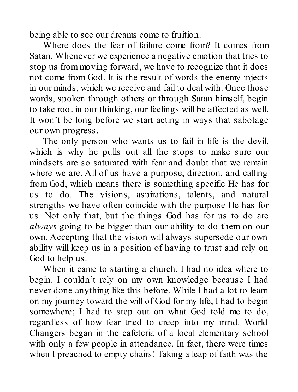being able to see our dreams come to fruition.

Where does the fear of failure come from? It comes from Satan. Whenever we experience a negative emotion that tries to stop us from moving forward, we have to recognize that it does not come from God. It is the result of words the enemy injects in our minds, which we receive and fail to deal with. Once those words, spoken through others or through Satan himself, begin to take root in our thinking, our feelings will be affected as well. It won't be long before we start acting in ways that sabotage our own progress.

The only person who wants us to fail in life is the devil, which is why he pulls out all the stops to make sure our mindsets are so saturated with fear and doubt that we remain where we are. All of us have a purpose, direction, and calling from God, which means there is something specific He has for us to do. The visions, aspirations, talents, and natural strengths we have often coincide with the purpose He has for us. Not only that, but the things God has for us to do are *always* going to be bigger than our ability to do them on our own. Accepting that the vision will always supersede our own ability will keep us in a position of having to trust and rely on God to help us.

When it came to starting a church, I had no idea where to begin. I couldn't rely on my own knowledge because I had never done anything like this before. While I had a lot to learn on my journey toward the will of God for my life, I had to begin somewhere; I had to step out on what God told me to do, regardless of how fear tried to creep into my mind. World Changers began in the cafeteria of a local elementary school with only a few people in attendance. In fact, there were times when I preached to empty chairs! Taking a leap of faith was the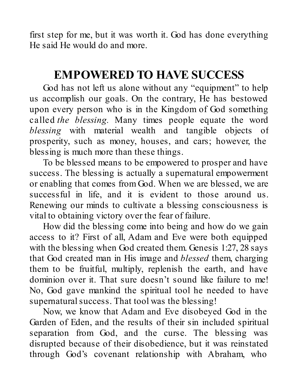first step for me, but it was worth it. God has done everything He said He would do and more.

### **EMPOWERED TO HAVE SUCCESS**

God has not left us alone without any "equipment" to help us accomplish our goals. On the contrary, He has bestowed upon every person who is in the Kingdom of God something called *the blessing.* Many times people equate the word *blessing* with material wealth and tangible objects of prosperity, such as money, houses, and cars; however, the blessing is much more than these things.

To be blessed means to be empowered to prosper and have success. The blessing is actually a supernatural empowerment or enabling that comes from God. When we are blessed, we are successful in life, and it is evident to those around us. Renewing our minds to cultivate a blessing consciousness is vital to obtaining victory over the fear of failure.

How did the blessing come into being and how do we gain access to it? First of all, Adam and Eve were both equipped with the blessing when God created them. Genesis 1:27, 28 says that God created man in His image and *blessed* them, charging them to be fruitful, multiply, replenish the earth, and have dominion over it. That sure doesn't sound like failure to me! No, God gave mankind the spiritual tool he needed to have supernatural success. That tool was the blessing!

Now, we know that Adam and Eve disobeyed God in the Garden of Eden, and the results of their sin included spiritual separation from God, and the curse. The blessing was disrupted because of their disobedience, but it was reinstated through God's covenant relationship with Abraham, who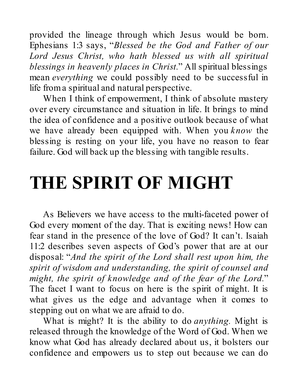provided the lineage through which Jesus would be born. Ephesians 1:3 says, "*Blessed be the God and Father of our Lord Jesus Christ, who hath blessed us with all spiritual blessings in heavenly places in Christ.*" All spiritual blessings mean *everything* we could possibly need to be successful in life froma spiritual and natural perspective.

When I think of empowerment, I think of absolute mastery over every circumstance and situation in life. It brings to mind the idea of confidence and a positive outlook because of what we have already been equipped with. When you *know* the blessing is resting on your life, you have no reason to fear failure. God will back up the blessing with tangible results.

# **THE SPIRIT OF MIGHT**

As Believers we have access to the multi-faceted power of God every moment of the day. That is exciting news! How can fear stand in the presence of the love of God? It can't. Isaiah 11:2 describes seven aspects of God's power that are at our disposal: "*And the spirit of the Lord shall rest upon him, the spirit of wisdom and understanding, the spirit of counsel and might, the spirit of knowledge and of the fear of the Lord.*" The facet I want to focus on here is the spirit of might. It is what gives us the edge and advantage when it comes to stepping out on what we are afraid to do.

What is might? It is the ability to do *anything.* Might is released through the knowledge of the Word of God. When we know what God has already declared about us, it bolsters our confidence and empowers us to step out because we can do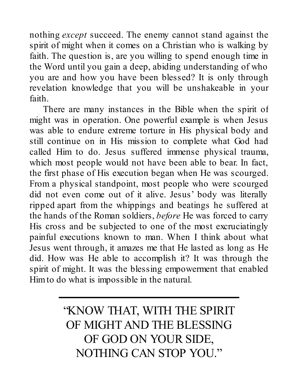nothing *except* succeed. The enemy cannot stand against the spirit of might when it comes on a Christian who is walking by faith. The question is, are you willing to spend enough time in the Word until you gain a deep, abiding understanding of who you are and how you have been blessed? It is only through revelation knowledge that you will be unshakeable in your faith.

There are many instances in the Bible when the spirit of might was in operation. One powerful example is when Jesus was able to endure extreme torture in His physical body and still continue on in His mission to complete what God had called Him to do. Jesus suffered immense physical trauma, which most people would not have been able to bear. In fact, the first phase of His execution began when He was scourged. From a physical standpoint, most people who were scourged did not even come out of it alive. Jesus' body was literally ripped apart from the whippings and beatings he suffered at the hands of the Roman soldiers, *before* He was forced to carry His cross and be subjected to one of the most excruciatingly painful executions known to man. When I think about what Jesus went through, it amazes me that He lasted as long as He did. How was He able to accomplish it? It was through the spirit of might. It was the blessing empowerment that enabled Himto do what is impossible in the natural.

> "KNOW THAT, WITH THE SPIRIT OF MIGHT AND THE BLESSING OF GOD ON YOUR SIDE, NOTHING CAN STOP YOU."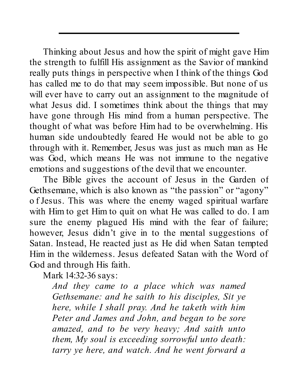Thinking about Jesus and how the spirit of might gave Him the strength to fulfill His assignment as the Savior of mankind really puts things in perspective when I think of the things God has called me to do that may seem impossible. But none of us will ever have to carry out an assignment to the magnitude of what Jesus did. I sometimes think about the things that may have gone through His mind from a human perspective. The thought of what was before Him had to be overwhelming. His human side undoubtedly feared He would not be able to go through with it. Remember, Jesus was just as much man as He was God, which means He was not immune to the negative emotions and suggestions of the devil that we encounter.

The Bible gives the account of Jesus in the Garden of Gethsemane, which is also known as "the passion" or "agony" o f Jesus. This was where the enemy waged spiritual warfare with Him to get Him to quit on what He was called to do. I am sure the enemy plagued His mind with the fear of failure; however, Jesus didn't give in to the mental suggestions of Satan. Instead, He reacted just as He did when Satan tempted Him in the wilderness. Jesus defeated Satan with the Word of God and through His faith.

Mark 14:32-36 says:

*And they came to a place which was named Gethsemane: and he saith to his disciples, Sit ye here, while I shall pray. And he taketh with him Peter and James and John, and began to be sore amazed, and to be very heavy; And saith unto them, My soul is exceeding sorrowful unto death: tarry ye here, and watch. And he went forward a*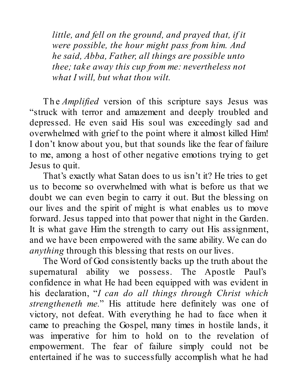*little, and fell on the ground, and prayed that, if it were possible, the hour might pass from him. And he said, Abba, Father, all things are possible unto thee; take away this cup from me: nevertheless not what I will, but what thou wilt.*

Th e *Amplified* version of this scripture says Jesus was "struck with terror and amazement and deeply troubled and depressed. He even said His soul was exceedingly sad and overwhelmed with grief to the point where it almost killed Him! I don't know about you, but that sounds like the fear of failure to me, among a host of other negative emotions trying to get Jesus to quit.

That's exactly what Satan does to us isn't it? He tries to get us to become so overwhelmed with what is before us that we doubt we can even begin to carry it out. But the blessing on our lives and the spirit of might is what enables us to move forward. Jesus tapped into that power that night in the Garden. It is what gave Him the strength to carry out His assignment, and we have been empowered with the same ability. We can do *anything* through this blessing that rests on our lives.

The Word of God consistently backs up the truth about the supernatural ability we possess. The Apostle Paul's confidence in what He had been equipped with was evident in his declaration, "*I can do all things through Christ which strengtheneth me.*" His attitude here definitely was one of victory, not defeat. With everything he had to face when it came to preaching the Gospel, many times in hostile lands, it was imperative for him to hold on to the revelation of empowerment. The fear of failure simply could not be entertained if he was to successfully accomplish what he had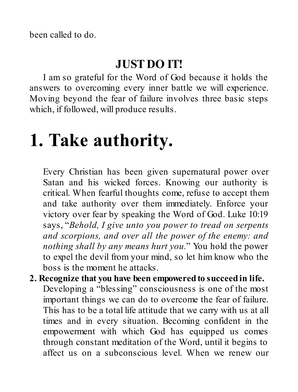been called to do.

### **JUST DO IT!**

I am so grateful for the Word of God because it holds the answers to overcoming every inner battle we will experience. Moving beyond the fear of failure involves three basic steps which, if followed, will produce results.

# **1. Take authority.**

Every Christian has been given supernatural power over Satan and his wicked forces. Knowing our authority is critical. When fearful thoughts come, refuse to accept them and take authority over them immediately. Enforce your victory over fear by speaking the Word of God. Luke 10:19 says, "*Behold, I give unto you power to tread on serpents and scorpions, and over all the power of the enemy: and nothing shall by any means hurt you.*" You hold the power to expel the devil from your mind, so let him know who the boss is the moment he attacks.

**2. Recognize that you have been empoweredto succeedin life.** Developing a "blessing" consciousness is one of the most important things we can do to overcome the fear of failure. This has to be a total life attitude that we carry with us at all times and in every situation. Becoming confident in the empowerment with which God has equipped us comes through constant meditation of the Word, until it begins to affect us on a subconscious level. When we renew our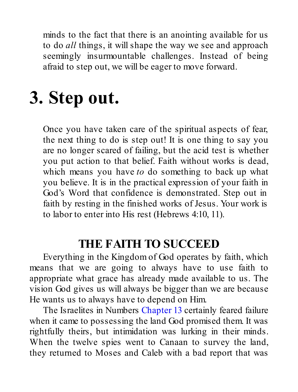minds to the fact that there is an anointing available for us to do *all* things, it will shape the way we see and approach seemingly insurmountable challenges. Instead of being afraid to step out, we will be eager to move forward.

# **3. Step out.**

Once you have taken care of the spiritual aspects of fear, the next thing to do is step out! It is one thing to say you are no longer scared of failing, but the acid test is whether you put action to that belief. Faith without works is dead, which means you have *to* do something to back up what you believe. It is in the practical expression of your faith in God's Word that confidence is demonstrated. Step out in faith by resting in the finished works of Jesus. Your work is to labor to enter into His rest (Hebrews 4:10, 11).

### **THE FAITH TO SUCCEED**

Everything in the Kingdom of God operates by faith, which means that we are going to always have to use faith to appropriate what grace has already made available to us. The vision God gives us will always be bigger than we are because He wants us to always have to depend on Him.

The Israelites in Numbers Chapter 13 certainly feared failure when it came to possessing the land God promised them. It was rightfully theirs, but intimidation was lurking in their minds. When the twelve spies went to Canaan to survey the land, they returned to Moses and Caleb with a bad report that was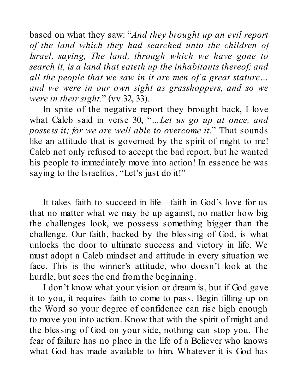based on what they saw: "*And they brought up an evil report of the land which they had searched unto the children of Israel, saying, The land, through which we have gone to search it, is a land that eateth up the inhabitants thereof; and all the people that we saw in it are men of a great stature… and we were in our own sight as grasshoppers, and so we were in their sight.*" (vv.32, 33).

In spite of the negative report they brought back, I love what Caleb said in verse 30, "*…Let us go up at once, and possess it; for we are well able to overcome it.*" That sounds like an attitude that is governed by the spirit of might to me! Caleb not only refused to accept the bad report, but he wanted his people to immediately move into action! In essence he was saying to the Israelites, "Let's just do it!"

It takes faith to succeed in life—faith in God's love for us that no matter what we may be up against, no matter how big the challenges look, we possess something bigger than the challenge. Our faith, backed by the blessing of God, is what unlocks the door to ultimate success and victory in life. We must adopt a Caleb mindset and attitude in every situation we face. This is the winner's attitude, who doesn't look at the hurdle, but sees the end fromthe beginning.

I don't know what your vision or dream is, but if God gave it to you, it requires faith to come to pass. Begin filling up on the Word so your degree of confidence can rise high enough to move you into action. Know that with the spirit of might and the blessing of God on your side, nothing can stop you. The fear of failure has no place in the life of a Believer who knows what God has made available to him. Whatever it is God has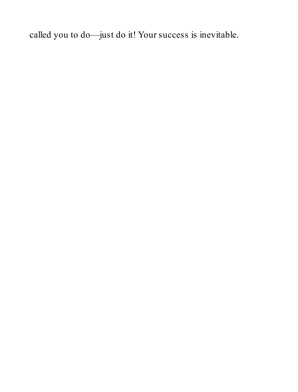called you to do—just do it! Your success is inevitable.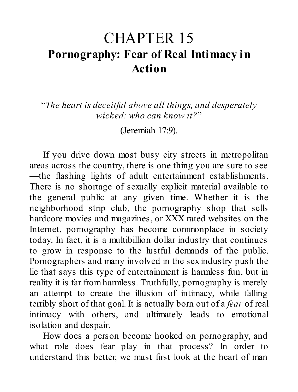# CHAPTER 15 **Pornography: Fear of Real Intimacy in Action**

"*The heart is deceitful above all things, and desperately wicked: who can know it?*"

(Jeremiah 17:9).

If you drive down most busy city streets in metropolitan areas across the country, there is one thing you are sure to see —the flashing lights of adult entertainment establishments. There is no shortage of sexually explicit material available to the general public at any given time. Whether it is the neighborhood strip club, the pornography shop that sells hardcore movies and magazines, or XXX rated websites on the Internet, pornography has become commonplace in society today. In fact, it is a multibillion dollar industry that continues to grow in response to the lustful demands of the public. Pornographers and many involved in the sex industry push the lie that says this type of entertainment is harmless fun, but in reality it is far from harmless. Truthfully, pornography is merely an attempt to create the illusion of intimacy, while falling terribly short of that goal. It is actually born out of a *fear* of real intimacy with others, and ultimately leads to emotional isolation and despair.

How does a person become hooked on pornography, and what role does fear play in that process? In order to understand this better, we must first look at the heart of man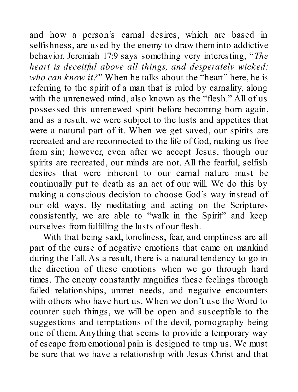and how a person's carnal desires, which are based in selfishness, are used by the enemy to draw them into addictive behavior. Jeremiah 17:9 says something very interesting, "*The heart is deceitful above all things, and desperately wicked: who can know it?*" When he talks about the "heart" here, he is referring to the spirit of a man that is ruled by carnality, along with the unrenewed mind, also known as the "flesh." All of us possessed this unrenewed spirit before becoming born again, and as a result, we were subject to the lusts and appetites that were a natural part of it. When we get saved, our spirits are recreated and are reconnected to the life of God, making us free from sin; however, even after we accept Jesus, though our spirits are recreated, our minds are not. All the fearful, selfish desires that were inherent to our carnal nature must be continually put to death as an act of our will. We do this by making a conscious decision to choose God's way instead of our old ways. By meditating and acting on the Scriptures consistently, we are able to "walk in the Spirit" and keep ourselves fromfulfilling the lusts of our flesh.

With that being said, loneliness, fear, and emptiness are all part of the curse of negative emotions that came on mankind during the Fall. As a result, there is a natural tendency to go in the direction of these emotions when we go through hard times. The enemy constantly magnifies these feelings through failed relationships, unmet needs, and negative encounters with others who have hurt us. When we don't use the Word to counter such things, we will be open and susceptible to the suggestions and temptations of the devil, pornography being one of them. Anything that seems to provide a temporary way of escape from emotional pain is designed to trap us. We must be sure that we have a relationship with Jesus Christ and that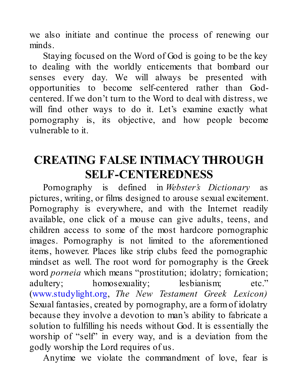we also initiate and continue the process of renewing our minds.

Staying focused on the Word of God is going to be the key to dealing with the worldly enticements that bombard our senses every day. We will always be presented with opportunities to become self-centered rather than Godcentered. If we don't turn to the Word to deal with distress, we will find other ways to do it. Let's examine exactly what pornography is, its objective, and how people become vulnerable to it.

## **CREATING FALSE INTIMACY THROUGH SELF-CENTEREDNESS**

Pornography is defined in *Webster's Dictionary* as pictures, writing, or films designed to arouse sexual excitement. Pornography is everywhere, and with the Internet readily available, one click of a mouse can give adults, teens, and children access to some of the most hardcore pornographic images. Pornography is not limited to the aforementioned items, however. Places like strip clubs feed the pornographic mindset as well. The root word for pornography is the Greek word *porneia* which means "prostitution; idolatry; fornication; adultery; homosexuality; lesbianism; etc." (www.studylight.org, *The New Testament Greek Lexicon)* Sexual fantasies, created by pornography, are a formof idolatry because they involve a devotion to man's ability to fabricate a solution to fulfilling his needs without God. It is essentially the worship of "self" in every way, and is a deviation from the godly worship the Lord requires of us.

Anytime we violate the commandment of love, fear is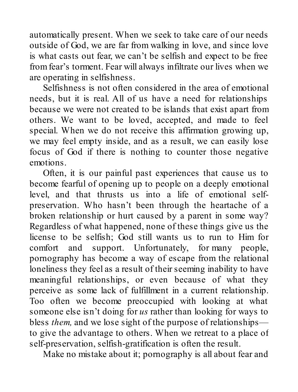automatically present. When we seek to take care of our needs outside of God, we are far from walking in love, and since love is what casts out fear, we can't be selfish and expect to be free fromfear's torment. Fear will always infiltrate our lives when we are operating in selfishness.

Selfishness is not often considered in the area of emotional needs, but it is real. All of us have a need for relationships because we were not created to be islands that exist apart from others. We want to be loved, accepted, and made to feel special. When we do not receive this affirmation growing up, we may feel empty inside, and as a result, we can easily lose focus of God if there is nothing to counter those negative emotions.

Often, it is our painful past experiences that cause us to become fearful of opening up to people on a deeply emotional level, and that thrusts us into a life of emotional selfpreservation. Who hasn't been through the heartache of a broken relationship or hurt caused by a parent in some way? Regardless of what happened, none of these things give us the license to be selfish; God still wants us to run to Him for comfort and support. Unfortunately, for many people, pornography has become a way of escape from the relational loneliness they feel as a result of their seeming inability to have meaningful relationships, or even because of what they perceive as some lack of fulfillment in a current relationship. Too often we become preoccupied with looking at what someone else isn't doing for *us* rather than looking for ways to bless *them,* and we lose sight of the purpose of relationships to give the advantage to others. When we retreat to a place of self-preservation, selfish-gratification is often the result.

Make no mistake about it; pornography is all about fear and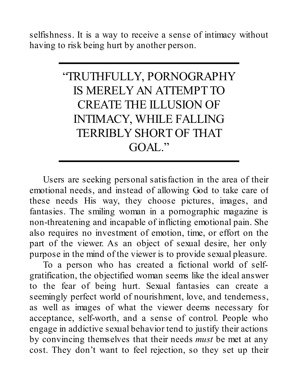selfishness. It is a way to receive a sense of intimacy without having to risk being hurt by another person.

## "TRUTHFULLY, PORNOGRAPHY IS MERELY AN ATTEMPT TO CREATE THE ILLUSION OF INTIMACY, WHILE FALLING TERRIBLY SHORT OF THAT GOAL."

Users are seeking personal satisfaction in the area of their emotional needs, and instead of allowing God to take care of these needs His way, they choose pictures, images, and fantasies. The smiling woman in a pornographic magazine is non-threatening and incapable of inflicting emotional pain. She also requires no investment of emotion, time, or effort on the part of the viewer. As an object of sexual desire, her only purpose in the mind of the viewer is to provide sexual pleasure.

To a person who has created a fictional world of selfgratification, the objectified woman seems like the ideal answer to the fear of being hurt. Sexual fantasies can create a seemingly perfect world of nourishment, love, and tenderness, as well as images of what the viewer deems necessary for acceptance, self-worth, and a sense of control. People who engage in addictive sexual behavior tend to justify their actions by convincing themselves that their needs *must* be met at any cost. They don't want to feel rejection, so they set up their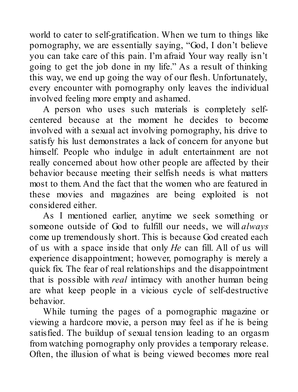world to cater to self-gratification. When we turn to things like pornography, we are essentially saying, "God, I don't believe you can take care of this pain. I'm afraid Your way really isn't going to get the job done in my life." As a result of thinking this way, we end up going the way of our flesh. Unfortunately, every encounter with pornography only leaves the individual involved feeling more empty and ashamed.

A person who uses such materials is completely selfcentered because at the moment he decides to become involved with a sexual act involving pornography, his drive to satisfy his lust demonstrates a lack of concern for anyone but himself. People who indulge in adult entertainment are not really concerned about how other people are affected by their behavior because meeting their selfish needs is what matters most to them. And the fact that the women who are featured in these movies and magazines are being exploited is not considered either.

As I mentioned earlier, anytime we seek something or someone outside of God to fulfill our needs, we will *always* come up tremendously short. This is because God created each of us with a space inside that only *He* can fill. All of us will experience disappointment; however, pornography is merely a quick fix. The fear of real relationships and the disappointment that is possible with *real* intimacy with another human being are what keep people in a vicious cycle of self-destructive behavior.

While turning the pages of a pornographic magazine or viewing a hardcore movie, a person may feel as if he is being satisfied. The buildup of sexual tension leading to an orgasm from watching pornography only provides a temporary release. Often, the illusion of what is being viewed becomes more real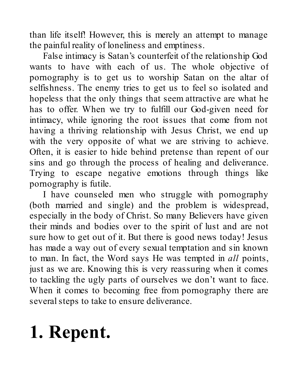than life itself! However, this is merely an attempt to manage the painful reality of loneliness and emptiness.

False intimacy is Satan's counterfeit of the relationship God wants to have with each of us. The whole objective of pornography is to get us to worship Satan on the altar of selfishness. The enemy tries to get us to feel so isolated and hopeless that the only things that seem attractive are what he has to offer. When we try to fulfill our God-given need for intimacy, while ignoring the root issues that come from not having a thriving relationship with Jesus Christ, we end up with the very opposite of what we are striving to achieve. Often, it is easier to hide behind pretense than repent of our sins and go through the process of healing and deliverance. Trying to escape negative emotions through things like pornography is futile.

I have counseled men who struggle with pornography (both married and single) and the problem is widespread, especially in the body of Christ. So many Believers have given their minds and bodies over to the spirit of lust and are not sure how to get out of it. But there is good news today! Jesus has made a way out of every sexual temptation and sin known to man. In fact, the Word says He was tempted in *all* points, just as we are. Knowing this is very reassuring when it comes to tackling the ugly parts of ourselves we don't want to face. When it comes to becoming free from pornography there are several steps to take to ensure deliverance.

# **1. Repent.**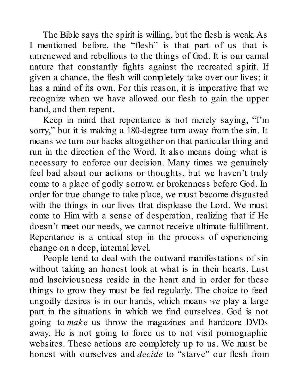The Bible says the spirit is willing, but the flesh is weak. As I mentioned before, the "flesh" is that part of us that is unrenewed and rebellious to the things of God. It is our carnal nature that constantly fights against the recreated spirit. If given a chance, the flesh will completely take over our lives; it has a mind of its own. For this reason, it is imperative that we recognize when we have allowed our flesh to gain the upper hand, and then repent.

Keep in mind that repentance is not merely saying, "I'm sorry," but it is making a 180-degree turn away from the sin. It means we turn our backs altogether on that particular thing and run in the direction of the Word. It also means doing what is necessary to enforce our decision. Many times we genuinely feel bad about our actions or thoughts, but we haven't truly come to a place of godly sorrow, or brokenness before God. In order for true change to take place, we must become disgusted with the things in our lives that displease the Lord. We must come to Him with a sense of desperation, realizing that if He doesn't meet our needs, we cannot receive ultimate fulfillment. Repentance is a critical step in the process of experiencing change on a deep, internal level.

People tend to deal with the outward manifestations of sin without taking an honest look at what is in their hearts. Lust and lasciviousness reside in the heart and in order for these things to grow they must be fed regularly. The choice to feed ungodly desires is in our hands, which means *we* play a large part in the situations in which we find ourselves. God is not going to *make* us throw the magazines and hardcore DVDs away. He is not going to force us to not visit pornographic websites. These actions are completely up to us. We must be honest with ourselves and *decide* to "starve" our flesh from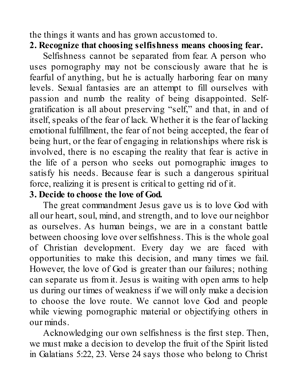the things it wants and has grown accustomed to.

#### **2. Recognize that choosing selfishness means choosing fear.**

Selfishness cannot be separated from fear. A person who uses pornography may not be consciously aware that he is fearful of anything, but he is actually harboring fear on many levels. Sexual fantasies are an attempt to fill ourselves with passion and numb the reality of being disappointed. Selfgratification is all about preserving "self," and that, in and of itself, speaks of the fear of lack. Whether it is the fear of lacking emotional fulfillment, the fear of not being accepted, the fear of being hurt, or the fear of engaging in relationships where risk is involved, there is no escaping the reality that fear is active in the life of a person who seeks out pornographic images to satisfy his needs. Because fear is such a dangerous spiritual force, realizing it is present is critical to getting rid of it.

#### **3. Decide to choose the love of God.**

The great commandment Jesus gave us is to love God with all our heart, soul, mind, and strength, and to love our neighbor as ourselves. As human beings, we are in a constant battle between choosing love over selfishness. This is the whole goal of Christian development. Every day we are faced with opportunities to make this decision, and many times we fail. However, the love of God is greater than our failures; nothing can separate us from it. Jesus is waiting with open arms to help us during our times of weakness if we will only make a decision to choose the love route. We cannot love God and people while viewing pornographic material or objectifying others in our minds.

Acknowledging our own selfishness is the first step. Then, we must make a decision to develop the fruit of the Spirit listed in Galatians 5:22, 23. Verse 24 says those who belong to Christ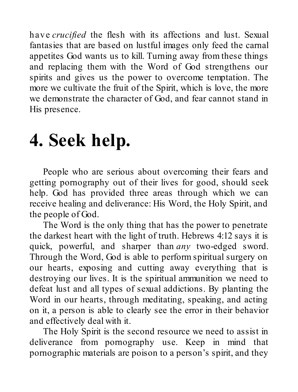have *crucified* the flesh with its affections and lust. Sexual fantasies that are based on lustful images only feed the carnal appetites God wants us to kill. Turning away from these things and replacing them with the Word of God strengthens our spirits and gives us the power to overcome temptation. The more we cultivate the fruit of the Spirit, which is love, the more we demonstrate the character of God, and fear cannot stand in His presence.

# **4. Seek help.**

People who are serious about overcoming their fears and getting pornography out of their lives for good, should seek help. God has provided three areas through which we can receive healing and deliverance: His Word, the Holy Spirit, and the people of God.

The Word is the only thing that has the power to penetrate the darkest heart with the light of truth. Hebrews 4:12 says it is quick, powerful, and sharper than *any* two-edged sword. Through the Word, God is able to perform spiritual surgery on our hearts, exposing and cutting away everything that is destroying our lives. It is the spiritual ammunition we need to defeat lust and all types of sexual addictions. By planting the Word in our hearts, through meditating, speaking, and acting on it, a person is able to clearly see the error in their behavior and effectively deal with it.

The Holy Spirit is the second resource we need to assist in deliverance from pornography use. Keep in mind that pornographic materials are poison to a person's spirit, and they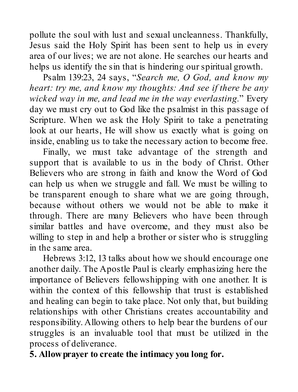pollute the soul with lust and sexual uncleanness. Thankfully, Jesus said the Holy Spirit has been sent to help us in every area of our lives; we are not alone. He searches our hearts and helps us identify the sin that is hindering our spiritual growth.

Psalm 139:23, 24 says, "*Search me, O God, and know my heart: try me, and know my thoughts: And see if there be any wicked way in me, and lead me in the way everlasting.*" Every day we must cry out to God like the psalmist in this passage of Scripture. When we ask the Holy Spirit to take a penetrating look at our hearts, He will show us exactly what is going on inside, enabling us to take the necessary action to become free.

Finally, we must take advantage of the strength and support that is available to us in the body of Christ. Other Believers who are strong in faith and know the Word of God can help us when we struggle and fall. We must be willing to be transparent enough to share what we are going through, because without others we would not be able to make it through. There are many Believers who have been through similar battles and have overcome, and they must also be willing to step in and help a brother or sister who is struggling in the same area.

Hebrews 3:12, 13 talks about how we should encourage one another daily. The Apostle Paul is clearly emphasizing here the importance of Believers fellowshipping with one another. It is within the context of this fellowship that trust is established and healing can begin to take place. Not only that, but building relationships with other Christians creates accountability and responsibility. Allowing others to help bear the burdens of our struggles is an invaluable tool that must be utilized in the process of deliverance.

**5. Allowprayer to create the intimacy you long for.**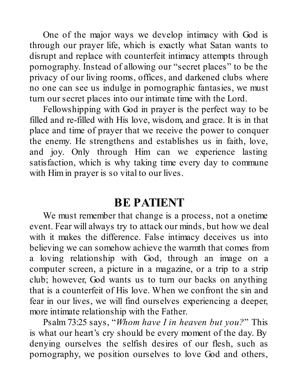One of the major ways we develop intimacy with God is through our prayer life, which is exactly what Satan wants to disrupt and replace with counterfeit intimacy attempts through pornography. Instead of allowing our "secret places" to be the privacy of our living rooms, offices, and darkened clubs where no one can see us indulge in pornographic fantasies, we must turn our secret places into our intimate time with the Lord.

Fellowshipping with God in prayer is the perfect way to be filled and re-filled with His love, wisdom, and grace. It is in that place and time of prayer that we receive the power to conquer the enemy. He strengthens and establishes us in faith, love, and joy. Only through Him can we experience lasting satisfaction, which is why taking time every day to commune with Himin prayer is so vital to our lives.

### **BE PATIENT**

We must remember that change is a process, not a onetime event. Fear will always try to attack our minds, but how we deal with it makes the difference. False intimacy deceives us into believing we can somehow achieve the warmth that comes from a loving relationship with God, through an image on a computer screen, a picture in a magazine, or a trip to a strip club; however, God wants us to turn our backs on anything that is a counterfeit of His love. When we confront the sin and fear in our lives, we will find ourselves experiencing a deeper, more intimate relationship with the Father.

Psalm 73:25 says, "*Whom have I in heaven but you?*" This is what our heart's cry should be every moment of the day. By denying ourselves the selfish desires of our flesh, such as pornography, we position ourselves to love God and others,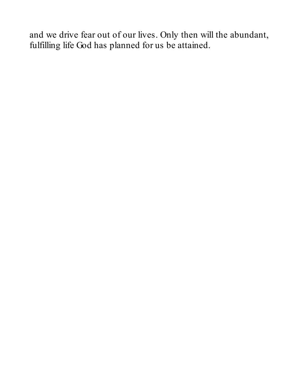and we drive fear out of our lives. Only then will the abundant, fulfilling life God has planned for us be attained.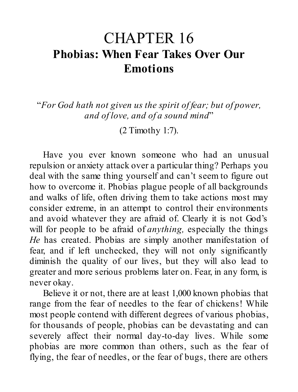# CHAPTER 16 **Phobias: When Fear Takes Over Our Emotions**

"*For God hath not given us the spirit of fear; but of power, and of love, and of a sound mind*"

(2 Timothy 1:7).

Have you ever known someone who had an unusual repulsion or anxiety attack over a particular thing? Perhaps you deal with the same thing yourself and can't seem to figure out how to overcome it. Phobias plague people of all backgrounds and walks of life, often driving them to take actions most may consider extreme, in an attempt to control their environments and avoid whatever they are afraid of. Clearly it is not God's will for people to be afraid of *anything,* especially the things *He* has created. Phobias are simply another manifestation of fear, and if left unchecked, they will not only significantly diminish the quality of our lives, but they will also lead to greater and more serious problems later on. Fear, in any form, is never okay.

Believe it or not, there are at least 1,000 known phobias that range from the fear of needles to the fear of chickens! While most people contend with different degrees of various phobias, for thousands of people, phobias can be devastating and can severely affect their normal day-to-day lives. While some phobias are more common than others, such as the fear of flying, the fear of needles, or the fear of bugs, there are others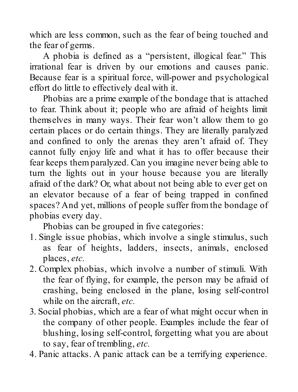which are less common, such as the fear of being touched and the fear of germs.

A phobia is defined as a "persistent, illogical fear." This irrational fear is driven by our emotions and causes panic. Because fear is a spiritual force, will-power and psychological effort do little to effectively deal with it.

Phobias are a prime example of the bondage that is attached to fear. Think about it; people who are afraid of heights limit themselves in many ways. Their fear won't allow them to go certain places or do certain things. They are literally paralyzed and confined to only the arenas they aren't afraid of. They cannot fully enjoy life and what it has to offer because their fear keeps themparalyzed. Can you imagine never being able to turn the lights out in your house because you are literally afraid of the dark? Or, what about not being able to ever get on an elevator because of a fear of being trapped in confined spaces? And yet, millions of people suffer from the bondage of phobias every day.

Phobias can be grouped in five categories:

- 1. Single issue phobias, which involve a single stimulus, such as fear of heights, ladders, insects, animals, enclosed places, *etc.*
- 2. Complex phobias, which involve a number of stimuli. With the fear of flying, for example, the person may be afraid of crashing, being enclosed in the plane, losing self-control while on the aircraft, *etc.*
- 3. Social phobias, which are a fear of what might occur when in the company of other people. Examples include the fear of blushing, losing self-control, forgetting what you are about to say, fear of trembling, *etc.*
- 4. Panic attacks. A panic attack can be a terrifying experience.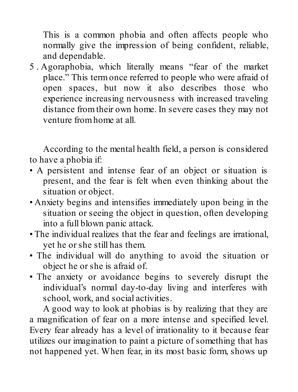This is a common phobia and often affects people who normally give the impression of being confident, reliable and dependable.

5 . Agoraphobia, which literally means "fear of the market place." This termonce referred to people who were afraid of open spaces, but now it also describes those who experience increasing nervousness with increased traveling distance fromtheir own home. In severe cases they may not venture fromhome at all.

According to the mental health field, a person is considered to have a phobia if:

- A persistent and intense fear of an object or situation is present, and the fear is felt when even thinking about the situation or object.
- Anxiety begins and intensifies immediately upon being in the situation or seeing the object in question, often developing into a full blown panic attack.
- The individual realizes that the fear and feelings are irrational, yet he or she still has them.
- The individual will do anything to avoid the situation or object he or she is afraid of.
- The anxiety or avoidance begins to severely disrupt the individual's normal day-to-day living and interferes with school, work, and social activities.

A good way to look at phobias is by realizing that they are a magnification of fear on a more intense and specified level. Every fear already has a level of irrationality to it because fear utilizes our imagination to paint a picture of something that has not happened yet. When fear, in its most basic form, shows up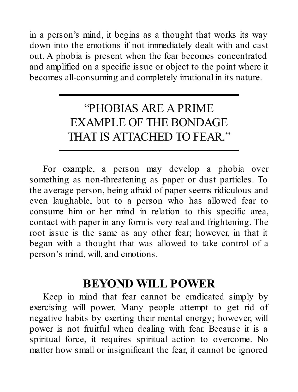in a person's mind, it begins as a thought that works its way down into the emotions if not immediately dealt with and cast out. A phobia is present when the fear becomes concentrated and amplified on a specific issue or object to the point where it becomes all-consuming and completely irrational in its nature.

## "PHOBIAS ARE A PRIME EXAMPLE OF THE BONDAGE THAT IS ATTACHED TO FEAR."

For example, a person may develop a phobia over something as non-threatening as paper or dust particles. To the average person, being afraid of paper seems ridiculous and even laughable, but to a person who has allowed fear to consume him or her mind in relation to this specific area, contact with paper in any form is very real and frightening. The root issue is the same as any other fear; however, in that it began with a thought that was allowed to take control of a person's mind, will, and emotions.

### **BEYOND WILL POWER**

Keep in mind that fear cannot be eradicated simply by exercising will power. Many people attempt to get rid of negative habits by exerting their mental energy; however, will power is not fruitful when dealing with fear. Because it is a spiritual force, it requires spiritual action to overcome. No matter how small or insignificant the fear, it cannot be ignored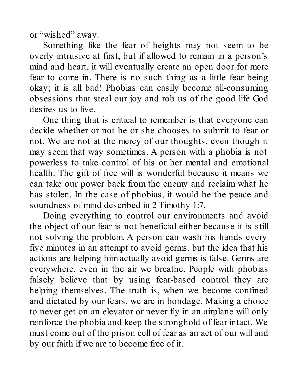or "wished" away.

Something like the fear of heights may not seem to be overly intrusive at first, but if allowed to remain in a person's mind and heart, it will eventually create an open door for more fear to come in. There is no such thing as a little fear being okay; it is all bad! Phobias can easily become all-consuming obsessions that steal our joy and rob us of the good life God desires us to live.

One thing that is critical to remember is that everyone can decide whether or not he or she chooses to submit to fear or not. We are not at the mercy of our thoughts, even though it may seem that way sometimes. A person with a phobia is not powerless to take control of his or her mental and emotional health. The gift of free will is wonderful because it means we can take our power back from the enemy and reclaim what he has stolen. In the case of phobias, it would be the peace and soundness of mind described in 2 Timothy 1:7.

Doing everything to control our environments and avoid the object of our fear is not beneficial either because it is still not solving the problem. A person can wash his hands every five minutes in an attempt to avoid germs, but the idea that his actions are helping him actually avoid germs is false. Germs are everywhere, even in the air we breathe. People with phobias falsely believe that by using fear-based control they are helping themselves. The truth is, when we become confined and dictated by our fears, we are in bondage. Making a choice to never get on an elevator or never fly in an airplane will only reinforce the phobia and keep the stronghold of fear intact. We must come out of the prison cell of fear as an act of our will and by our faith if we are to become free of it.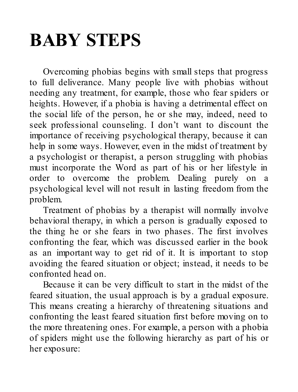# **BABY STEPS**

Overcoming phobias begins with small steps that progress to full deliverance. Many people live with phobias without needing any treatment, for example, those who fear spiders or heights. However, if a phobia is having a detrimental effect on the social life of the person, he or she may, indeed, need to seek professional counseling. I don't want to discount the importance of receiving psychological therapy, because it can help in some ways. However, even in the midst of treatment by a psychologist or therapist, a person struggling with phobias must incorporate the Word as part of his or her lifestyle in order to overcome the problem. Dealing purely on a psychological level will not result in lasting freedom from the problem.

Treatment of phobias by a therapist will normally involve behavioral therapy, in which a person is gradually exposed to the thing he or she fears in two phases. The first involves confronting the fear, which was discussed earlier in the book as an important way to get rid of it. It is important to stop avoiding the feared situation or object; instead, it needs to be confronted head on.

Because it can be very difficult to start in the midst of the feared situation, the usual approach is by a gradual exposure. This means creating a hierarchy of threatening situations and confronting the least feared situation first before moving on to the more threatening ones. For example, a person with a phobia of spiders might use the following hierarchy as part of his or her exposure: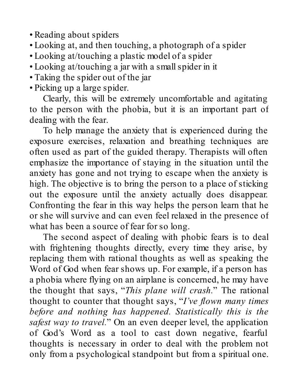- Reading about spiders
- Looking at, and then touching, a photograph of a spider
- Looking at/touching a plastic model of a spider
- Looking at/touching a jar with a smallspider in it
- Taking the spider out of the jar
- Picking up a large spider.

Clearly, this will be extremely uncomfortable and agitating to the person with the phobia, but it is an important part of dealing with the fear.

To help manage the anxiety that is experienced during the exposure exercises, relaxation and breathing techniques are often used as part of the guided therapy. Therapists will often emphasize the importance of staying in the situation until the anxiety has gone and not trying to escape when the anxiety is high. The objective is to bring the person to a place of sticking out the exposure until the anxiety actually does disappear. Confronting the fear in this way helps the person learn that he or she will survive and can even feel relaxed in the presence of what has been a source of fear for so long.

The second aspect of dealing with phobic fears is to deal with frightening thoughts directly, every time they arise, by replacing them with rational thoughts as well as speaking the Word of God when fear shows up. For example, if a person has a phobia where flying on an airplane is concerned, he may have the thought that says, "*This plane will crash.*" The rational thought to counter that thought says, "*I've flown many times before and nothing has happened. Statistically this is the safest way to travel.*" On an even deeper level, the application of God's Word as a tool to cast down negative, fearful thoughts is necessary in order to deal with the problem not only from a psychological standpoint but from a spiritual one.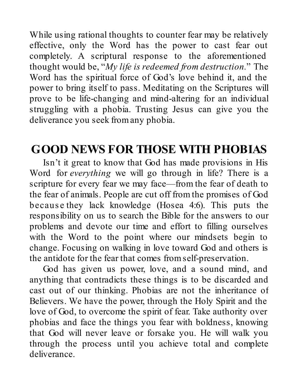While using rational thoughts to counter fear may be relatively effective, only the Word has the power to cast fear out completely. A scriptural response to the aforementioned thought would be, "*My life is redeemed from destruction.*" The Word has the spiritual force of God's love behind it, and the power to bring itself to pass. Meditating on the Scriptures will prove to be life-changing and mind-altering for an individual struggling with a phobia. Trusting Jesus can give you the deliverance you seek fromany phobia.

## **GOOD NEWS FOR THOSE WITH PHOBIAS**

Isn't it great to know that God has made provisions in His Word for *everything* we will go through in life? There is a scripture for every fear we may face—from the fear of death to the fear of animals. People are cut off from the promises of God becaus e they lack knowledge (Hosea 4:6). This puts the responsibility on us to search the Bible for the answers to our problems and devote our time and effort to filling ourselves with the Word to the point where our mindsets begin to change. Focusing on walking in love toward God and others is the antidote for the fear that comes fromself-preservation.

God has given us power, love, and a sound mind, and anything that contradicts these things is to be discarded and cast out of our thinking. Phobias are not the inheritance of Believers. We have the power, through the Holy Spirit and the love of God, to overcome the spirit of fear. Take authority over phobias and face the things you fear with boldness, knowing that God will never leave or forsake you. He will walk you through the process until you achieve total and complete deliverance.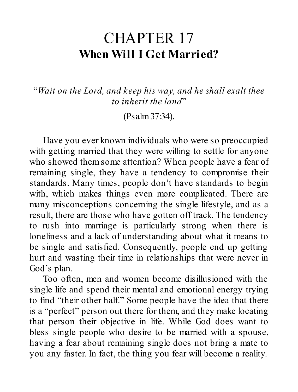## CHAPTER 17 **When Will I Get Married?**

"*Wait on the Lord, and keep his way, and he shall exalt thee to inherit the land*"

(Psalm37:34).

Have you ever known individuals who were so preoccupied with getting married that they were willing to settle for anyone who showed them some attention? When people have a fear of remaining single, they have a tendency to compromise their standards. Many times, people don't have standards to begin with, which makes things even more complicated. There are many misconceptions concerning the single lifestyle, and as a result, there are those who have gotten off track. The tendency to rush into marriage is particularly strong when there is loneliness and a lack of understanding about what it means to be single and satisfied. Consequently, people end up getting hurt and wasting their time in relationships that were never in God's plan.

Too often, men and women become disillusioned with the single life and spend their mental and emotional energy trying to find "their other half." Some people have the idea that there is a "perfect" person out there for them, and they make locating that person their objective in life. While God does want to bless single people who desire to be married with a spouse, having a fear about remaining single does not bring a mate to you any faster. In fact, the thing you fear will become a reality.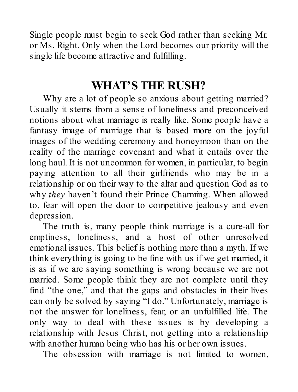Single people must begin to seek God rather than seeking Mr. or Ms. Right. Only when the Lord becomes our priority will the single life become attractive and fulfilling.

#### **WHAT'S THE RUSH?**

Why are a lot of people so anxious about getting married? Usually it stems from a sense of loneliness and preconceived notions about what marriage is really like. Some people have a fantasy image of marriage that is based more on the joyful images of the wedding ceremony and honeymoon than on the reality of the marriage covenant and what it entails over the long haul. It is not uncommon for women, in particular, to begin paying attention to all their girlfriends who may be in a relationship or on their way to the altar and question God as to why *they* haven't found their Prince Charming. When allowed to, fear will open the door to competitive jealousy and even depression.

The truth is, many people think marriage is a cure-all for emptiness, loneliness, and a host of other unresolved emotional issues. This belief is nothing more than a myth. If we think everything is going to be fine with us if we get married, it is as if we are saying something is wrong because we are not married. Some people think they are not complete until they find "the one," and that the gaps and obstacles in their lives can only be solved by saying "I do." Unfortunately, marriage is not the answer for loneliness, fear, or an unfulfilled life. The only way to deal with these issues is by developing a relationship with Jesus Christ, not getting into a relationship with another human being who has his or her own issues.

The obsession with marriage is not limited to women,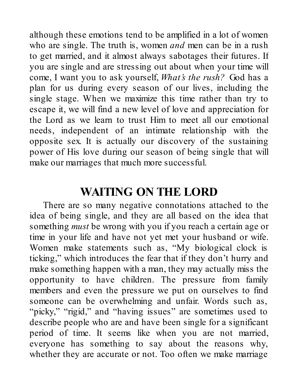although these emotions tend to be amplified in a lot of women who are single. The truth is, women *and* men can be in a rush to get married, and it almost always sabotages their futures. If you are single and are stressing out about when your time will come, I want you to ask yourself, *What's the rush?* God has a plan for us during every season of our lives, including the single stage. When we maximize this time rather than try to escape it, we will find a new level of love and appreciation for the Lord as we learn to trust Him to meet all our emotional needs, independent of an intimate relationship with the opposite sex. It is actually our discovery of the sustaining power of His love during our season of being single that will make our marriages that much more successful.

### **WAITING ON THE LORD**

There are so many negative connotations attached to the idea of being single, and they are all based on the idea that something *must* be wrong with you if you reach a certain age or time in your life and have not yet met your husband or wife. Women make statements such as, "My biological clock is ticking," which introduces the fear that if they don't hurry and make something happen with a man, they may actually miss the opportunity to have children. The pressure from family members and even the pressure we put on ourselves to find someone can be overwhelming and unfair. Words such as, "picky," "rigid," and "having issues" are sometimes used to describe people who are and have been single for a significant period of time. It seems like when you are not married, everyone has something to say about the reasons why, whether they are accurate or not. Too often we make marriage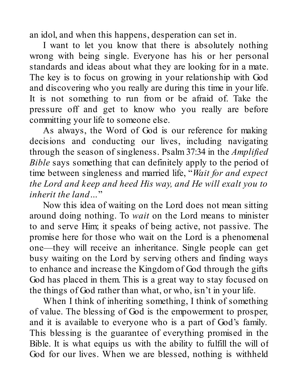an idol, and when this happens, desperation can set in.

I want to let you know that there is absolutely nothing wrong with being single. Everyone has his or her personal standards and ideas about what they are looking for in a mate. The key is to focus on growing in your relationship with God and discovering who you really are during this time in your life. It is not something to run from or be afraid of. Take the pressure off and get to know who you really are before committing your life to someone else.

As always, the Word of God is our reference for making decisions and conducting our lives, including navigating through the season of singleness. Psalm 37:34 in the *Amplified Bible* says something that can definitely apply to the period of time between singleness and married life, "*Wait for and expect the Lord and keep and heed His way, and He will exalt you to inherit the land…*"

Now this idea of waiting on the Lord does not mean sitting around doing nothing. To *wait* on the Lord means to minister to and serve Him; it speaks of being active, not passive. The promise here for those who wait on the Lord is a phenomenal one—they will receive an inheritance. Single people can get busy waiting on the Lord by serving others and finding ways to enhance and increase the Kingdom of God through the gifts God has placed in them. This is a great way to stay focused on the things of God rather than what, or who, isn't in your life.

When I think of inheriting something, I think of something of value. The blessing of God is the empowerment to prosper, and it is available to everyone who is a part of God's family. This blessing is the guarantee of everything promised in the Bible. It is what equips us with the ability to fulfill the will of God for our lives. When we are blessed, nothing is withheld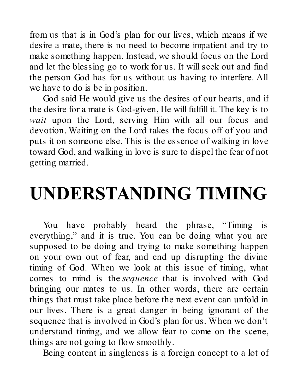from us that is in God's plan for our lives, which means if we desire a mate, there is no need to become impatient and try to make something happen. Instead, we should focus on the Lord and let the blessing go to work for us. It will seek out and find the person God has for us without us having to interfere. All we have to do is be in position.

God said He would give us the desires of our hearts, and if the desire for a mate is God-given, He will fulfill it. The key is to *wait* upon the Lord, serving Him with all our focus and devotion. Waiting on the Lord takes the focus off of you and puts it on someone else. This is the essence of walking in love toward God, and walking in love is sure to dispel the fear of not getting married.

# **UNDERSTANDING TIMING**

You have probably heard the phrase, "Timing is everything," and it is true. You can be doing what you are supposed to be doing and trying to make something happen on your own out of fear, and end up disrupting the divine timing of God. When we look at this issue of timing, what comes to mind is the *sequence* that is involved with God bringing our mates to us. In other words, there are certain things that must take place before the next event can unfold in our lives. There is a great danger in being ignorant of the sequence that is involved in God's plan for us. When we don't understand timing, and we allow fear to come on the scene, things are not going to flow smoothly.

Being content in singleness is a foreign concept to a lot of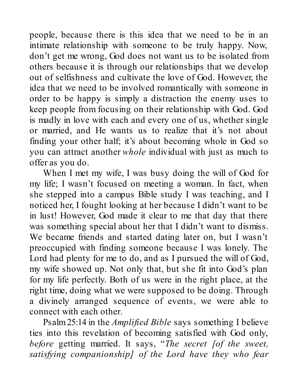people, because there is this idea that we need to be in an intimate relationship with someone to be truly happy. Now, don't get me wrong, God does not want us to be isolated from others because it is through our relationships that we develop out of selfishness and cultivate the love of God. However, the idea that we need to be involved romantically with someone in order to be happy is simply a distraction the enemy uses to keep people from focusing on their relationship with God. God is madly in love with each and every one of us, whether single or married, and He wants us to realize that it's not about finding your other half; it's about becoming whole in God so you can attract another *whole* individual with just as much to offer as you do.

When I met my wife, I was busy doing the will of God for my life; I wasn't focused on meeting a woman. In fact, when she stepped into a campus Bible study I was teaching, and I noticed her, I fought looking at her because I didn't want to be in lust! However, God made it clear to me that day that there was something special about her that I didn't want to dismiss. We became friends and started dating later on, but I wasn't preoccupied with finding someone because I was lonely. The Lord had plenty for me to do, and as I pursued the will of God, my wife showed up. Not only that, but she fit into God's plan for my life perfectly. Both of us were in the right place, at the right time, doing what we were supposed to be doing. Through a divinely arranged sequence of events, we were able to connect with each other.

Psalm25:14 in the *Amplified Bible* says something I believe ties into this revelation of becoming satisfied with God only, *before* getting married. It says, "*The secret [of the sweet, satisfying companionship] of the Lord have they who fear*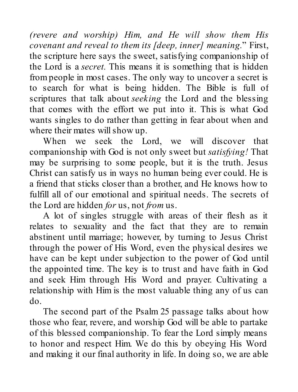*(revere and worship) Him, and He will show them His covenant and reveal to them its [deep, inner] meaning.*" First, the scripture here says the sweet, satisfying companionship of the Lord is a *secret.* This means it is something that is hidden from people in most cases. The only way to uncover a secret is to search for what is being hidden. The Bible is full of scriptures that talk about *seeking* the Lord and the blessing that comes with the effort we put into it. This is what God wants singles to do rather than getting in fear about when and where their mates will show up.

When we seek the Lord, we will discover that companionship with God is not only sweet but *satisfying!* That may be surprising to some people, but it is the truth. Jesus Christ can satisfy us in ways no human being ever could. He is a friend that sticks closer than a brother, and He knows how to fulfill all of our emotional and spiritual needs. The secrets of the Lord are hidden *for* us, not *from* us.

A lot of singles struggle with areas of their flesh as it relates to sexuality and the fact that they are to remain abstinent until marriage; however, by turning to Jesus Christ through the power of His Word, even the physical desires we have can be kept under subjection to the power of God until the appointed time. The key is to trust and have faith in God and seek Him through His Word and prayer. Cultivating a relationship with Him is the most valuable thing any of us can do.

The second part of the Psalm 25 passage talks about how those who fear, revere, and worship God will be able to partake of this blessed companionship. To fear the Lord simply means to honor and respect Him. We do this by obeying His Word and making it our final authority in life. In doing so, we are able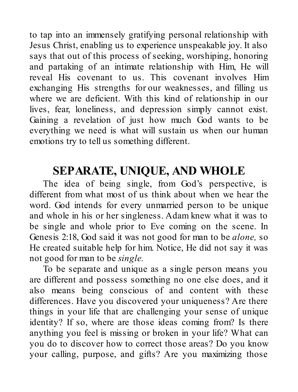to tap into an immensely gratifying personal relationship with Jesus Christ, enabling us to experience unspeakable joy. It also says that out of this process of seeking, worshiping, honoring and partaking of an intimate relationship with Him, He will reveal His covenant to us. This covenant involves Him exchanging His strengths for our weaknesses, and filling us where we are deficient. With this kind of relationship in our lives, fear, loneliness, and depression simply cannot exist. Gaining a revelation of just how much God wants to be everything we need is what will sustain us when our human emotions try to tell us something different.

#### **SEPARATE, UNIQUE, AND WHOLE**

The idea of being single, from God's perspective, is different from what most of us think about when we hear the word. God intends for every unmarried person to be unique and whole in his or her singleness. Adam knew what it was to be single and whole prior to Eve coming on the scene. In Genesis 2:18, God said it was not good for man to be *alone,* so He created suitable help for him. Notice, He did not say it was not good for man to be *single.*

To be separate and unique as a single person means you are different and possess something no one else does, and it also means being conscious of and content with these differences. Have you discovered your uniqueness? Are there things in your life that are challenging your sense of unique identity? If so, where are those ideas coming from? Is there anything you feel is missing or broken in your life? What can you do to discover how to correct those areas? Do you know your calling, purpose, and gifts? Are you maximizing those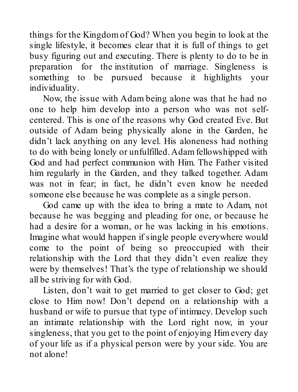things for the Kingdom of God? When you begin to look at the single lifestyle, it becomes clear that it is full of things to get busy figuring out and executing. There is plenty to do to be in preparation for the institution of marriage. Singleness is something to be pursued because it highlights your individuality.

Now, the issue with Adam being alone was that he had no one to help him develop into a person who was not selfcentered. This is one of the reasons why God created Eve. But outside of Adam being physically alone in the Garden, he didn't lack anything on any level. His aloneness had nothing to do with being lonely or unfulfilled.Adamfellowshipped with God and had perfect communion with Him. The Father visited him regularly in the Garden, and they talked together. Adam was not in fear; in fact, he didn't even know he needed someone else because he was complete as a single person.

God came up with the idea to bring a mate to Adam, not because he was begging and pleading for one, or because he had a desire for a woman, or he was lacking in his emotions. Imagine what would happen if single people everywhere would come to the point of being so preoccupied with their relationship with the Lord that they didn't even realize they were by themselves! That's the type of relationship we should all be striving for with God.

Listen, don't wait to get married to get closer to God; get close to Him now! Don't depend on a relationship with a husband or wife to pursue that type of intimacy. Develop such an intimate relationship with the Lord right now, in your singleness, that you get to the point of enjoying Himevery day of your life as if a physical person were by your side. You are not alone!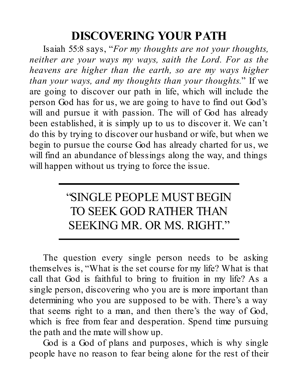### **DISCOVERING YOUR PATH**

Isaiah 55:8 says, "*For my thoughts are not your thoughts, neither are your ways my ways, saith the Lord. For as the heavens are higher than the earth, so are my ways higher than your ways, and my thoughts than your thoughts.*" If we are going to discover our path in life, which will include the person God has for us, we are going to have to find out God's will and pursue it with passion. The will of God has already been established, it is simply up to us to discover it. We can't do this by trying to discover our husband or wife, but when we begin to pursue the course God has already charted for us, we will find an abundance of blessings along the way, and things will happen without us trying to force the issue.

### "SINGLE PEOPLE MUST BEGIN TO SEEK GOD RATHER THAN SEEKING MR. OR MS. RIGHT."

The question every single person needs to be asking themselves is, "What is the set course for my life? What is that call that God is faithful to bring to fruition in my life? As a single person, discovering who you are is more important than determining who you are supposed to be with. There's a way that seems right to a man, and then there's the way of God, which is free from fear and desperation. Spend time pursuing the path and the mate willshow up.

God is a God of plans and purposes, which is why single people have no reason to fear being alone for the rest of their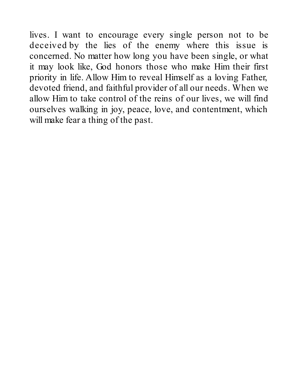lives. I want to encourage every single person not to be deceived by the lies of the enemy where this issue is concerned. No matter how long you have been single, or what it may look like, God honors those who make Him their first priority in life. Allow Him to reveal Himself as a loving Father, devoted friend, and faithful provider of all our needs. When we allow Him to take control of the reins of our lives, we will find ourselves walking in joy, peace, love, and contentment, which will make fear a thing of the past.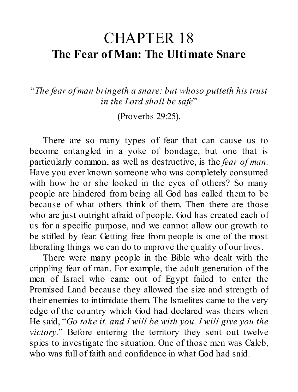# CHAPTER 18 **The Fear of Man: The Ultimate Snare**

"*The fear of man bringeth a snare: but whoso putteth his trust in the Lord shall be safe*"

(Proverbs 29:25).

There are so many types of fear that can cause us to become entangled in a yoke of bondage, but one that is particularly common, as well as destructive, is the *fear of man.* Have you ever known someone who was completely consumed with how he or she looked in the eyes of others? So many people are hindered from being all God has called them to be because of what others think of them. Then there are those who are just outright afraid of people. God has created each of us for a specific purpose, and we cannot allow our growth to be stifled by fear. Getting free from people is one of the most liberating things we can do to improve the quality of our lives.

There were many people in the Bible who dealt with the crippling fear of man. For example, the adult generation of the men of Israel who came out of Egypt failed to enter the Promised Land because they allowed the size and strength of their enemies to intimidate them. The Israelites came to the very edge of the country which God had declared was theirs when He said, "*Go take it, and I will be with you. I will give you the victory.*" Before entering the territory they sent out twelve spies to investigate the situation. One of those men was Caleb, who was full of faith and confidence in what God had said.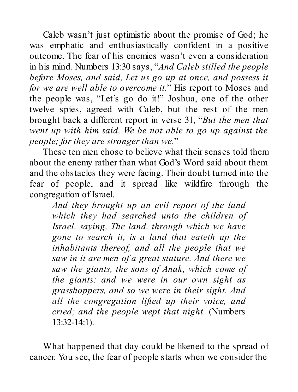Caleb wasn't just optimistic about the promise of God; he was emphatic and enthusiastically confident in a positive outcome. The fear of his enemies wasn't even a consideration in his mind. Numbers 13:30 says, "*And Caleb stilled the people before Moses, and said, Let us go up at once, and possess it for we are well able to overcome it.*" His report to Moses and the people was, "Let's go do it!" Joshua, one of the other twelve spies, agreed with Caleb, but the rest of the men brought back a different report in verse 31, "*But the men that went up with him said, We be not able to go up against the people; for they are stronger than we.*"

These ten men chose to believe what their senses told them about the enemy rather than what God's Word said about them and the obstacles they were facing. Their doubt turned into the fear of people, and it spread like wildfire through the congregation of Israel.

*And they brought up an evil report of the land which they had searched unto the children of Israel, saying, The land, through which we have gone to search it, is a land that eateth up the inhabitants thereof; and all the people that we saw in it are men of a great stature. And there we saw the giants, the sons of Anak, which come of the giants: and we were in our own sight as grasshoppers, and so we were in their sight. And all the congregation lifted up their voice, and cried; and the people wept that night.* (Numbers 13:32-14:1).

What happened that day could be likened to the spread of cancer. You see, the fear of people starts when we consider the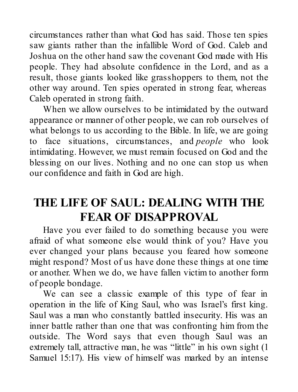circumstances rather than what God has said. Those ten spies saw giants rather than the infallible Word of God. Caleb and Joshua on the other hand saw the covenant God made with His people. They had absolute confidence in the Lord, and as a result, those giants looked like grasshoppers to them, not the other way around. Ten spies operated in strong fear, whereas Caleb operated in strong faith.

When we allow ourselves to be intimidated by the outward appearance or manner of other people, we can rob ourselves of what belongs to us according to the Bible. In life, we are going to face situations, circumstances, and *people* who look intimidating. However, we must remain focused on God and the blessing on our lives. Nothing and no one can stop us when our confidence and faith in God are high.

### **THE LIFE OF SAUL: DEALING WITH THE FEAR OF DISAPPROVAL**

Have you ever failed to do something because you were afraid of what someone else would think of you? Have you ever changed your plans because you feared how someone might respond? Most of us have done these things at one time or another. When we do, we have fallen victim to another form of people bondage.

We can see a classic example of this type of fear in operation in the life of King Saul, who was Israel's first king. Saul was a man who constantly battled insecurity. His was an inner battle rather than one that was confronting him from the outside. The Word says that even though Saul was an extremely tall, attractive man, he was "little" in his own sight (1 Samuel 15:17). His view of himself was marked by an intense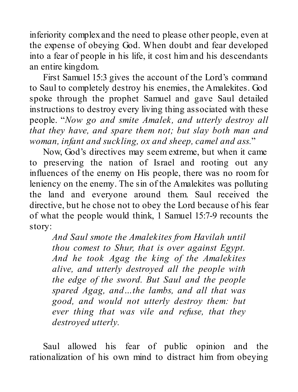inferiority complexand the need to please other people, even at the expense of obeying God. When doubt and fear developed into a fear of people in his life, it cost him and his descendants an entire kingdom.

First Samuel 15:3 gives the account of the Lord's command to Saul to completely destroy his enemies, the Amalekites. God spoke through the prophet Samuel and gave Saul detailed instructions to destroy every living thing associated with these people. "*Now go and smite Amalek, and utterly destroy all that they have, and spare them not; but slay both man and woman, infant and suckling, ox and sheep, camel and ass.*"

Now, God's directives may seem extreme, but when it came to preserving the nation of Israel and rooting out any influences of the enemy on His people, there was no room for leniency on the enemy. The sin of the Amalekites was polluting the land and everyone around them. Saul received the directive, but he chose not to obey the Lord because of his fear of what the people would think, 1 Samuel 15:7-9 recounts the story:

*And Saul smote the Amalekites from Havilah until thou comest to Shur, that is over against Egypt. And he took Agag the king of the Amalekites alive, and utterly destroyed all the people with the edge of the sword. But Saul and the people spared Agag, and…the lambs, and all that was good, and would not utterly destroy them: but ever thing that was vile and refuse, that they destroyed utterly.*

Saul allowed his fear of public opinion and the rationalization of his own mind to distract him from obeying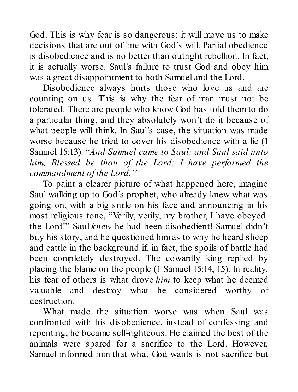God. This is why fear is so dangerous; it will move us to make decisions that are out of line with God's will. Partial obedience is disobedience and is no better than outright rebellion. In fact, it is actually worse. Saul's failure to trust God and obey him was a great disappointment to both Samuel and the Lord.

Disobedience always hurts those who love us and are counting on us. This is why the fear of man must not be tolerated. There are people who know God has told them to do a particular thing, and they absolutely won't do it because of what people will think. In Saul's case, the situation was made worse because he tried to cover his disobedience with a lie (1 Samuel 15:13). "*And Samuel came to Saul: and Saul said unto him, Blessed be thou of the Lord: I have performed the commandment of the Lord.''*

To paint a clearer picture of what happened here, imagine Saul walking up to God's prophet, who already knew what was going on, with a big smile on his face and announcing in his most religious tone, "Verily, verily, my brother, I have obeyed the Lord!" Saul *knew* he had been disobedient! Samuel didn't buy his story, and he questioned himas to why he heard sheep and cattle in the background if, in fact, the spoils of battle had been completely destroyed. The cowardly king replied by placing the blame on the people (1 Samuel 15:14, 15). In reality, his fear of others is what drove *him* to keep what he deemed valuable and destroy what he considered worthy of destruction.

What made the situation worse was when Saul was confronted with his disobedience, instead of confessing and repenting, he became self-righteous. He claimed the best of the animals were spared for a sacrifice to the Lord. However, Samuel informed him that what God wants is not sacrifice but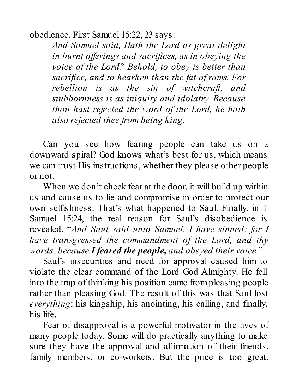obedience. First Samuel 15:22, 23 says:

*And Samuel said, Hath the Lord as great delight in burnt of erings and sacrifices, as in obeying the voice of the Lord? Behold, to obey is better than sacrifice, and to hearken than the fat of rams. For rebellion is as the sin of witchcraft, and stubbornness is as iniquity and idolatry. Because thou hast rejected the word of the Lord, he hath also rejected thee from being king.*

Can you see how fearing people can take us on a downward spiral? God knows what's best for us, which means we can trust His instructions, whether they please other people or not.

When we don't check fear at the door, it will build up within us and cause us to lie and compromise in order to protect our own selfishness. That's what happened to Saul. Finally, in 1 Samuel 15:24, the real reason for Saul's disobedience is revealed, "*And Saul said unto Samuel, I have sinned: for I have transgressed the commandment of the Lord, and thy words: because I feared the people, and obeyed their voice.*"

Saul's insecurities and need for approval caused him to violate the clear command of the Lord God Almighty. He fell into the trap of thinking his position came frompleasing people rather than pleasing God. The result of this was that Saul lost *everything*: his kingship, his anointing, his calling, and finally, his life.

Fear of disapproval is a powerful motivator in the lives of many people today. Some will do practically anything to make sure they have the approval and affirmation of their friends, family members, or co-workers. But the price is too great.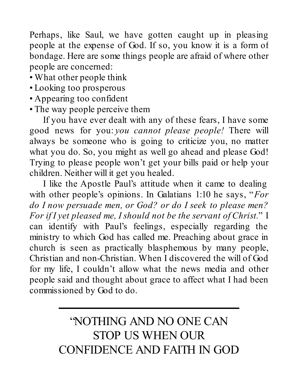Perhaps, like Saul, we have gotten caught up in pleasing people at the expense of God. If so, you know it is a form of bondage. Here are some things people are afraid of where other people are concerned:

- What other people think
- Looking too prosperous
- Appearing too confident
- The way people perceive them

If you have ever dealt with any of these fears, I have some good news for you: *you cannot please people!* There will always be someone who is going to criticize you, no matter what you do. So, you might as well go ahead and please God! Trying to please people won't get your bills paid or help your children. Neither will it get you healed.

I like the Apostle Paul's attitude when it came to dealing with other people's opinions. In Galatians 1:10 he says, "*For do I now persuade men, or God? or do I seek to please men? For if I yet pleased me, I should not be the servant of Christ.*" I can identify with Paul's feelings, especially regarding the ministry to which God has called me. Preaching about grace in church is seen as practically blasphemous by many people, Christian and non-Christian. When I discovered the will of God for my life, I couldn't allow what the news media and other people said and thought about grace to affect what I had been commissioned by God to do.

> "NOTHING AND NO ONE CAN STOP US WHEN OUR CONFIDENCE AND FAITH IN GOD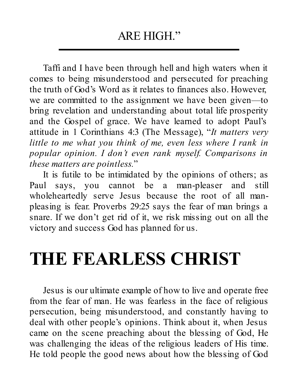### ARE HIGH"

Taffi and I have been through hell and high waters when it comes to being misunderstood and persecuted for preaching the truth of God's Word as it relates to finances also. However, we are committed to the assignment we have been given—to bring revelation and understanding about total life prosperity and the Gospel of grace. We have learned to adopt Paul's attitude in 1 Corinthians 4:3 (The Message), "*It matters very little to me what you think of me, even less where I rank in popular opinion. I don't even rank myself. Comparisons in these matters are pointless.*"

It is futile to be intimidated by the opinions of others; as<br>a says vou cannot be a man-pleaser and still Paul says, you cannot be a man-pleaser and wholeheartedly serve Jesus because the root of all manpleasing is fear. Proverbs 29:25 says the fear of man brings a snare. If we don't get rid of it, we risk missing out on all the victory and success God has planned for us.

# **THE FEARLESS CHRIST**

Jesus is our ultimate example of how to live and operate free from the fear of man. He was fearless in the face of religious persecution, being misunderstood, and constantly having to deal with other people's opinions. Think about it, when Jesus came on the scene preaching about the blessing of God, He was challenging the ideas of the religious leaders of His time. He told people the good news about how the blessing of God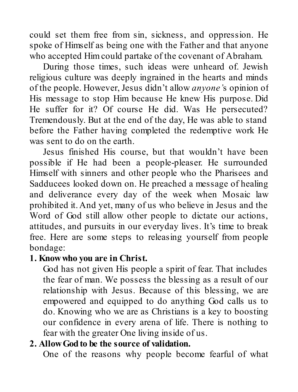could set them free from sin, sickness, and oppression. He spoke of Himself as being one with the Father and that anyone who accepted Him could partake of the covenant of Abraham.

During those times, such ideas were unheard of Jewish religious culture was deeply ingrained in the hearts and minds of the people. However, Jesus didn't allow *anyone'*s opinion of His message to stop Him because He knew His purpose. Did He suffer for it? Of course He did. Was He persecuted? Tremendously. But at the end of the day, He was able to stand before the Father having completed the redemptive work He was sent to do on the earth.

Jesus finished His course, but that wouldn't have been possible if He had been a people-pleaser. He surrounded Himself with sinners and other people who the Pharisees and Sadducees looked down on. He preached a message of healing and deliverance every day of the week when Mosaic law prohibited it.And yet, many of us who believe in Jesus and the Word of God still allow other people to dictate our actions, attitudes, and pursuits in our everyday lives. It's time to break free. Here are some steps to releasing yourself from people bondage:

#### **1. Knowwho you are in Christ.**

God has not given His people a spirit of fear. That includes the fear of man. We possess the blessing as a result of our relationship with Jesus. Because of this blessing, we are empowered and equipped to do anything God calls us to do. Knowing who we are as Christians is a key to boosting our confidence in every arena of life. There is nothing to fear with the greater One living inside of us.

#### **2. AllowGodto be the source of validation.**

One of the reasons why people become fearful of what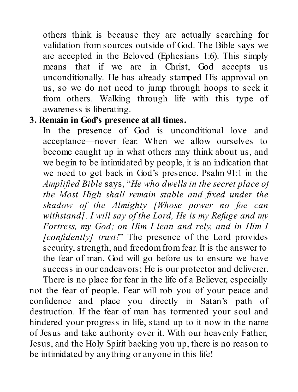others think is because they are actually searching for validation from sources outside of God. The Bible says we are accepted in the Beloved (Ephesians 1:6). This simply means that if we are in Christ, God accepts us unconditionally. He has already stamped His approval on us, so we do not need to jump through hoops to seek it from others. Walking through life with this type of awareness is liberating.

#### **3. Remain in God's presence at all times.**

In the presence of God is unconditional love and acceptance—never fear. When we allow ourselves to become caught up in what others may think about us, and we begin to be intimidated by people, it is an indication that we need to get back in God's presence. Psalm 91:1 in the *Amplified Bible* says, "*He who dwells in the secret place of the Most High shall remain stable and fixed under the shadow of the Almighty [Whose power no foe can withstand]. I will say of the Lord, He is my Refuge and my Fortress, my God; on Him I lean and rely, and in Him I [confidently] trust!*" The presence of the Lord provides security, strength, and freedom from fear. It is the answer to the fear of man. God will go before us to ensure we have success in our endeavors; He is our protector and deliverer.

There is no place for fear in the life of a Believer, especially not the fear of people. Fear will rob you of your peace and confidence and place you directly in Satan's path of destruction. If the fear of man has tormented your soul and hindered your progress in life, stand up to it now in the name of Jesus and take authority over it. With our heavenly Father, Jesus, and the Holy Spirit backing you up, there is no reason to be intimidated by anything or anyone in this life!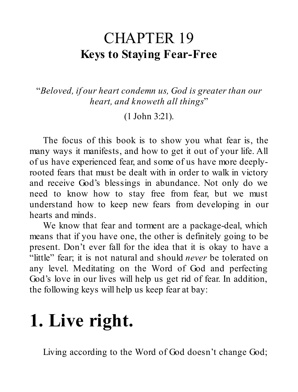# CHAPTER 19 **Keys to Staying Fear-Free**

"*Beloved, if our heart condemn us, God is greater than our heart, and knoweth all things*"

(1 John 3:21).

The focus of this book is to show you what fear is, the many ways it manifests, and how to get it out of your life. All of us have experienced fear, and some of us have more deeplyrooted fears that must be dealt with in order to walk in victory and receive God's blessings in abundance. Not only do we need to know how to stay free from fear, but we must understand how to keep new fears from developing in our hearts and minds.

We know that fear and torment are a package-deal, which means that if you have one, the other is definitely going to be present. Don't ever fall for the idea that it is okay to have a "little" fear; it is not natural and should *never* be tolerated on any level. Meditating on the Word of God and perfecting God's love in our lives will help us get rid of fear. In addition, the following keys will help us keep fear at bay:

# **1. Live right.**

Living according to the Word of God doesn't change God;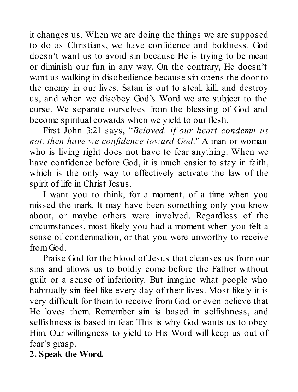it changes us. When we are doing the things we are supposed to do as Christians, we have confidence and boldness. God doesn't want us to avoid sin because He is trying to be mean or diminish our fun in any way. On the contrary, He doesn't want us walking in disobedience because sin opens the door to the enemy in our lives. Satan is out to steal, kill, and destroy us, and when we disobey God's Word we are subject to the curse. We separate ourselves from the blessing of God and become spiritual cowards when we yield to our flesh.

First John 3:21 says, "*Beloved, if our heart condemn us not, then have we confidence toward God.*" A man or woman who is living right does not have to fear anything. When we have confidence before God, it is much easier to stay in faith, which is the only way to effectively activate the law of the spirit of life in Christ Jesus.

I want you to think, for a moment, of a time when you missed the mark. It may have been something only you knew about, or maybe others were involved. Regardless of the circumstances, most likely you had a moment when you felt a sense of condemnation, or that you were unworthy to receive fromGod.

Praise God for the blood of Jesus that cleanses us from our sins and allows us to boldly come before the Father without guilt or a sense of inferiority. But imagine what people who habitually sin feel like every day of their lives. Most likely it is very difficult for them to receive from God or even believe that He loves them. Remember sin is based in selfishness, and selfishness is based in fear. This is why God wants us to obey Him. Our willingness to yield to His Word will keep us out of fear's grasp.

**2. Speak the Word.**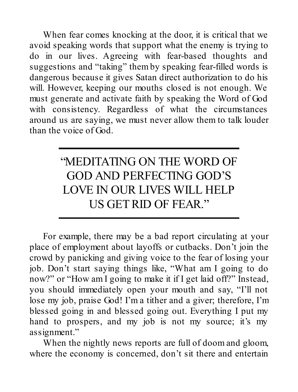When fear comes knocking at the door, it is critical that we avoid speaking words that support what the enemy is trying to do in our lives. Agreeing with fear-based thoughts and suggestions and "taking" them by speaking fear-filled words is dangerous because it gives Satan direct authorization to do his will. However, keeping our mouths closed is not enough. We must generate and activate faith by speaking the Word of God with consistency. Regardless of what the circumstances around us are saying, we must never allow them to talk louder than the voice of God.

## "MEDITATING ON THE WORD OF GOD AND PERFECTING GOD'S LOVE IN OUR LIVES WILL HELP US GETRID OF FEAR."

For example, there may be a bad report circulating at your place of employment about layoffs or cutbacks. Don't join the crowd by panicking and giving voice to the fear of losing your job. Don't start saying things like, "What am I going to do now?" or "How am I going to make it if I get laid off?" Instead, you should immediately open your mouth and say, "I'll not lose my job, praise God! I'm a tither and a giver; therefore, I'm blessed going in and blessed going out. Everything I put my hand to prospers, and my job is not my source; it's my assignment."

When the nightly news reports are full of doom and gloom, where the economy is concerned, don't sit there and entertain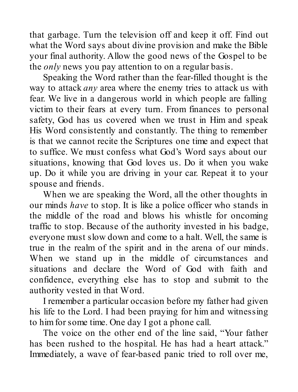that garbage. Turn the television off and keep it off. Find out what the Word says about divine provision and make the Bible your final authority. Allow the good news of the Gospel to be the *only* news you pay attention to on a regular basis.

Speaking the Word rather than the fear-filled thought is the way to attack *any* area where the enemy tries to attack us with fear. We live in a dangerous world in which people are falling victim to their fears at every turn. From finances to personal safety, God has us covered when we trust in Him and speak His Word consistently and constantly. The thing to remember is that we cannot recite the Scriptures one time and expect that to suffice. We must confess what God's Word says about our situations, knowing that God loves us. Do it when you wake up. Do it while you are driving in your car. Repeat it to your spouse and friends.

When we are speaking the Word, all the other thoughts in our minds *have* to stop. It is like a police officer who stands in the middle of the road and blows his whistle for oncoming traffic to stop. Because of the authority invested in his badge, everyone must slow down and come to a halt. Well, the same is true in the realm of the spirit and in the arena of our minds. When we stand up in the middle of circumstances and situations and declare the Word of God with faith and confidence, everything else has to stop and submit to the authority vested in that Word.

I remember a particular occasion before my father had given his life to the Lord. I had been praying for him and witnessing to himfor some time. One day I got a phone call.

The voice on the other end of the line said, "Your father has been rushed to the hospital. He has had a heart attack." Immediately, a wave of fear-based panic tried to roll over me,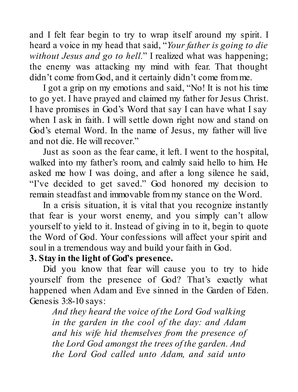and I felt fear begin to try to wrap itself around my spirit. I heard a voice in my head that said, "*Your father is going to die without Jesus and go to hell.*" I realized what was happening; the enemy was attacking my mind with fear. That thought didn't come fromGod, and it certainly didn't come fromme.

I got a grip on my emotions and said, "No! It is not his time to go yet. I have prayed and claimed my father for Jesus Christ. I have promises in God's Word that say I can have what I say when I ask in faith. I will settle down right now and stand on God's eternal Word. In the name of Jesus, my father will live and not die. He will recover."

Just as soon as the fear came, it left. I went to the hospital, walked into my father's room, and calmly said hello to him. He asked me how I was doing, and after a long silence he said, "I've decided to get saved." God honored my decision to remain steadfast and immovable frommy stance on the Word.

In a crisis situation, it is vital that you recognize instantly that fear is your worst enemy, and you simply can't allow yourself to yield to it. Instead of giving in to it, begin to quote the Word of God. Your confessions will affect your spirit and soul in a tremendous way and build your faith in God.

#### **3. Stay in the light of God's presence.**

Did you know that fear will cause you to try to hide yourself from the presence of God? That's exactly what happened when Adam and Eve sinned in the Garden of Eden. Genesis 3:8-10 says:

*And they heard the voice of the Lord God walking in the garden in the cool of the day: and Adam and his wife hid themselves from the presence of the Lord God amongst the trees of the garden. And the Lord God called unto Adam, and said unto*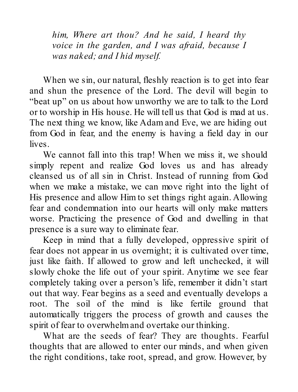*him, Where art thou? And he said, I heard thy voice in the garden, and I was afraid, because I was naked; and I hid myself.*

When we sin, our natural, fleshly reaction is to get into fear and shun the presence of the Lord. The devil will begin to "beat up" on us about how unworthy we are to talk to the Lord or to worship in His house. He will tell us that God is mad at us. The next thing we know, like Adam and Eve, we are hiding out from God in fear, and the enemy is having a field day in our lives.

We cannot fall into this trap! When we miss it, we should simply repent and realize God loves us and has already cleansed us of all sin in Christ. Instead of running from God when we make a mistake, we can move right into the light of His presence and allow Him to set things right again. Allowing fear and condemnation into our hearts will only make matters worse. Practicing the presence of God and dwelling in that presence is a sure way to eliminate fear.

Keep in mind that a fully developed, oppressive spirit of fear does not appear in us overnight; it is cultivated over time, just like faith. If allowed to grow and left unchecked, it will slowly choke the life out of your spirit. Anytime we see fear completely taking over a person's life, remember it didn't start out that way. Fear begins as a seed and eventually develops a root. The soil of the mind is like fertile ground that automatically triggers the process of growth and causes the spirit of fear to overwhelmand overtake our thinking.

What are the seeds of fear? They are thoughts. Fearful thoughts that are allowed to enter our minds, and when given the right conditions, take root, spread, and grow. However, by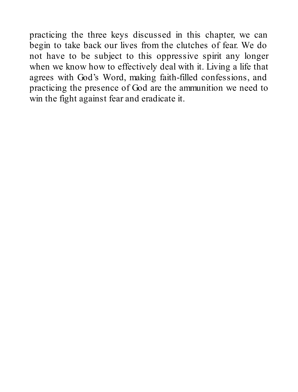practicing the three keys discussed in this chapter, we can begin to take back our lives from the clutches of fear. We do not have to be subject to this oppressive spirit any longer when we know how to effectively deal with it. Living a life that agrees with God's Word, making faith-filled confessions, and practicing the presence of God are the ammunition we need to win the fight against fear and eradicate it.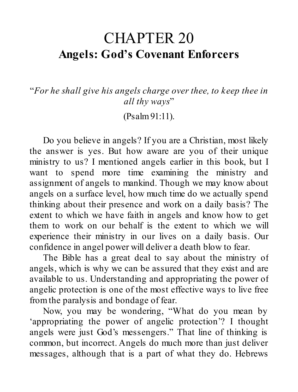# CHAPTER 20 **Angels: God's Covenant Enforcers**

"*For he shall give his angels charge over thee, to keep thee in all thy ways*"

(Psalm91:11).

Do you believe in angels? If you are a Christian, most likely the answer is yes. But how aware are you of their unique ministry to us? I mentioned angels earlier in this book, but I want to spend more time examining the ministry and assignment of angels to mankind. Though we may know about angels on a surface level, how much time do we actually spend thinking about their presence and work on a daily basis? The extent to which we have faith in angels and know how to get them to work on our behalf is the extent to which we will experience their ministry in our lives on a daily basis. Our confidence in angel power will deliver a death blow to fear.

The Bible has a great deal to say about the ministry of angels, which is why we can be assured that they exist and are available to us. Understanding and appropriating the power of angelic protection is one of the most effective ways to live free fromthe paralysis and bondage of fear.

Now, you may be wondering, "What do you mean by 'appropriating the power of angelic protection'? I thought angels were just God's messengers." That line of thinking is common, but incorrect. Angels do much more than just deliver messages, although that is a part of what they do. Hebrews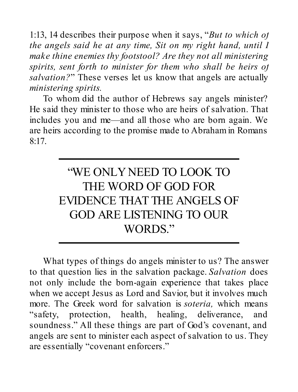1:13, 14 describes their purpose when it says, "*But to which of the angels said he at any time, Sit on my right hand, until I make thine enemies thy footstool? Are they not all ministering spirits, sent forth to minister for them who shall be heirs of salvation?*" These verses let us know that angels are actually *ministering spirits.*

To whom did the author of Hebrews say angels minister? He said they minister to those who are heirs of salvation. That includes you and me—and all those who are born again. We are heirs according to the promise made to Abrahamin Romans 8:17.

## "WE ONLY NEED TO LOOK TO THE WORD OF GOD FOR EVIDENCE THAT THE ANGELS OF GOD ARE LISTENING TO OUR WORDS."

What types of things do angels minister to us? The answer to that question lies in the salvation package. *Salvation* does not only include the born-again experience that takes place when we accept Jesus as Lord and Savior, but it involves much more. The Greek word for salvation is *soteria,* which means "safety, protection, health, healing, deliverance, and soundness." All these things are part of God's covenant, and angels are sent to minister each aspect of salvation to us. They are essentially "covenant enforcers."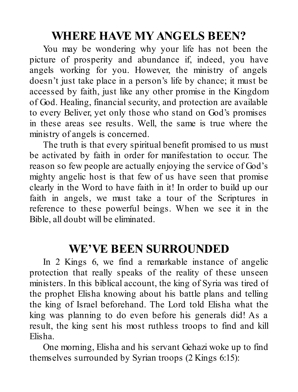### **WHERE HAVE MY ANGELS BEEN?**

You may be wondering why your life has not been the picture of prosperity and abundance if, indeed, you have angels working for you. However, the ministry of angels doesn't just take place in a person's life by chance; it must be accessed by faith, just like any other promise in the Kingdom of God. Healing, financial security, and protection are available to every Beliver, yet only those who stand on God's promises in these areas see results. Well, the same is true where the ministry of angels is concerned.

The truth is that every spiritual benefit promised to us must be activated by faith in order for manifestation to occur. The reason so few people are actually enjoying the service of God's mighty angelic host is that few of us have seen that promise clearly in the Word to have faith in it! In order to build up our faith in angels, we must take a tour of the Scriptures in reference to these powerful beings. When we see it in the Bible, all doubt will be eliminated.

#### **WE'VE BEEN SURROUNDED**

In 2 Kings 6, we find a remarkable instance of angelic protection that really speaks of the reality of these unseen ministers. In this biblical account, the king of Syria was tired of the prophet Elisha knowing about his battle plans and telling the king of Israel beforehand. The Lord told Elisha what the king was planning to do even before his generals did! As a result, the king sent his most ruthless troops to find and kill Elisha.

One morning, Elisha and his servant Gehazi woke up to find themselves surrounded by Syrian troops (2 Kings 6:15):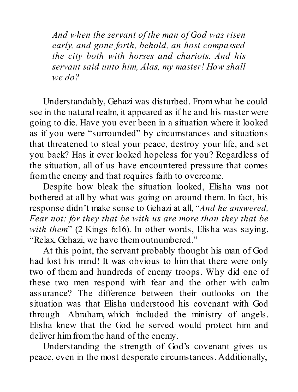*And when the servant of the man of God was risen early, and gone forth, behold, an host compassed the city both with horses and chariots. And his servant said unto him, Alas, my master! How shall we do?*

Understandably, Gehazi was disturbed. From what he could see in the natural realm, it appeared as if he and his master were going to die. Have you ever been in a situation where it looked as if you were "surrounded" by circumstances and situations that threatened to steal your peace, destroy your life, and set you back? Has it ever looked hopeless for you? Regardless of the situation, all of us have encountered pressure that comes fromthe enemy and that requires faith to overcome.

Despite how bleak the situation looked, Elisha was not bothered at all by what was going on around them. In fact, his response didn't make sense to Gehazi at all, "*And he answered, Fear not: for they that be with us are more than they that be with them*" (2 Kings 6:16). In other words, Elisha was saying, "Relax, Gehazi, we have themoutnumbered."

At this point, the servant probably thought his man of God had lost his mind! It was obvious to him that there were only two of them and hundreds of enemy troops. Why did one of these two men respond with fear and the other with calm assurance? The difference between their outlooks on the situation was that Elisha understood his covenant with God through Abraham, which included the ministry of angels. Elisha knew that the God he served would protect him and deliver him from the hand of the enemy.

Understanding the strength of God's covenant gives us peace, even in the most desperate circumstances. Additionally,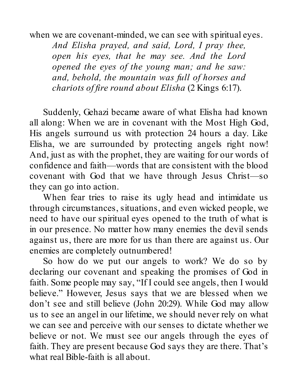when we are covenant-minded, we can see with spiritual eyes.

*And Elisha prayed, and said, Lord, I pray thee, open his eyes, that he may see. And the Lord opened the eyes of the young man; and he saw: and, behold, the mountain was full of horses and chariots of fire round about Elisha* (2 Kings 6:17).

Suddenly, Gehazi became aware of what Elisha had known all along: When we are in covenant with the Most High God, His angels surround us with protection 24 hours a day. Like Elisha, we are surrounded by protecting angels right now! And, just as with the prophet, they are waiting for our words of confidence and faith—words that are consistent with the blood covenant with God that we have through Jesus Christ—so they can go into action.

When fear tries to raise its ugly head and intimidate us through circumstances, situations, and even wicked people, we need to have our spiritual eyes opened to the truth of what is in our presence. No matter how many enemies the devil sends against us, there are more for us than there are against us. Our enemies are completely outnumbered!

So how do we put our angels to work? We do so by declaring our covenant and speaking the promises of God in faith. Some people may say, "If I could see angels, then I would believe." However, Jesus says that we are blessed when we don't see and still believe (John 20:29). While God may allow us to see an angel in our lifetime, we should never rely on what we can see and perceive with our senses to dictate whether we believe or not. We must see our angels through the eyes of faith. They are present because God says they are there. That's what real Bible-faith is all about.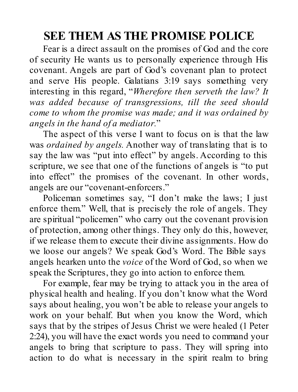## **SEE THEM AS THE PROMISE POLICE**

Fear is a direct assault on the promises of God and the core of security He wants us to personally experience through His covenant. Angels are part of God's covenant plan to protect and serve His people. Galatians 3:19 says something very interesting in this regard, "*Wherefore then serveth the law? It was added because of transgressions, till the seed should come to whom the promise was made; and it was ordained by angels in the hand of a mediator.*"

The aspect of this verse I want to focus on is that the law was *ordained by angels.* Another way of translating that is to say the law was "put into effect" by angels. According to this scripture, we see that one of the functions of angels is "to put into effect" the promises of the covenant. In other words, angels are our "covenant-enforcers."

Policeman sometimes say, "I don't make the laws; I just enforce them." Well, that is precisely the role of angels. They are spiritual "policemen" who carry out the covenant provision of protection, among other things. They only do this, however, if we release them to execute their divine assignments. How do we loose our angels? We speak God's Word. The Bible says angels hearken unto the *voice* of the Word of God, so when we speak the Scriptures, they go into action to enforce them.

For example, fear may be trying to attack you in the area of physical health and healing. If you don't know what the Word says about healing, you won't be able to release your angels to work on your behalf. But when you know the Word, which says that by the stripes of Jesus Christ we were healed (1 Peter 2:24), you will have the exact words you need to command your angels to bring that scripture to pass. They will spring into action to do what is necessary in the spirit realm to bring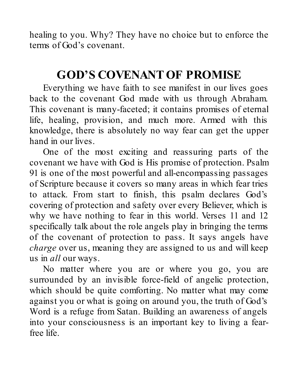healing to you. Why? They have no choice but to enforce the terms of God's covenant.

#### **GOD'S COVENANT OF PROMISE**

Everything we have faith to see manifest in our lives goes back to the covenant God made with us through Abraham. This covenant is many-faceted; it contains promises of eternal life, healing, provision, and much more. Armed with this knowledge, there is absolutely no way fear can get the upper hand in our lives.

One of the most exciting and reassuring parts of the covenant we have with God is His promise of protection. Psalm 91 is one of the most powerful and all-encompassing passages of Scripture because it covers so many areas in which fear tries to attack. From start to finish, this psalm declares God's covering of protection and safety over every Believer, which is why we have nothing to fear in this world. Verses 11 and 12 specifically talk about the role angels play in bringing the terms of the covenant of protection to pass. It says angels have *charge* over us, meaning they are assigned to us and will keep us in *all* our ways.

No matter where you are or where you go, you are surrounded by an invisible force-field of angelic protection, which should be quite comforting. No matter what may come against you or what is going on around you, the truth of God's Word is a refuge from Satan. Building an awareness of angels into your consciousness is an important key to living a fearfree life.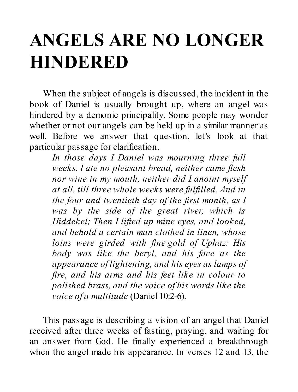# **ANGELS ARE NO LONGER HINDERED**

When the subject of angels is discussed, the incident in the book of Daniel is usually brought up, where an angel was hindered by a demonic principality. Some people may wonder whether or not our angels can be held up in a similar manner as well. Before we answer that question, let's look at that particular passage for clarification.

*In those days I Daniel was mourning three full weeks. I ate no pleasant bread, neither came flesh nor wine in my mouth, neither did I anoint myself at all, till three whole weeks were fulfilled. And in the four and twentieth day of the first month, as I was by the side of the great river, which is Hiddekel; Then I lifted up mine eyes, and looked, and behold a certain man clothed in linen, whose loins were girded with fine gold of Uphaz: His body was like the beryl, and his face as the appearance of lightening, and his eyes as lamps of fire, and his arms and his feet like in colour to polished brass, and the voice of his words like the voice of a multitude* (Daniel 10:2-6).

This passage is describing a vision of an angel that Daniel received after three weeks of fasting, praying, and waiting for an answer from God. He finally experienced a breakthrough when the angel made his appearance. In verses 12 and 13, the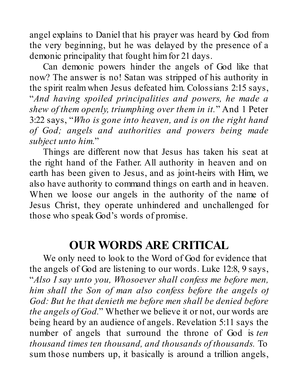angel explains to Daniel that his prayer was heard by God from the very beginning, but he was delayed by the presence of a demonic principality that fought himfor 21 days.

Can demonic powers hinder the angels of God like that now? The answer is no! Satan was stripped of his authority in the spirit realm when Jesus defeated him. Colossians 2:15 says, "*And having spoiled principalities and powers, he made a shew of them openly, triumphing over them in it.*" And 1 Peter 3:22 says, "*Who is gone into heaven, and is on the right hand of God; angels and authorities and powers being made subject unto him.*"

Things are different now that Jesus has taken his seat at the right hand of the Father. All authority in heaven and on earth has been given to Jesus, and as joint-heirs with Him, we also have authority to command things on earth and in heaven. When we loose our angels in the authority of the name of Jesus Christ, they operate unhindered and unchallenged for those who speak God's words of promise.

#### **OUR WORDS ARE CRITICAL**

We only need to look to the Word of God for evidence that the angels of God are listening to our words. Luke 12:8, 9 says, "*Also I say unto you, Whosoever shall confess me before men, him shall the Son of man also confess before the angels of God: But he that denieth me before men shall be denied before the angels of God.*" Whether we believe it or not, our words are being heard by an audience of angels. Revelation 5:11 says the number of angels that surround the throne of God is *ten thousand times ten thousand, and thousands of thousands.* To sum those numbers up, it basically is around a trillion angels,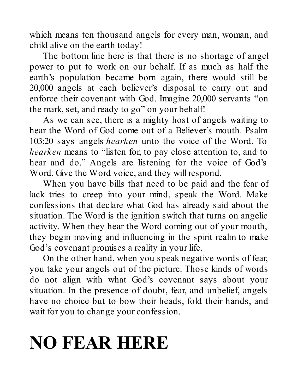which means ten thousand angels for every man, woman, and child alive on the earth today!

The bottom line here is that there is no shortage of angel power to put to work on our behalf. If as much as half the earth's population became born again, there would still be 20,000 angels at each believer's disposal to carry out and enforce their covenant with God. Imagine 20,000 servants "on the mark, set, and ready to go" on your behalf!

As we can see, there is a mighty host of angels waiting to hear the Word of God come out of a Believer's mouth. Psalm 103:20 says angels *hearken* unto the voice of the Word. To *hearken* means to "listen for, to pay close attention to, and to hear and do." Angels are listening for the voice of God's Word. Give the Word voice, and they will respond.

When you have bills that need to be paid and the fear of lack tries to creep into your mind, speak the Word. Make confessions that declare what God has already said about the situation. The Word is the ignition switch that turns on angelic activity. When they hear the Word coming out of your mouth, they begin moving and influencing in the spirit realm to make God's covenant promises a reality in your life.

On the other hand, when you speak negative words of fear, you take your angels out of the picture. Those kinds of words do not align with what God's covenant says about your situation. In the presence of doubt, fear, and unbelief, angels have no choice but to bow their heads, fold their hands, and wait for you to change your confession.

# **NO FEAR HERE**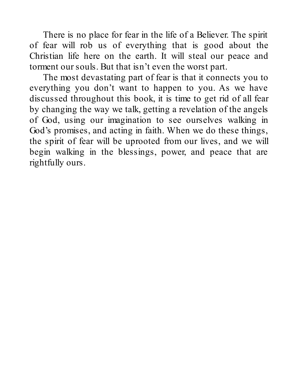There is no place for fear in the life of a Believer. The spirit of fear will rob us of everything that is good about the Christian life here on the earth. It will steal our peace and torment our souls. But that isn't even the worst part.

The most devastating part of fear is that it connects you to everything you don't want to happen to you. As we have discussed throughout this book, it is time to get rid of all fear by changing the way we talk, getting a revelation of the angels of God, using our imagination to see ourselves walking in God's promises, and acting in faith. When we do these things, the spirit of fear will be uprooted from our lives, and we will begin walking in the blessings, power, and peace that are rightfully ours.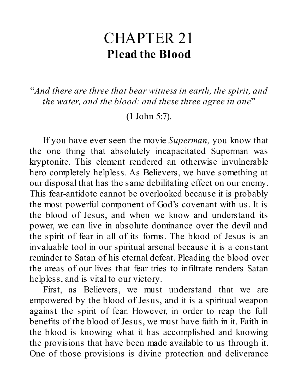# CHAPTER 21 **Plead the Blood**

"*And there are three that bear witness in earth, the spirit, and the water, and the blood: and these three agree in one*"

(1 John 5:7).

If you have ever seen the movie *Superman,* you know that the one thing that absolutely incapacitated Superman was kryptonite. This element rendered an otherwise invulnerable hero completely helpless. As Believers, we have something at our disposal that has the same debilitating effect on our enemy. This fear-antidote cannot be overlooked because it is probably the most powerful component of God's covenant with us. It is the blood of Jesus, and when we know and understand its power, we can live in absolute dominance over the devil and the spirit of fear in all of its forms. The blood of Jesus is an invaluable tool in our spiritual arsenal because it is a constant reminder to Satan of his eternal defeat. Pleading the blood over the areas of our lives that fear tries to infiltrate renders Satan helpless, and is vital to our victory.

First, as Believers, we must understand that we are empowered by the blood of Jesus, and it is a spiritual weapon against the spirit of fear. However, in order to reap the full benefits of the blood of Jesus, we must have faith in it. Faith in the blood is knowing what it has accomplished and knowing the provisions that have been made available to us through it. One of those provisions is divine protection and deliverance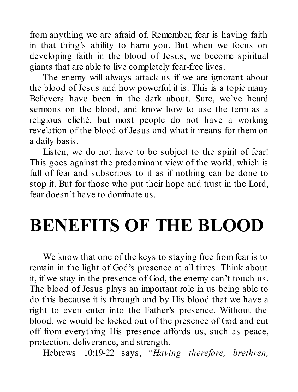from anything we are afraid of. Remember, fear is having faith in that thing's ability to harm you. But when we focus on developing faith in the blood of Jesus, we become spiritual giants that are able to live completely fear-free lives.

The enemy will always attack us if we are ignorant about the blood of Jesus and how powerful it is. This is a topic many Believers have been in the dark about. Sure, we've heard sermons on the blood, and know how to use the term as a religious cliché, but most people do not have a working revelation of the blood of Jesus and what it means for them on a daily basis.

Listen, we do not have to be subject to the spirit of fear! This goes against the predominant view of the world, which is full of fear and subscribes to it as if nothing can be done to stop it. But for those who put their hope and trust in the Lord, fear doesn't have to dominate us.

# **BENEFITS OF THE BLOOD**

We know that one of the keys to staying free from fear is to remain in the light of God's presence at all times. Think about it, if we stay in the presence of God, the enemy can't touch us. The blood of Jesus plays an important role in us being able to do this because it is through and by His blood that we have a right to even enter into the Father's presence. Without the blood, we would be locked out of the presence of God and cut off from everything His presence affords us, such as peace, protection, deliverance, and strength.

Hebrews 10:19-22 says, "*Having therefore, brethren,*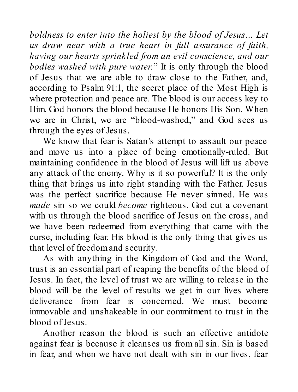*boldness to enter into the holiest by the blood of Jesus… Let us draw near with a true heart in full assurance of faith, having our hearts sprinkled from an evil conscience, and our bodies washed with pure water.*" It is only through the blood of Jesus that we are able to draw close to the Father, and, according to Psalm 91:1, the secret place of the Most High is where protection and peace are. The blood is our access key to Him. God honors the blood because He honors His Son. When we are in Christ, we are "blood-washed," and God sees us through the eyes of Jesus.

We know that fear is Satan's attempt to assault our peace and move us into a place of being emotionally-ruled. But maintaining confidence in the blood of Jesus will lift us above any attack of the enemy. Why is it so powerful? It is the only thing that brings us into right standing with the Father. Jesus was the perfect sacrifice because He never sinned. He was *made* sin so we could *become* righteous. God cut a covenant with us through the blood sacrifice of Jesus on the cross, and we have been redeemed from everything that came with the curse, including fear. His blood is the only thing that gives us that level of freedomand security.

As with anything in the Kingdom of God and the Word, trust is an essential part of reaping the benefits of the blood of Jesus. In fact, the level of trust we are willing to release in the blood will be the level of results we get in our lives where deliverance from fear is concerned. We must become immovable and unshakeable in our commitment to trust in the blood of Jesus.

Another reason the blood is such an effective antidote against fear is because it cleanses us from all sin. Sin is based in fear, and when we have not dealt with sin in our lives, fear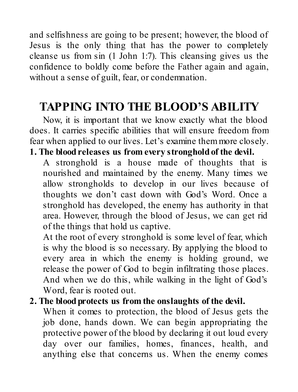and selfishness are going to be present; however, the blood of Jesus is the only thing that has the power to completely cleanse us from sin (1 John 1:7). This cleansing gives us the confidence to boldly come before the Father again and again, without a sense of guilt, fear, or condemnation.

### **TAPPING INTO THE BLOOD'S ABILITY**

Now, it is important that we know exactly what the blood does. It carries specific abilities that will ensure freedom from fear when applied to our lives. Let's examine themmore closely.

#### **1. The bloodreleases us from every strongholdof the devil.**

A stronghold is a house made of thoughts that is nourished and maintained by the enemy. Many times we allow strongholds to develop in our lives because of thoughts we don't cast down with God's Word. Once a stronghold has developed, the enemy has authority in that area. However, through the blood of Jesus, we can get rid of the things that hold us captive.

At the root of every stronghold is some level of fear, which is why the blood is so necessary. By applying the blood to every area in which the enemy is holding ground, we release the power of God to begin infiltrating those places. And when we do this, while walking in the light of God's Word, fear is rooted out.

#### **2. The bloodprotects us from the onslaughts of the devil.**

When it comes to protection, the blood of Jesus gets the job done, hands down. We can begin appropriating the protective power of the blood by declaring it out loud every day over our families, homes, finances, health, and anything else that concerns us. When the enemy comes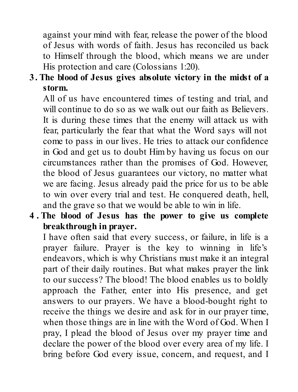against your mind with fear, release the power of the blood of Jesus with words of faith. Jesus has reconciled us back to Himself through the blood, which means we are under His protection and care (Colossians 1:20).

**3. The blood of Jesus gives absolute victory in the midst of a storm.**

All of us have encountered times of testing and trial, and will continue to do so as we walk out our faith as Believers. It is during these times that the enemy will attack us with fear, particularly the fear that what the Word says will not come to pass in our lives. He tries to attack our confidence in God and get us to doubt Him by having us focus on our circumstances rather than the promises of God. However, the blood of Jesus guarantees our victory, no matter what we are facing. Jesus already paid the price for us to be able to win over every trial and test. He conquered death, hell, and the grave so that we would be able to win in life.

**4 . The blood of Jesus has the power to give us complete breakthrough in prayer.**

I have often said that every success, or failure, in life is a prayer failure. Prayer is the key to winning in life's endeavors, which is why Christians must make it an integral part of their daily routines. But what makes prayer the link to our success? The blood! The blood enables us to boldly approach the Father, enter into His presence, and get answers to our prayers. We have a blood-bought right to receive the things we desire and ask for in our prayer time, when those things are in line with the Word of God. When I pray, I plead the blood of Jesus over my prayer time and declare the power of the blood over every area of my life. I bring before God every issue, concern, and request, and I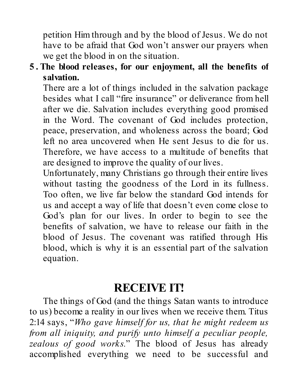petition Him through and by the blood of Jesus. We do not have to be afraid that God won't answer our prayers when we get the blood in on the situation.

#### **5 . The blood releases, for our enjoyment, all the benefits of salvation.**

There are a lot of things included in the salvation package besides what I call "fire insurance" or deliverance from hell after we die. Salvation includes everything good promised in the Word. The covenant of God includes protection, peace, preservation, and wholeness across the board; God left no area uncovered when He sent Jesus to die for us. Therefore, we have access to a multitude of benefits that are designed to improve the quality of our lives.

Unfortunately, many Christians go through their entire lives without tasting the goodness of the Lord in its fullness. Too often, we live far below the standard God intends for us and accept a way of life that doesn't even come close to God's plan for our lives. In order to begin to see the benefits of salvation, we have to release our faith in the blood of Jesus. The covenant was ratified through His blood, which is why it is an essential part of the salvation equation.

#### **RECEIVE IT!**

The things of God (and the things Satan wants to introduce to us) become a reality in our lives when we receive them. Titus 2:14 says, "*Who gave himself for us, that he might redeem us from all iniquity, and purify unto himself a peculiar people, zealous of good works.*" The blood of Jesus has already accomplished everything we need to be successful and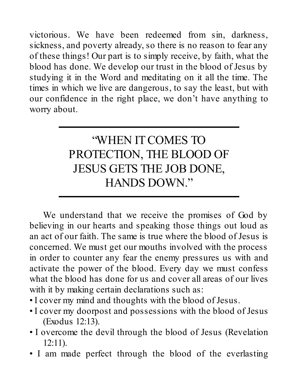victorious. We have been redeemed from sin, darkness, sickness, and poverty already, so there is no reason to fear any of these things! Our part is to simply receive, by faith, what the blood has done. We develop our trust in the blood of Jesus by studying it in the Word and meditating on it all the time. The times in which we live are dangerous, to say the least, but with our confidence in the right place, we don't have anything to worry about.

### "WHEN ITCOMES TO PROTECTION, THE BLOOD OF JESUS GETS THE JOB DONE, HANDS DOWN."

We understand that we receive the promises of God by believing in our hearts and speaking those things out loud as an act of our faith. The same is true where the blood of Jesus is concerned. We must get our mouths involved with the process in order to counter any fear the enemy pressures us with and activate the power of the blood. Every day we must confess what the blood has done for us and cover all areas of our lives with it by making certain declarations such as:

- I cover my mind and thoughts with the blood of Jesus.
- I cover my doorpost and possessions with the blood of Jesus (Exodus 12:13).
- I overcome the devil through the blood of Jesus (Revelation 12:11).
- I am made perfect through the blood of the everlasting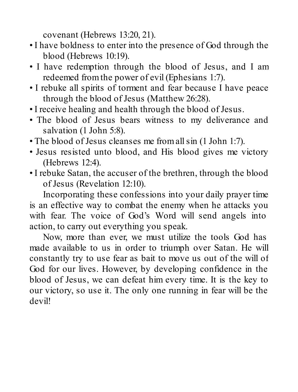covenant (Hebrews 13:20, 21).

- I have boldness to enter into the presence of God through the blood (Hebrews 10:19).
- I have redemption through the blood of Jesus, and I am redeemed fromthe power of evil (Ephesians 1:7).
- I rebuke all spirits of torment and fear because I have peace through the blood of Jesus (Matthew 26:28).
- I receive healing and health through the blood of Jesus.
- The blood of Jesus bears witness to my deliverance and salvation (1 John 5:8).
- The blood of Jesus cleanses me fromallsin (1 John 1:7).
- Jesus resisted unto blood, and His blood gives me victory (Hebrews 12:4).
- I rebuke Satan, the accuser of the brethren, through the blood of Jesus (Revelation 12:10).

Incorporating these confessions into your daily prayer time is an effective way to combat the enemy when he attacks you with fear. The voice of God's Word will send angels into action, to carry out everything you speak.

Now, more than ever, we must utilize the tools God has made available to us in order to triumph over Satan. He will constantly try to use fear as bait to move us out of the will of God for our lives. However, by developing confidence in the blood of Jesus, we can defeat him every time. It is the key to our victory, so use it. The only one running in fear will be the devil!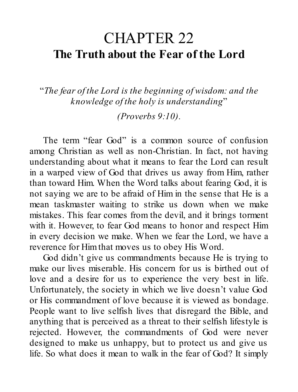# CHAPTER 22 **The Truth about the Fear of the Lord**

"*The fear of the Lord is the beginning of wisdom: and the knowledge of the holy is understanding*"

*(Proverbs 9:10).*

The term "fear God" is a common source of confusion among Christian as well as non-Christian. In fact, not having understanding about what it means to fear the Lord can result in a warped view of God that drives us away from Him, rather than toward Him. When the Word talks about fearing God, it is not saying we are to be afraid of Him in the sense that He is a mean taskmaster waiting to strike us down when we make mistakes. This fear comes from the devil, and it brings torment with it. However, to fear God means to honor and respect Him in every decision we make. When we fear the Lord, we have a reverence for Himthat moves us to obey His Word.

God didn't give us commandments because He is trying to make our lives miserable. His concern for us is birthed out of love and a desire for us to experience the very best in life. Unfortunately, the society in which we live doesn't value God or His commandment of love because it is viewed as bondage. People want to live selfish lives that disregard the Bible, and anything that is perceived as a threat to their selfish lifestyle is rejected. However, the commandments of God were never designed to make us unhappy, but to protect us and give us life. So what does it mean to walk in the fear of God? It simply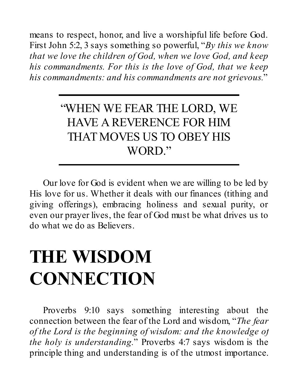means to respect, honor, and live a worshipful life before God. First John 5:2, 3 says something so powerful, "*By this we know that we love the children of God, when we love God, and keep his commandments. For this is the love of God, that we keep his commandments: and his commandments are not grievous.*"

### "WHEN WE FEAR THE LORD, WE HAVE A REVERENCE FOR HIM THAT MOVES US TO OBEY HIS WORD."

Our love for God is evident when we are willing to be led by His love for us. Whether it deals with our finances (tithing and giving offerings), embracing holiness and sexual purity, or even our prayer lives, the fear of God must be what drives us to do what we do as Believers.

# **THE WISDOM CONNECTION**

Proverbs 9:10 says something interesting about the connection between the fear of the Lord and wisdom, "*The fear of the Lord is the beginning of wisdom: and the knowledge of the holy is understanding.*" Proverbs 4:7 says wisdom is the principle thing and understanding is of the utmost importance.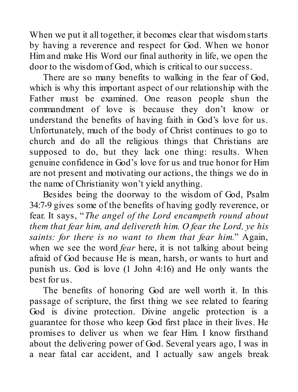When we put it all together, it becomes clear that wisdom starts by having a reverence and respect for God. When we honor Him and make His Word our final authority in life, we open the door to the wisdomof God, which is critical to our success.

There are so many benefits to walking in the fear of God, which is why this important aspect of our relationship with the Father must be examined. One reason people shun the commandment of love is because they don't know or understand the benefits of having faith in God's love for us. Unfortunately, much of the body of Christ continues to go to church and do all the religious things that Christians are supposed to do, but they lack one thing: results. When genuine confidence in God's love for us and true honor for Him are not present and motivating our actions, the things we do in the name of Christianity won't yield anything.

Besides being the doorway to the wisdom of God, Psalm 34:7-9 gives some of the benefits of having godly reverence, or fear. It says, "*The angel of the Lord encampeth round about them that fear him, and delivereth him. O fear the Lord, ye his saints: for there is no want to them that fear him.*" Again, when we see the word *fear* here, it is not talking about being afraid of God because He is mean, harsh, or wants to hurt and punish us. God is love (1 John 4:16) and He only wants the best for us.

The benefits of honoring God are well worth it. In this passage of scripture, the first thing we see related to fearing God is divine protection. Divine angelic protection is a guarantee for those who keep God first place in their lives. He promises to deliver us when we fear Him. I know firsthand about the delivering power of God. Several years ago, I was in a near fatal car accident, and I actually saw angels break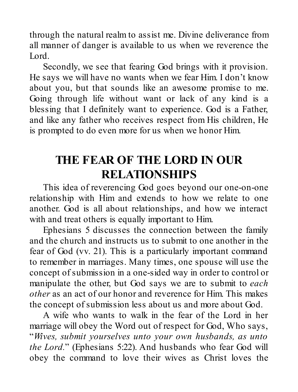through the natural realm to assist me. Divine deliverance from all manner of danger is available to us when we reverence the  $L_{\alpha}$ Lord.

Secondly, we see that fearing God brings with it provision. He says we will have no wants when we fear Him. I don't know about you, but that sounds like an awesome promise to me. Going through life without want or lack of any kind is a blessing that I definitely want to experience. God is a Father, and like any father who receives respect from His children, He is prompted to do even more for us when we honor Him.

### **THE FEAR OF THE LORD IN OUR RELATIONSHIPS**

This idea of reverencing God goes beyond our one-on-one relationship with Him and extends to how we relate to one another. God is all about relationships, and how we interact with and treat others is equally important to Him.

Ephesians 5 discusses the connection between the family and the church and instructs us to submit to one another in the fear of God (vv. 21). This is a particularly important command to remember in marriages. Many times, one spouse will use the concept of submission in a one-sided way in order to control or manipulate the other, but God says we are to submit to *each other* as an act of our honor and reverence for Him. This makes the concept of submission less about us and more about God.

A wife who wants to walk in the fear of the Lord in her marriage will obey the Word out of respect for God, Who says, "*Wives, submit yourselves unto your own husbands, as unto the Lord.*" (Ephesians 5:22). And husbands who fear God will obey the command to love their wives as Christ loves the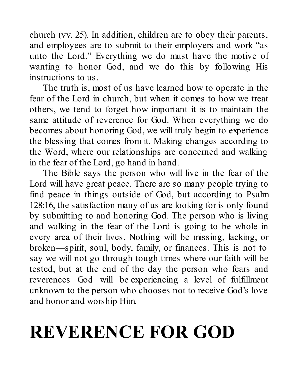church (vv. 25). In addition, children are to obey their parents, and employees are to submit to their employers and work "as unto the Lord." Everything we do must have the motive of wanting to honor God, and we do this by following His instructions to us.

The truth is, most of us have learned how to operate in the fear of the Lord in church, but when it comes to how we treat others, we tend to forget how important it is to maintain the same attitude of reverence for God. When everything we do becomes about honoring God, we will truly begin to experience the blessing that comes from it. Making changes according to the Word, where our relationships are concerned and walking in the fear of the Lord, go hand in hand.

The Bible says the person who will live in the fear of the Lord will have great peace. There are so many people trying to find peace in things outside of God, but according to Psalm 128:16, the satisfaction many of us are looking for is only found by submitting to and honoring God. The person who is living and walking in the fear of the Lord is going to be whole in every area of their lives. Nothing will be missing, lacking, or broken—spirit, soul, body, family, or finances. This is not to say we will not go through tough times where our faith will be tested, but at the end of the day the person who fears and reverences God will be experiencing a level of fulfillment unknown to the person who chooses not to receive God's love and honor and worship Him.

# **REVERENCE FOR GOD**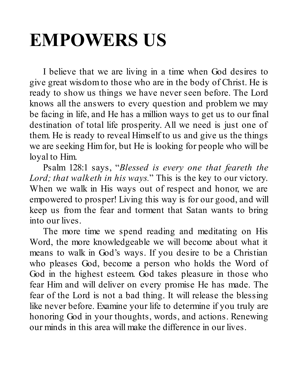# **EMPOWERS US**

I believe that we are living in a time when God desires to give great wisdom to those who are in the body of Christ. He is ready to show us things we have never seen before. The Lord knows all the answers to every question and problem we may be facing in life, and He has a million ways to get us to our final destination of total life prosperity. All we need is just one of them. He is ready to reveal Himself to us and give us the things we are seeking Himfor, but He is looking for people who will be loyal to Him.

Psalm 128:1 says, "*Blessed is every one that feareth the Lord; that walketh in his ways.*" This is the key to our victory. When we walk in His ways out of respect and honor, we are empowered to prosper! Living this way is for our good, and will keep us from the fear and torment that Satan wants to bring into our lives.

The more time we spend reading and meditating on His Word, the more knowledgeable we will become about what it means to walk in God's ways. If you desire to be a Christian who pleases God, become a person who holds the Word of God in the highest esteem. God takes pleasure in those who fear Him and will deliver on every promise He has made. The fear of the Lord is not a bad thing. It will release the blessing like never before. Examine your life to determine if you truly are honoring God in your thoughts, words, and actions. Renewing our minds in this area will make the difference in our lives.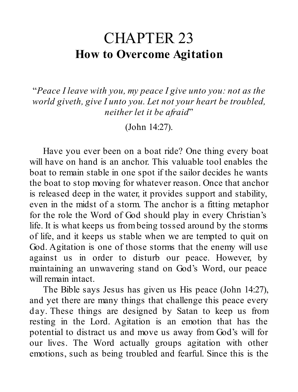# CHAPTER 23 **How to Overcome Agitation**

"*Peace I leave with you, my peace I give unto you: not as the world giveth, give I unto you. Let not your heart be troubled, neither let it be afraid*"

(John 14:27).

Have you ever been on a boat ride? One thing every boat will have on hand is an anchor. This valuable tool enables the boat to remain stable in one spot if the sailor decides he wants the boat to stop moving for whatever reason. Once that anchor is released deep in the water, it provides support and stability, even in the midst of a storm. The anchor is a fitting metaphor for the role the Word of God should play in every Christian's life. It is what keeps us frombeing tossed around by the storms of life, and it keeps us stable when we are tempted to quit on God. Agitation is one of those storms that the enemy will use against us in order to disturb our peace. However, by maintaining an unwavering stand on God's Word, our peace will remain intact.

The Bible says Jesus has given us His peace (John 14:27), and yet there are many things that challenge this peace every day. These things are designed by Satan to keep us from resting in the Lord. Agitation is an emotion that has the potential to distract us and move us away from God's will for our lives. The Word actually groups agitation with other emotions, such as being troubled and fearful. Since this is the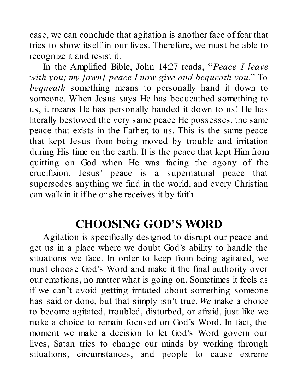case, we can conclude that agitation is another face of fear that tries to show itself in our lives. Therefore, we must be able to recognize it and resist it.

In the Amplified Bible, John 14:27 reads, "*Peace I leave with you; my [own] peace I now give and bequeath you.*" To *bequeath* something means to personally hand it down to someone. When Jesus says He has bequeathed something to us, it means He has personally handed it down to us! He has literally bestowed the very same peace He possesses, the same peace that exists in the Father, to us. This is the same peace that kept Jesus from being moved by trouble and irritation during His time on the earth. It is the peace that kept Him from quitting on God when He was facing the agony of the crucifixion. Jesus' peace is a supernatural peace that supersedes anything we find in the world, and every Christian can walk in it if he or she receives it by faith.

### **CHOOSING GOD'S WORD**

Agitation is specifically designed to disrupt our peace and get us in a place where we doubt God's ability to handle the situations we face. In order to keep from being agitated, we must choose God's Word and make it the final authority over our emotions, no matter what is going on. Sometimes it feels as if we can't avoid getting irritated about something someone has said or done, but that simply isn't true. *We* make a choice to become agitated, troubled, disturbed, or afraid, just like we make a choice to remain focused on God's Word. In fact, the moment we make a decision to let God's Word govern our lives, Satan tries to change our minds by working through situations, circumstances, and people to cause extreme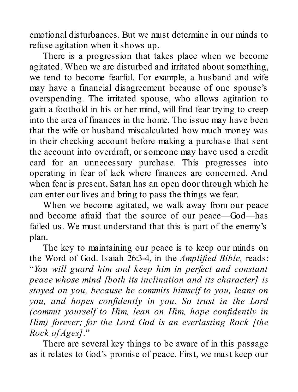emotional disturbances. But we must determine in our minds to refuse agitation when it shows up.

There is a progression that takes place when we become agitated. When we are disturbed and irritated about something, we tend to become fearful. For example, a husband and wife may have a financial disagreement because of one spouse's overspending. The irritated spouse, who allows agitation to gain a foothold in his or her mind, will find fear trying to creep into the area of finances in the home. The issue may have been that the wife or husband miscalculated how much money was in their checking account before making a purchase that sent the account into overdraft, or someone may have used a credit card for an unnecessary purchase. This progresses into operating in fear of lack where finances are concerned. And when fear is present, Satan has an open door through which he can enter our lives and bring to pass the things we fear.

When we become agitated, we walk away from our peace and become afraid that the source of our peace—God—has failed us. We must understand that this is part of the enemy's plan.

The key to maintaining our peace is to keep our minds on the Word of God. Isaiah 26:3-4, in the *Amplified Bible,* reads: "*You will guard him and keep him in perfect and constant peace whose mind [both its inclination and its character] is stayed on you, because he commits himself to you, leans on you, and hopes confidently in you. So trust in the Lord (commit yourself to Him, lean on Him, hope confidently in Him) forever; for the Lord God is an everlasting Rock [the Rock of Ages].*"

There are several key things to be aware of in this passage as it relates to God's promise of peace. First, we must keep our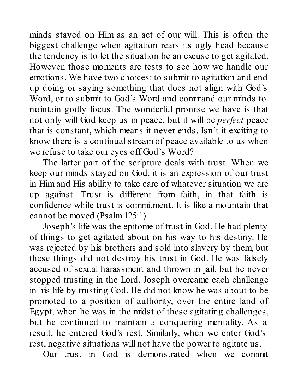minds stayed on Him as an act of our will. This is often the biggest challenge when agitation rears its ugly head because the tendency is to let the situation be an excuse to get agitated. However, those moments are tests to see how we handle our emotions. We have two choices: to submit to agitation and end up doing or saying something that does not align with God's Word, or to submit to God's Word and command our minds to maintain godly focus. The wonderful promise we have is that not only will God keep us in peace, but it will be *perfect* peace that is constant, which means it never ends. Isn't it exciting to know there is a continual stream of peace available to us when we refuse to take our eyes off God's Word?

The latter part of the scripture deals with trust. When we keep our minds stayed on God, it is an expression of our trust in Him and His ability to take care of whatever situation we are up against. Trust is different from faith, in that faith is confidence while trust is commitment. It is like a mountain that cannot be moved (Psalm125:1).

Joseph's life was the epitome of trust in God. He had plenty of things to get agitated about on his way to his destiny. He was rejected by his brothers and sold into slavery by them, but these things did not destroy his trust in God. He was falsely accused of sexual harassment and thrown in jail, but he never stopped trusting in the Lord. Joseph overcame each challenge in his life by trusting God. He did not know he was about to be promoted to a position of authority, over the entire land of Egypt, when he was in the midst of these agitating challenges, but he continued to maintain a conquering mentality. As a result, he entered God's rest. Similarly, when we enter God's rest, negative situations will not have the power to agitate us.

Our trust in God is demonstrated when we commit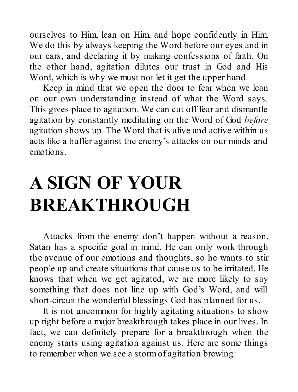ourselves to Him, lean on Him, and hope confidently in Him. We do this by always keeping the Word before our eyes and in our ears, and declaring it by making confessions of faith. On the other hand, agitation dilutes our trust in God and His Word, which is why we must not let it get the upper hand.

Keep in mind that we open the door to fear when we lean on our own understanding instead of what the Word says. This gives place to agitation. We can cut off fear and dismantle agitation by constantly meditating on the Word of God *before* agitation shows up. The Word that is alive and active within us acts like a buffer against the enemy's attacks on our minds and emotions.

# **A SIGN OF YOUR BREAKTHROUGH**

Attacks from the enemy don't happen without a reason. Satan has a specific goal in mind. He can only work through the avenue of our emotions and thoughts, so he wants to stir people up and create situations that cause us to be irritated. He knows that when we get agitated, we are more likely to say something that does not line up with God's Word, and will short-circuit the wonderful blessings God has planned for us.

It is not uncommon for highly agitating situations to show up right before a major breakthrough takes place in our lives. In fact, we can definitely prepare for a breakthrough when the enemy starts using agitation against us. Here are some things to remember when we see a stormof agitation brewing: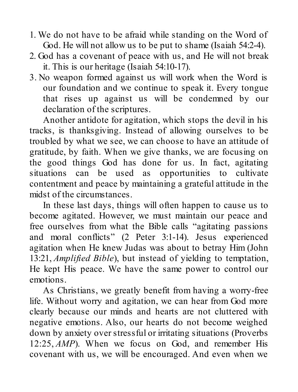- 1. We do not have to be afraid while standing on the Word of God. He will not allow us to be put to shame (Isaiah 54:2-4).
- 2. God has a covenant of peace with us, and He will not break it. This is our heritage (Isaiah 54:10-17).
- 3. No weapon formed against us will work when the Word is our foundation and we continue to speak it. Every tongue that rises up against us will be condemned by our declaration of the scriptures.

Another antidote for agitation, which stops the devil in his tracks, is thanksgiving. Instead of allowing ourselves to be troubled by what we see, we can choose to have an attitude of gratitude, by faith. When we give thanks, we are focusing on the good things God has done for us. In fact, agitating situations can be used as opportunities to cultivate contentment and peace by maintaining a grateful attitude in the midst of the circumstances.

In these last days, things will often happen to cause us to become agitated. However, we must maintain our peace and free ourselves from what the Bible calls "agitating passions and moral conflicts" (2 Peter 3:1-14). Jesus experienced agitation when He knew Judas was about to betray Him (John 13:21, *Amplified Bible*), but instead of yielding to temptation, He kept His peace. We have the same power to control our emotions.

As Christians, we greatly benefit from having a worry-free life. Without worry and agitation, we can hear from God more clearly because our minds and hearts are not cluttered with negative emotions. Also, our hearts do not become weighed down by anxiety over stressful or irritating situations (Proverbs 12:25, *AMP*). When we focus on God, and remember His covenant with us, we will be encouraged. And even when we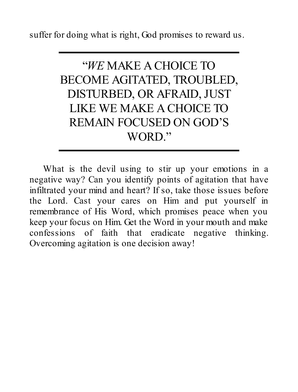suffer for doing what is right, God promises to reward us.

"*WE* MAKE A CHOICE TO BECOME AGITATED, TROUBLED, DISTURBED, OR AFRAID, JUST LIKE WE MAKE A CHOICE TO REMAIN FOCUSED ON GOD'S WORD."

What is the devil using to stir up your emotions in a negative way? Can you identify points of agitation that have infiltrated your mind and heart? If so, take those issues before the Lord. Cast your cares on Him and put yourself in remembrance of His Word, which promises peace when you keep your focus on Him. Get the Word in your mouth and make confessions of faith that eradicate negative thinking. Overcoming agitation is one decision away!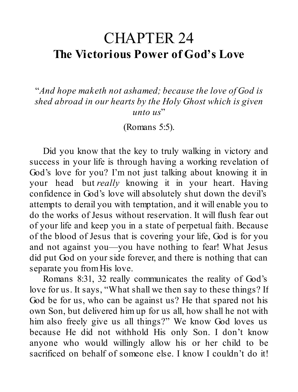# CHAPTER 24 **The Victorious Power of God's Love**

"*And hope maketh not ashamed; because the love of God is shed abroad in our hearts by the Holy Ghost which is given unto us*"

(Romans 5:5).

Did you know that the key to truly walking in victory and success in your life is through having a working revelation of God's love for you? I'm not just talking about knowing it in your head but *really* knowing it in your heart. Having confidence in God's love will absolutely shut down the devil's attempts to derail you with temptation, and it will enable you to do the works of Jesus without reservation. It will flush fear out of your life and keep you in a state of perpetual faith. Because of the blood of Jesus that is covering your life, God is for you and not against you—you have nothing to fear! What Jesus did put God on your side forever, and there is nothing that can separate you from His love.

Romans 8:31, 32 really communicates the reality of God's love for us. It says, "What shall we then say to these things? If God be for us, who can be against us? He that spared not his own Son, but delivered him up for us all, how shall he not with him also freely give us all things?" We know God loves us because He did not withhold His only Son. I don't know anyone who would willingly allow his or her child to be sacrificed on behalf of someone else. I know I couldn't do it!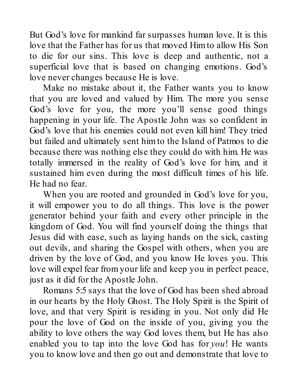But God's love for mankind far surpasses human love. It is this love that the Father has for us that moved Himto allow His Son to die for our sins. This love is deep and authentic, not a superficial love that is based on changing emotions. God's love never changes because He is love.

Make no mistake about it, the Father wants you to know that you are loved and valued by Him. The more you sense God's love for you, the more you'll sense good things happening in your life. The Apostle John was so confident in God's love that his enemies could not even kill him! They tried but failed and ultimately sent him to the Island of Patmos to die because there was nothing else they could do with him. He was totally immersed in the reality of God's love for him, and it sustained him even during the most difficult times of his life. He had no fear.

When you are rooted and grounded in God's love for you, it will empower you to do all things. This love is the power generator behind your faith and every other principle in the kingdom of God. You will find yourself doing the things that Jesus did with ease, such as laying hands on the sick, casting out devils, and sharing the Gospel with others, when you are driven by the love of God, and you know He loves you. This love will expel fear fromyour life and keep you in perfect peace, just as it did for the Apostle John.

Romans 5:5 says that the love of God has been shed abroad in our hearts by the Holy Ghost. The Holy Spirit is the Spirit of love, and that very Spirit is residing in you. Not only did He pour the love of God on the inside of you, giving you the ability to love others the way God loves them, but He has also enabled you to tap into the love God has for *you*! He wants you to know love and then go out and demonstrate that love to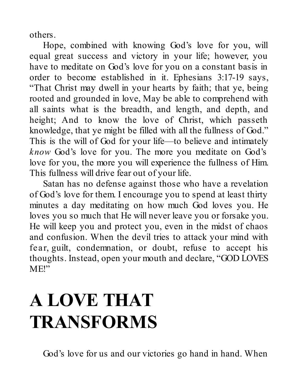others.

Hope, combined with knowing God's love for you, will equal great success and victory in your life; however, you have to meditate on God's love for you on a constant basis in order to become established in it. Ephesians 3:17-19 says, "That Christ may dwell in your hearts by faith; that ye, being rooted and grounded in love, May be able to comprehend with all saints what is the breadth, and length, and depth, and height; And to know the love of Christ, which passeth knowledge, that ye might be filled with all the fullness of God." This is the will of God for your life—to believe and intimately *know* God's love for you. The more you meditate on God's love for you, the more you will experience the fullness of Him. This fullness will drive fear out of your life.

Satan has no defense against those who have a revelation of God's love for them. I encourage you to spend at least thirty minutes a day meditating on how much God loves you. He loves you so much that He will never leave you or forsake you. He will keep you and protect you, even in the midst of chaos and confusion. When the devil tries to attack your mind with fe ar, guilt, condemnation, or doubt, refuse to accept his thoughts. Instead, open your mouth and declare, "GOD LOVES ME!"

# **A LOVE THAT TRANSFORMS**

God's love for us and our victories go hand in hand. When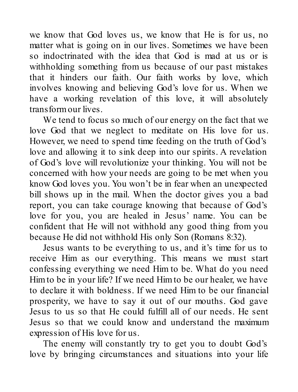we know that God loves us, we know that He is for us, no matter what is going on in our lives. Sometimes we have been so indoctrinated with the idea that God is mad at us or is withholding something from us because of our past mistakes that it hinders our faith. Our faith works by love, which involves knowing and believing God's love for us. When we have a working revelation of this love, it will absolutely transformour lives.

We tend to focus so much of our energy on the fact that we love God that we neglect to meditate on His love for us. However, we need to spend time feeding on the truth of God's love and allowing it to sink deep into our spirits. A revelation of God's love will revolutionize your thinking. You will not be concerned with how your needs are going to be met when you know God loves you. You won't be in fear when an unexpected bill shows up in the mail. When the doctor gives you a bad report, you can take courage knowing that because of God's love for you, you are healed in Jesus' name. You can be confident that He will not withhold any good thing from you because He did not withhold His only Son (Romans 8:32).

Jesus wants to be everything to us, and it's time for us to receive Him as our everything. This means we must start confessing everything we need Him to be. What do you need Himto be in your life? If we need Him to be our healer, we have to declare it with boldness. If we need Him to be our financial prosperity, we have to say it out of our mouths. God gave Jesus to us so that He could fulfill all of our needs. He sent Jesus so that we could know and understand the maximum expression of His love for us.

The enemy will constantly try to get you to doubt God's love by bringing circumstances and situations into your life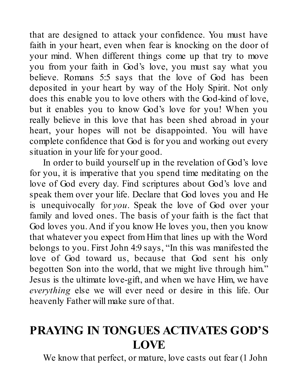that are designed to attack your confidence. You must have faith in your heart, even when fear is knocking on the door of your mind. When different things come up that try to move you from your faith in God's love, you must say what you believe. Romans 5:5 says that the love of God has been deposited in your heart by way of the Holy Spirit. Not only does this enable you to love others with the God-kind of love, but it enables you to know God's love for you! When you really believe in this love that has been shed abroad in your heart, your hopes will not be disappointed. You will have complete confidence that God is for you and working out every situation in your life for your good.

In order to build yourself up in the revelation of God's love for you, it is imperative that you spend time meditating on the love of God every day. Find scriptures about God's love and speak them over your life. Declare that God loves you and He is unequivocally for *you*. Speak the love of God over your family and loved ones. The basis of your faith is the fact that God loves you. And if you know He loves you, then you know that whatever you expect from Him that lines up with the Word belongs to you. First John 4:9 says, "In this was manifested the love of God toward us, because that God sent his only begotten Son into the world, that we might live through him." Jesus is the ultimate love-gift, and when we have Him, we have *everything* else we will ever need or desire in this life. Our heavenly Father will make sure of that.

### **PRAYING IN TONGUES ACTIVATES GOD'S LOVE**

We know that perfect, or mature, love casts out fear (1 John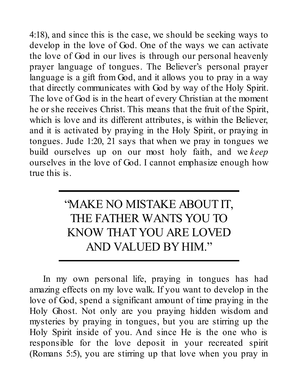4:18), and since this is the case, we should be seeking ways to develop in the love of God. One of the ways we can activate the love of God in our lives is through our personal heavenly prayer language of tongues. The Believer's personal prayer language is a gift from God, and it allows you to pray in a way that directly communicates with God by way of the Holy Spirit. The love of God is in the heart of every Christian at the moment he or she receives Christ. This means that the fruit of the Spirit, which is love and its different attributes, is within the Believer, and it is activated by praying in the Holy Spirit, or praying in tongues. Jude 1:20, 21 says that when we pray in tongues we build ourselves up on our most holy faith, and we *keep* ourselves in the love of God. I cannot emphasize enough how true this is.

### "MAKE NO MISTAKE ABOUT IT, THE FATHER WANTS YOU TO KNOW THAT YOU ARE LOVED AND VALUED BY HIM."

In my own personal life, praying in tongues has had amazing effects on my love walk. If you want to develop in the love of God, spend a significant amount of time praying in the Holy Ghost. Not only are you praying hidden wisdom and mysteries by praying in tongues, but you are stirring up the Holy Spirit inside of you. And since He is the one who is responsible for the love deposit in your recreated spirit (Romans 5:5), you are stirring up that love when you pray in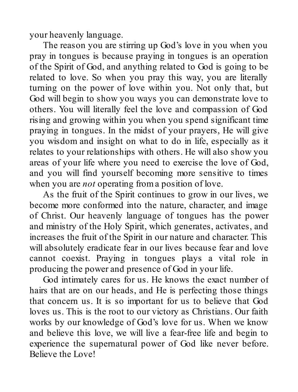your heavenly language.

The reason you are stirring up God's love in you when you pray in tongues is because praying in tongues is an operation of the Spirit of God, and anything related to God is going to be related to love. So when you pray this way, you are literally turning on the power of love within you. Not only that, but God will begin to show you ways you can demonstrate love to others. You will literally feel the love and compassion of God rising and growing within you when you spend significant time praying in tongues. In the midst of your prayers, He will give you wisdom and insight on what to do in life, especially as it relates to your relationships with others. He will also show you areas of your life where you need to exercise the love of God, and you will find yourself becoming more sensitive to times when you are *not* operating froma position of love.

As the fruit of the Spirit continues to grow in our lives, we become more conformed into the nature, character, and image of Christ. Our heavenly language of tongues has the power and ministry of the Holy Spirit, which generates, activates, and increases the fruit of the Spirit in our nature and character. This will absolutely eradicate fear in our lives because fear and love cannot coexist. Praying in tongues plays a vital role in producing the power and presence of God in your life.

God intimately cares for us. He knows the exact number of hairs that are on our heads, and He is perfecting those things that concern us. It is so important for us to believe that God loves us. This is the root to our victory as Christians. Our faith works by our knowledge of God's love for us. When we know and believe this love, we will live a fear-free life and begin to experience the supernatural power of God like never before. Believe the Love!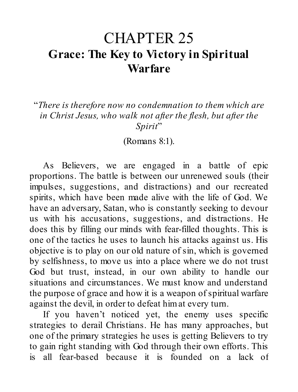## CHAPTER 25 **Grace: The Key to Victory in Spiritual Warfare**

"*There is therefore now no condemnation to them which are in Christ Jesus, who walk not after the flesh, but after the Spirit*"

(Romans 8:1).

As Believers, we are engaged in a battle of epic proportions. The battle is between our unrenewed souls (their impulses, suggestions, and distractions) and our recreated spirits, which have been made alive with the life of God. We have an adversary, Satan, who is constantly seeking to devour us with his accusations, suggestions, and distractions. He does this by filling our minds with fear-filled thoughts. This is one of the tactics he uses to launch his attacks against us. His objective is to play on our old nature of sin, which is governed by selfishness, to move us into a place where we do not trust God but trust, instead, in our own ability to handle our situations and circumstances. We must know and understand the purpose of grace and how it is a weapon of spiritual warfare against the devil, in order to defeat himat every turn.

If you haven't noticed yet, the enemy uses specific strategies to derail Christians. He has many approaches, but one of the primary strategies he uses is getting Believers to try to gain right standing with God through their own efforts. This is all fear-based because it is founded on a lack of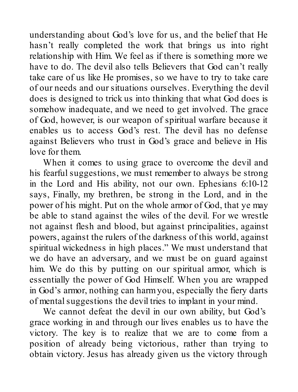understanding about God's love for us, and the belief that He hasn't really completed the work that brings us into right relationship with Him. We feel as if there is something more we have to do. The devil also tells Believers that God can't really take care of us like He promises, so we have to try to take care of our needs and our situations ourselves. Everything the devil does is designed to trick us into thinking that what God does is somehow inadequate, and we need to get involved. The grace of God, however, is our weapon of spiritual warfare because it enables us to access God's rest. The devil has no defense against Believers who trust in God's grace and believe in His love for them.

When it comes to using grace to overcome the devil and his fearful suggestions, we must remember to always be strong in the Lord and His ability, not our own. Ephesians 6:10-12 says, Finally, my brethren, be strong in the Lord, and in the power of his might. Put on the whole armor of God, that ye may be able to stand against the wiles of the devil. For we wrestle not against flesh and blood, but against principalities, against powers, against the rulers of the darkness of this world, against spiritual wickedness in high places." We must understand that we do have an adversary, and we must be on guard against him. We do this by putting on our spiritual armor, which is essentially the power of God Himself. When you are wrapped in God's armor, nothing can harmyou, especially the fiery darts of mentalsuggestions the devil tries to implant in your mind.

We cannot defeat the devil in our own ability, but God's grace working in and through our lives enables us to have the victory. The key is to realize that we are to come from a position of already being victorious, rather than trying to obtain victory. Jesus has already given us the victory through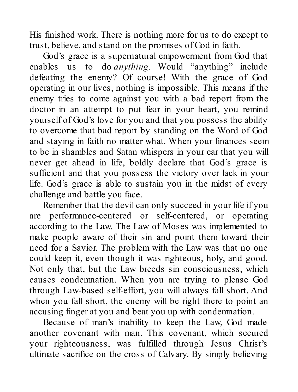His finished work. There is nothing more for us to do except to trust, believe, and stand on the promises of God in faith.

God's grace is a supernatural empowerment from God that enables us to do *anything.* Would "anything" include defeating the enemy? Of course! With the grace of God operating in our lives, nothing is impossible. This means if the enemy tries to come against you with a bad report from the doctor in an attempt to put fear in your heart, you remind yourself of God's love for you and that you possess the ability to overcome that bad report by standing on the Word of God and staying in faith no matter what. When your finances seem to be in shambles and Satan whispers in your ear that you will never get ahead in life, boldly declare that God's grace is sufficient and that you possess the victory over lack in your life. God's grace is able to sustain you in the midst of every challenge and battle you face.

Remember that the devil can only succeed in your life if you are performance-centered or self-centered, or operating according to the Law. The Law of Moses was implemented to make people aware of their sin and point them toward their need for a Savior. The problem with the Law was that no one could keep it, even though it was righteous, holy, and good. Not only that, but the Law breeds sin consciousness, which causes condemnation. When you are trying to please God through Law-based self-effort, you will always fall short. And when you fall short, the enemy will be right there to point an accusing finger at you and beat you up with condemnation.

Because of man's inability to keep the Law, God made another covenant with man. This covenant, which secured your righteousness, was fulfilled through Jesus Christ's ultimate sacrifice on the cross of Calvary. By simply believing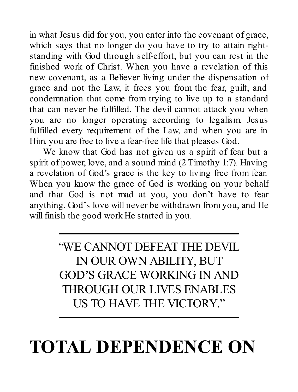in what Jesus did for you, you enter into the covenant of grace, which says that no longer do you have to try to attain rightstanding with God through self-effort, but you can rest in the finished work of Christ. When you have a revelation of this new covenant, as a Believer living under the dispensation of grace and not the Law, it frees you from the fear, guilt, and condemnation that come from trying to live up to a standard that can never be fulfilled. The devil cannot attack you when you are no longer operating according to legalism. Jesus fulfilled every requirement of the Law, and when you are in Him, you are free to live a fear-free life that pleases God.

We know that God has not given us a spirit of fear but a spirit of power, love, and a sound mind (2 Timothy 1:7). Having a revelation of God's grace is the key to living free from fear. When you know the grace of God is working on your behalf and that God is not mad at you, you don't have to fear anything. God's love will never be withdrawn from you, and He will finish the good work He started in you.

> "WE CANNOT DEFEAT THE DEVIL IN OUR OWN ABILITY, BUT GOD'S GRACE WORKING IN AND THROUGH OUR LIVES ENABLES US TO HAVE THE VICTORY."

# **TOTAL DEPENDENCE ON**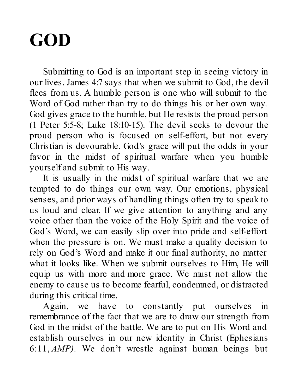# **GOD**

Submitting to God is an important step in seeing victory in our lives. James 4:7 says that when we submit to God, the devil flees from us. A humble person is one who will submit to the Word of God rather than try to do things his or her own way. God gives grace to the humble, but He resists the proud person (1 Peter 5:5-8; Luke 18:10-15). The devil seeks to devour the proud person who is focused on self-effort, but not every Christian is devourable. God's grace will put the odds in your favor in the midst of spiritual warfare when you humble yourself and submit to His way.

It is usually in the midst of spiritual warfare that we are tempted to do things our own way. Our emotions, physical senses, and prior ways of handling things often try to speak to us loud and clear. If we give attention to anything and any voice other than the voice of the Holy Spirit and the voice of God's Word, we can easily slip over into pride and self-effort when the pressure is on. We must make a quality decision to rely on God's Word and make it our final authority, no matter what it looks like. When we submit ourselves to Him, He will equip us with more and more grace. We must not allow the enemy to cause us to become fearful, condemned, or distracted during this critical time.

Again, we have to constantly put ourselves in remembrance of the fact that we are to draw our strength from God in the midst of the battle. We are to put on His Word and establish ourselves in our new identity in Christ (Ephesians 6:11, *AMP).* We don't wrestle against human beings but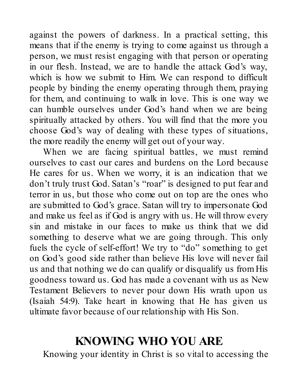against the powers of darkness. In a practical setting, this means that if the enemy is trying to come against us through a person, we must resist engaging with that person or operating in our flesh. Instead, we are to handle the attack God's way, which is how we submit to Him. We can respond to difficult people by binding the enemy operating through them, praying for them, and continuing to walk in love. This is one way we can humble ourselves under God's hand when we are being spiritually attacked by others. You will find that the more you choose God's way of dealing with these types of situations, the more readily the enemy will get out of your way.

When we are facing spiritual battles, we must remind ourselves to cast our cares and burdens on the Lord because He cares for us. When we worry, it is an indication that we don't truly trust God. Satan's "roar" is designed to put fear and terror in us, but those who come out on top are the ones who are submitted to God's grace. Satan will try to impersonate God and make us feel as if God is angry with us. He will throw every sin and mistake in our faces to make us think that we did something to deserve what we are going through. This only fuels the cycle of self-effort! We try to "do" something to get on God's good side rather than believe His love will never fail us and that nothing we do can qualify or disqualify us fromHis goodness toward us. God has made a covenant with us as New Testament Believers to never pour down His wrath upon us (Isaiah 54:9). Take heart in knowing that He has given us ultimate favor because of our relationship with His Son.

### **KNOWING WHO YOU ARE**

Knowing your identity in Christ is so vital to accessing the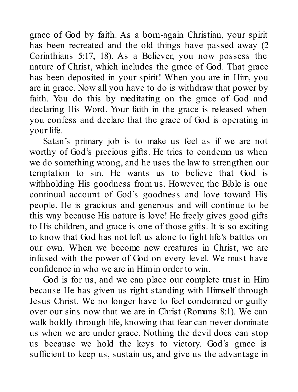grace of God by faith. As a born-again Christian, your spirit has been recreated and the old things have passed away (2 Corinthians 5:17, 18). As a Believer, you now possess the nature of Christ, which includes the grace of God. That grace has been deposited in your spirit! When you are in Him, you are in grace. Now all you have to do is withdraw that power by faith. You do this by meditating on the grace of God and declaring His Word. Your faith in the grace is released when you confess and declare that the grace of God is operating in your life.

Satan's primary job is to make us feel as if we are not worthy of God's precious gifts. He tries to condemn us when we do something wrong, and he uses the law to strengthen our temptation to sin. He wants us to believe that God is withholding His goodness from us. However, the Bible is one continual account of God's goodness and love toward His people. He is gracious and generous and will continue to be this way because His nature is love! He freely gives good gifts to His children, and grace is one of those gifts. It is so exciting to know that God has not left us alone to fight life's battles on our own. When we become new creatures in Christ, we are infused with the power of God on every level. We must have confidence in who we are in Himin order to win.

God is for us, and we can place our complete trust in Him because He has given us right standing with Himself through Jesus Christ. We no longer have to feel condemned or guilty over our sins now that we are in Christ (Romans 8:1). We can walk boldly through life, knowing that fear can never dominate us when we are under grace. Nothing the devil does can stop us because we hold the keys to victory. God's grace is sufficient to keep us, sustain us, and give us the advantage in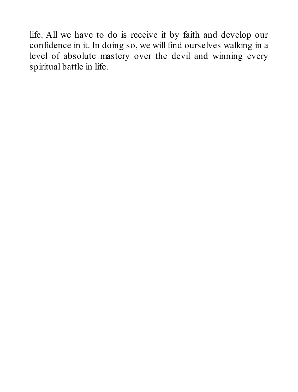life. All we have to do is receive it by faith and develop our confidence in it. In doing so, we will find ourselves walking in a level of absolute mastery over the devil and winning every spiritual battle in life.